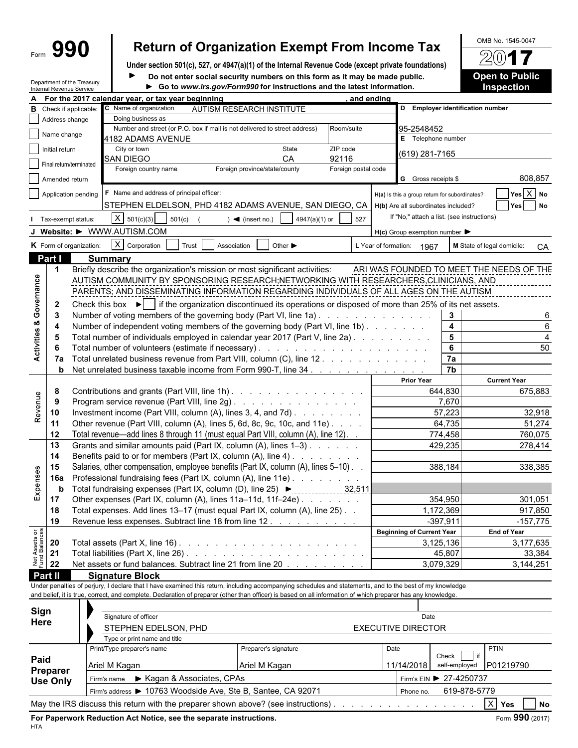# Form **990 Return of Organization Exempt From Income Tax**  $\frac{60\text{dB No. }1545-0047}{2017}$

**Under section 501(c), 527, or 4947(a)(1) of the Internal Revenue Code (except private foundations) Do a notice is a notice of the solution of the solution of the solution of the Solution of the Public**  $\blacktriangleright$ 

Department of the Treasury Internal Revenue Service

| Do not enter social security numbers on this form as it may be made public.             | <b>ODEN to Pup</b> |
|-----------------------------------------------------------------------------------------|--------------------|
| $\triangleright$ Go to www.irs.gov/Form990 for instructions and the latest information. | <b>Inspection</b>  |

| А                              |                 |                               | For the 2017 calendar year, or tax year beginning                                                                                                            |                              |                               |                      | and ending           |                                                     |                                               |                                          |  |  |  |  |
|--------------------------------|-----------------|-------------------------------|--------------------------------------------------------------------------------------------------------------------------------------------------------------|------------------------------|-------------------------------|----------------------|----------------------|-----------------------------------------------------|-----------------------------------------------|------------------------------------------|--|--|--|--|
|                                |                 | <b>B</b> Check if applicable: | C Name of organization                                                                                                                                       | AUTISM RESEARCH INSTITUTE    |                               |                      |                      |                                                     | D Employer identification number              |                                          |  |  |  |  |
|                                | Address change  |                               | Doing business as                                                                                                                                            |                              |                               |                      |                      |                                                     |                                               |                                          |  |  |  |  |
|                                | Name change     |                               | Number and street (or P.O. box if mail is not delivered to street address)                                                                                   |                              |                               | Room/suite           |                      | 95-2548452                                          |                                               |                                          |  |  |  |  |
|                                |                 |                               | 4182 ADAMS AVENUE                                                                                                                                            |                              |                               |                      |                      | E Telephone number                                  |                                               |                                          |  |  |  |  |
|                                | Initial return  |                               | City or town<br><b>SAN DIEGO</b>                                                                                                                             |                              | State<br>CA                   | ZIP code<br>92116    |                      | (619) 281-7165                                      |                                               |                                          |  |  |  |  |
|                                |                 | Final return/terminated       | Foreign country name                                                                                                                                         |                              | Foreign province/state/county | Foreign postal code  |                      |                                                     |                                               |                                          |  |  |  |  |
|                                | Amended return  |                               |                                                                                                                                                              |                              |                               |                      |                      | <b>G</b> Gross receipts \$                          |                                               | 808,857                                  |  |  |  |  |
|                                |                 |                               |                                                                                                                                                              |                              |                               |                      |                      |                                                     |                                               |                                          |  |  |  |  |
|                                |                 | Application pending           | F Name and address of principal officer:                                                                                                                     |                              |                               |                      |                      |                                                     | H(a) Is this a group return for subordinates? | $Yes$ $X$ No                             |  |  |  |  |
|                                |                 |                               | STEPHEN ELDELSON, PHD 4182 ADAMS AVENUE, SAN DIEGO, CA                                                                                                       |                              |                               |                      |                      | H(b) Are all subordinates included?                 |                                               | Yes<br><b>No</b>                         |  |  |  |  |
|                                |                 | Tax-exempt status:            | $\overline{X}$ 501(c)(3)<br>501(c)                                                                                                                           | $\triangleleft$ (insert no.) |                               | 4947(a)(1) or<br>527 |                      |                                                     | If "No," attach a list. (see instructions)    |                                          |  |  |  |  |
|                                |                 |                               | J Website: $\blacktriangleright$ WWW.AUTISM.COM                                                                                                              |                              |                               |                      |                      | $H(c)$ Group exemption number $\blacktriangleright$ |                                               |                                          |  |  |  |  |
|                                |                 | K Form of organization:       | X Corporation<br>Trust                                                                                                                                       | Association                  | Other $\blacktriangleright$   |                      | L Year of formation: | 1967                                                |                                               | M State of legal domicile:<br>CA         |  |  |  |  |
|                                | Part I          |                               | <b>Summary</b>                                                                                                                                               |                              |                               |                      |                      |                                                     |                                               |                                          |  |  |  |  |
|                                | $\mathbf{1}$    |                               | Briefly describe the organization's mission or most significant activities:                                                                                  |                              |                               |                      |                      |                                                     |                                               | ARI WAS FOUNDED TO MEET THE NEEDS OF THE |  |  |  |  |
|                                |                 |                               | AUTISM COMMUNITY BY SPONSORING RESEARCH; NETWORKING WITH RESEARCHERS, CLINICIANS, AND                                                                        |                              |                               |                      |                      |                                                     |                                               |                                          |  |  |  |  |
| Activities & Governance        |                 |                               | PARENTS; AND DISSEMINATING INFORMATION REGARDING INDIVIDUALS OF ALL AGES ON THE AUTISM                                                                       |                              |                               |                      |                      |                                                     |                                               |                                          |  |  |  |  |
|                                |                 |                               |                                                                                                                                                              |                              |                               |                      |                      |                                                     |                                               |                                          |  |  |  |  |
|                                | $\mathbf{2}$    |                               | Check this box $\blacktriangleright$   if the organization discontinued its operations or disposed of more than 25% of its net assets.                       |                              |                               |                      |                      |                                                     |                                               |                                          |  |  |  |  |
|                                | -3              |                               | Number of voting members of the governing body (Part VI, line 1a).                                                                                           |                              |                               |                      |                      |                                                     | $\mathbf{3}$                                  | 6                                        |  |  |  |  |
|                                | 4               |                               | Number of independent voting members of the governing body (Part VI, line 1b)                                                                                |                              |                               |                      |                      |                                                     | $\overline{\mathbf{4}}$<br>$5\phantom{a}$     | 6                                        |  |  |  |  |
|                                | -5              |                               | Total number of individuals employed in calendar year 2017 (Part V, line 2a).                                                                                |                              |                               |                      |                      |                                                     |                                               | 4                                        |  |  |  |  |
|                                | -6              |                               |                                                                                                                                                              |                              |                               |                      |                      |                                                     | 6                                             | 50                                       |  |  |  |  |
|                                | 7a              |                               | Total unrelated business revenue from Part VIII, column (C), line 12                                                                                         |                              |                               |                      |                      |                                                     | 7a<br>7b                                      |                                          |  |  |  |  |
|                                | b               |                               | Net unrelated business taxable income from Form 990-T, line 34                                                                                               |                              |                               |                      |                      | <b>Prior Year</b>                                   |                                               |                                          |  |  |  |  |
|                                |                 |                               |                                                                                                                                                              |                              |                               |                      |                      |                                                     |                                               | <b>Current Year</b>                      |  |  |  |  |
|                                | 8               |                               | Contributions and grants (Part VIII, line 1h)                                                                                                                |                              |                               |                      |                      |                                                     | 644,830<br>7,670                              | 675,883                                  |  |  |  |  |
| Revenue                        | 9               |                               | Program service revenue (Part VIII, line 2g)                                                                                                                 |                              |                               |                      |                      |                                                     |                                               |                                          |  |  |  |  |
|                                | 10<br>11        |                               | Investment income (Part VIII, column (A), lines 3, 4, and 7d)<br>Other revenue (Part VIII, column (A), lines 5, 6d, 8c, 9c, 10c, and 11e)                    |                              |                               |                      |                      |                                                     | 57,223<br>64,735                              | 32,918<br>51,274                         |  |  |  |  |
|                                | 12              |                               | Total revenue—add lines 8 through 11 (must equal Part VIII, column (A), line 12). .                                                                          |                              |                               |                      |                      |                                                     | 774,458                                       | 760,075                                  |  |  |  |  |
|                                |                 |                               | Grants and similar amounts paid (Part IX, column (A), lines 1-3)                                                                                             |                              |                               |                      |                      |                                                     |                                               |                                          |  |  |  |  |
|                                | 13<br>14        |                               | Benefits paid to or for members (Part IX, column (A), line 4)                                                                                                |                              |                               |                      |                      |                                                     | 429,235                                       | 278,414                                  |  |  |  |  |
|                                |                 |                               | Salaries, other compensation, employee benefits (Part IX, column (A), lines 5-10).                                                                           |                              |                               |                      |                      |                                                     | 388,184                                       |                                          |  |  |  |  |
| Expenses                       | 15<br>16a       |                               | Professional fundraising fees (Part IX, column (A), line 11e)                                                                                                |                              |                               |                      |                      |                                                     |                                               | 338,385                                  |  |  |  |  |
|                                |                 |                               | Total fundraising expenses (Part IX, column (D), line 25) ▶                                                                                                  |                              |                               |                      |                      |                                                     |                                               |                                          |  |  |  |  |
|                                | b<br>17         |                               | Other expenses (Part IX, column (A), lines 11a-11d, 11f-24e)                                                                                                 |                              |                               | 32,511               |                      |                                                     | 354,950                                       | 301,051                                  |  |  |  |  |
|                                | 18              |                               | Total expenses. Add lines 13-17 (must equal Part IX, column (A), line 25)                                                                                    |                              |                               |                      |                      |                                                     | 1,172,369                                     | 917,850                                  |  |  |  |  |
|                                | 19              |                               | Revenue less expenses. Subtract line 18 from line 12                                                                                                         |                              |                               |                      |                      |                                                     | $-397,911$                                    | $-157,775$                               |  |  |  |  |
|                                |                 |                               |                                                                                                                                                              |                              |                               |                      |                      | <b>Beginning of Current Year</b>                    |                                               | <b>End of Year</b>                       |  |  |  |  |
|                                | 20              |                               |                                                                                                                                                              |                              |                               |                      |                      |                                                     | 3,125,136                                     | 3,177,635                                |  |  |  |  |
| Net Assets or<br>Fund Balances | 21              |                               |                                                                                                                                                              |                              |                               |                      |                      |                                                     | 45,807                                        | 33,384                                   |  |  |  |  |
|                                | 22              |                               | Net assets or fund balances. Subtract line 21 from line 20                                                                                                   |                              |                               |                      |                      |                                                     | 3,079,329                                     | 3,144,251                                |  |  |  |  |
|                                | Part II         |                               | <b>Signature Block</b>                                                                                                                                       |                              |                               |                      |                      |                                                     |                                               |                                          |  |  |  |  |
|                                |                 |                               | Under penalties of perjury, I declare that I have examined this return, including accompanying schedules and statements, and to the best of my knowledge     |                              |                               |                      |                      |                                                     |                                               |                                          |  |  |  |  |
|                                |                 |                               | and belief, it is true, correct, and complete. Declaration of preparer (other than officer) is based on all information of which preparer has any knowledge. |                              |                               |                      |                      |                                                     |                                               |                                          |  |  |  |  |
|                                |                 |                               |                                                                                                                                                              |                              |                               |                      |                      |                                                     |                                               |                                          |  |  |  |  |
|                                | Sign            |                               | Signature of officer                                                                                                                                         |                              |                               |                      |                      | Date                                                |                                               |                                          |  |  |  |  |
|                                | Here            |                               | STEPHEN EDELSON, PHD                                                                                                                                         |                              |                               |                      |                      | <b>EXECUTIVE DIRECTOR</b>                           |                                               |                                          |  |  |  |  |
|                                |                 |                               | Type or print name and title                                                                                                                                 |                              |                               |                      |                      |                                                     |                                               |                                          |  |  |  |  |
|                                |                 |                               | Print/Type preparer's name                                                                                                                                   |                              | Preparer's signature          |                      | Date                 |                                                     |                                               | PTIN                                     |  |  |  |  |
| Paid                           |                 |                               |                                                                                                                                                              |                              |                               |                      |                      |                                                     | Check<br>$\overline{\phantom{a}}$ if          |                                          |  |  |  |  |
|                                | Preparer        |                               | Ariel M Kagan                                                                                                                                                |                              | Ariel M Kagan                 |                      |                      | 11/14/2018                                          | self-employed                                 | P01219790                                |  |  |  |  |
|                                | <b>Use Only</b> |                               | Firm's name > Kagan & Associates, CPAs                                                                                                                       |                              |                               |                      |                      |                                                     | Firm's EIN ▶ 27-4250737                       |                                          |  |  |  |  |
|                                |                 |                               | Firm's address > 10763 Woodside Ave, Ste B, Santee, CA 92071                                                                                                 |                              |                               |                      |                      | Phone no.                                           | 619-878-5779                                  |                                          |  |  |  |  |
|                                |                 |                               | May the IRS discuss this return with the preparer shown above? (see instructions).                                                                           |                              |                               |                      |                      |                                                     |                                               | $X$ Yes<br>No                            |  |  |  |  |
|                                |                 |                               |                                                                                                                                                              |                              |                               |                      |                      |                                                     |                                               |                                          |  |  |  |  |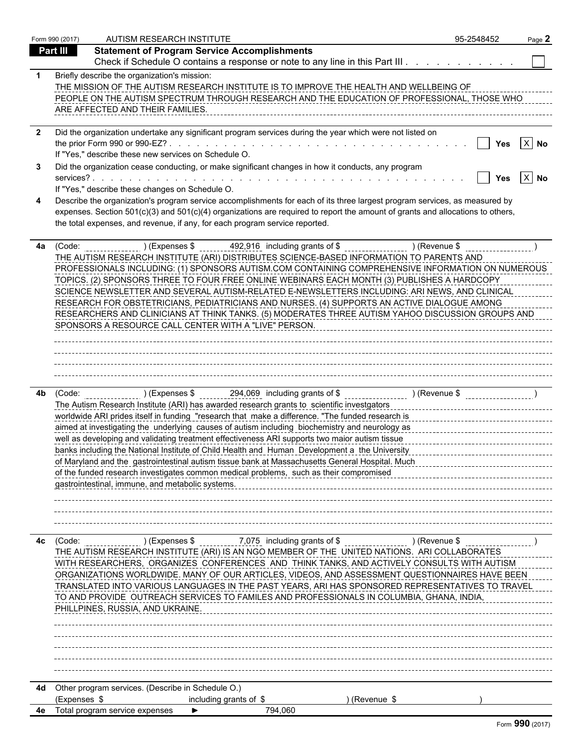|     | Form 990 (2017) | AUTISM RESEARCH INSTITUTE                                                                                                                                                                                                                                                                                                                                                                                                                                                                                                                                                                                                                                                                                                                                                                                                                              |               | 95-2548452 | Page 2 |
|-----|-----------------|--------------------------------------------------------------------------------------------------------------------------------------------------------------------------------------------------------------------------------------------------------------------------------------------------------------------------------------------------------------------------------------------------------------------------------------------------------------------------------------------------------------------------------------------------------------------------------------------------------------------------------------------------------------------------------------------------------------------------------------------------------------------------------------------------------------------------------------------------------|---------------|------------|--------|
|     | Part III        | <b>Statement of Program Service Accomplishments</b><br>Check if Schedule O contains a response or note to any line in this Part III                                                                                                                                                                                                                                                                                                                                                                                                                                                                                                                                                                                                                                                                                                                    |               |            |        |
|     |                 | Briefly describe the organization's mission:<br>THE MISSION OF THE AUTISM RESEARCH INSTITUTE IS TO IMPROVE THE HEALTH AND WELLBEING OF<br>PEOPLE ON THE AUTISM SPECTRUM THROUGH RESEARCH AND THE EDUCATION OF PROFESSIONAL, THOSE WHO<br>ARE AFFECTED AND THEIR FAMILIES.                                                                                                                                                                                                                                                                                                                                                                                                                                                                                                                                                                              |               |            |        |
|     |                 | Did the organization undertake any significant program services during the year which were not listed on<br>If "Yes," describe these new services on Schedule O.                                                                                                                                                                                                                                                                                                                                                                                                                                                                                                                                                                                                                                                                                       |               | <b>Yes</b> | $X$ No |
|     |                 | Did the organization cease conducting, or make significant changes in how it conducts, any program                                                                                                                                                                                                                                                                                                                                                                                                                                                                                                                                                                                                                                                                                                                                                     |               | <b>Yes</b> | $X$ No |
|     |                 | If "Yes," describe these changes on Schedule O.<br>Describe the organization's program service accomplishments for each of its three largest program services, as measured by<br>expenses. Section 501(c)(3) and 501(c)(4) organizations are required to report the amount of grants and allocations to others,<br>the total expenses, and revenue, if any, for each program service reported.                                                                                                                                                                                                                                                                                                                                                                                                                                                         |               |            |        |
| 4a  | (Code:          | _____________)(Expenses \$ _______492,916 including grants of \$ _________________)(Revenue \$<br>THE AUTISM RESEARCH INSTITUTE (ARI) DISTRIBUTES SCIENCE-BASED INFORMATION TO PARENTS AND<br>PROFESSIONALS INCLUDING: (1) SPONSORS AUTISM.COM CONTAINING COMPREHENSIVE INFORMATION ON NUMEROUS<br>TOPICS. (2) SPONSORS THREE TO FOUR FREE ONLINE WEBINARS EACH MONTH (3) PUBLISHES A HARDCOPY<br>SCIENCE NEWSLETTER AND SEVERAL AUTISM-RELATED E-NEWSLETTERS INCLUDING: ARI NEWS, AND CLINICAL<br>RESEARCH FOR OBSTETRICIANS, PEDIATRICIANS AND NURSES. (4) SUPPORTS AN ACTIVE DIALOGUE AMONG<br>RESEARCHERS AND CLINICIANS AT THINK TANKS. (5) MODERATES THREE AUTISM YAHOO DISCUSSION GROUPS AND<br>SPONSORS A RESOURCE CALL CENTER WITH A "LIVE" PERSON.                                                                                           |               |            |        |
| 4b. | (Code:          | _____________)(Expenses \$ _______294,069_including grants of \$ _________________)(Revenue \$<br>The Autism Research Institute (ARI) has awarded research grants to scientific investgators<br>worldwide ARI prides itself in funding "research that make a difference. "The funded research is<br>aimed at investigating the underlying causes of autism including biochemistry and neurology as<br>well as developing and validating treatment effectiveness ARI supports two maior autism tissue<br>banks including the National Institute of Child Health and Human Development a the University<br>of Maryland and the gastrointestinal autism tissue bank at Massachusetts General Hospital. Much<br>of the funded research investigates common medical problems, such as their compromised<br>gastrointestinal, immune, and metabolic systems. |               |            |        |
| 4с  | (Code:          | 7,075 including grants of \$<br>) (Expenses \$<br>THE AUTISM RESEARCH INSTITUTE (ARI) IS AN NGO MEMBER OF THE UNITED NATIONS. ARI COLLABORATES<br>WITH RESEARCHERS, ORGANIZES CONFERENCES AND THINK TANKS, AND ACTIVELY CONSULTS WITH AUTISM<br>ORGANIZATIONS WORLDWIDE. MANY OF OUR ARTICLES. VIDEOS. AND ASSESSMENT QUESTIONNAIRES HAVE BEEN<br>TRANSLATED INTO VARIOUS LANGUAGES IN THE PAST YEARS, ARI HAS SPONSORED REPRESENTATIVES TO TRAVEL<br>TO AND PROVIDE OUTREACH SERVICES TO FAMILES AND PROFESSIONALS IN COLUMBIA, GHANA, INDIA,<br>PHILLPINES, RUSSIA, AND UKRAINE.                                                                                                                                                                                                                                                                     | ) (Revenue \$ |            |        |
| 4d  |                 | Other program services. (Describe in Schedule O.)                                                                                                                                                                                                                                                                                                                                                                                                                                                                                                                                                                                                                                                                                                                                                                                                      |               |            |        |
| 4e. | (Expenses \$    | including grants of \$<br>Total program service expenses<br>794,060                                                                                                                                                                                                                                                                                                                                                                                                                                                                                                                                                                                                                                                                                                                                                                                    | ) (Revenue \$ |            |        |
|     |                 |                                                                                                                                                                                                                                                                                                                                                                                                                                                                                                                                                                                                                                                                                                                                                                                                                                                        |               |            |        |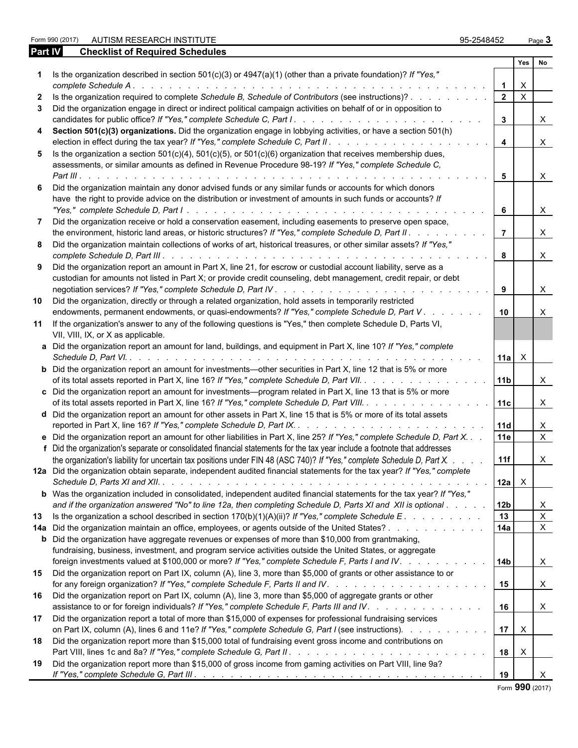Form 990 (2017) AUTISM RESEARCH INSTITUTE **12.1 and 2018 12.1 and 2019** 12.1 and 2019 12.1 and 2019 12.1 and 2019 12.1 and 2019 12.1 and 2019 12.1 and 2019 12.1 and 2019 12.1 and 2019 12.1 and 2019 12.1 and 2019 12.1 and 2

| <b>Part IV</b> | <b>Checklist of Required Schedules</b>                                                                                                                                                                                                                |                 |                           |              |  |
|----------------|-------------------------------------------------------------------------------------------------------------------------------------------------------------------------------------------------------------------------------------------------------|-----------------|---------------------------|--------------|--|
|                |                                                                                                                                                                                                                                                       |                 | Yes No                    |              |  |
|                | Is the organization described in section $501(c)(3)$ or $4947(a)(1)$ (other than a private foundation)? If "Yes,"                                                                                                                                     |                 | $\mathsf{X}$              |              |  |
|                | Is the organization required to complete Schedule B, Schedule of Contributors (see instructions)?                                                                                                                                                     | $\overline{2}$  | $\mathsf{X}$              |              |  |
| 3              | Did the organization engage in direct or indirect political campaign activities on behalf of or in opposition to                                                                                                                                      | 3 <sup>1</sup>  |                           | $\mathsf{X}$ |  |
|                | Section 501(c)(3) organizations. Did the organization engage in lobbying activities, or have a section 501(h)                                                                                                                                         |                 |                           | $\mathsf{X}$ |  |
|                |                                                                                                                                                                                                                                                       |                 |                           |              |  |
| 5.             | Is the organization a section $501(c)(4)$ , $501(c)(5)$ , or $501(c)(6)$ organization that receives membership dues,<br>assessments, or similar amounts as defined in Revenue Procedure 98-19? If "Yes," complete Schedule C,                         |                 |                           |              |  |
|                |                                                                                                                                                                                                                                                       | 5 <sub>5</sub>  |                           | $\mathsf{X}$ |  |
|                | Did the organization maintain any donor advised funds or any similar funds or accounts for which donors<br>have the right to provide advice on the distribution or investment of amounts in such funds or accounts? If                                | $6\overline{6}$ |                           | $\mathsf{X}$ |  |
|                | Did the organization receive or hold a conservation easement, including easements to preserve open space,<br>the environment, historic land areas, or historic structures? If "Yes," complete Schedule D, Part II.                                    | $\overline{7}$  |                           | $\mathsf{X}$ |  |
| 8              | Did the organization maintain collections of works of art, historical treasures, or other similar assets? If "Yes,"                                                                                                                                   | 8               |                           | $\mathsf{X}$ |  |
|                | Did the organization report an amount in Part X, line 21, for escrow or custodial account liability, serve as a<br>custodian for amounts not listed in Part X; or provide credit counseling, debt management, credit repair, or debt                  |                 |                           |              |  |
|                |                                                                                                                                                                                                                                                       | 9               |                           | $\mathsf{X}$ |  |
| 10             | Did the organization, directly or through a related organization, hold assets in temporarily restricted<br>endowments, permanent endowments, or quasi-endowments? If "Yes," complete Schedule D, Part V.                                              | 10              |                           | X            |  |
|                | 11 If the organization's answer to any of the following questions is "Yes," then complete Schedule D, Parts VI,<br>VII, VIII, IX, or X as applicable.                                                                                                 |                 |                           |              |  |
|                | a Did the organization report an amount for land, buildings, and equipment in Part X, line 10? If "Yes," complete                                                                                                                                     | $ 11a  \times$  |                           |              |  |
|                | <b>b</b> Did the organization report an amount for investments—other securities in Part X, line 12 that is 5% or more<br>of its total assets reported in Part X, line 16? If "Yes," complete Schedule D, Part VII.                                    | 11 <sub>b</sub> |                           | $\times$     |  |
|                | c Did the organization report an amount for investments-program related in Part X, line 13 that is 5% or more<br>of its total assets reported in Part X, line 16? If "Yes," complete Schedule D, Part VIII.                                           | 11c             |                           | $\mathsf{X}$ |  |
|                | d Did the organization report an amount for other assets in Part X, line 15 that is 5% or more of its total assets                                                                                                                                    | 11d             |                           | X            |  |
|                | e Did the organization report an amount for other liabilities in Part X, line 25? If "Yes," complete Schedule D, Part X.<br>f Did the organization's separate or consolidated financial statements for the tax year include a footnote that addresses | 11e             |                           | $\mathsf{X}$ |  |
|                | the organization's liability for uncertain tax positions under FIN 48 (ASC 740)? If "Yes," complete Schedule D, Part X.                                                                                                                               | 11f             |                           | X.           |  |
|                | 12a Did the organization obtain separate, independent audited financial statements for the tax year? If "Yes," complete                                                                                                                               | $12a \mid X$    |                           |              |  |
|                | <b>b</b> Was the organization included in consolidated, independent audited financial statements for the tax year? If "Yes,"                                                                                                                          |                 |                           |              |  |
|                | and if the organization answered "No" to line 12a, then completing Schedule D, Parts XI and XII is optional.                                                                                                                                          | 12 <sub>b</sub> |                           | X            |  |
| 13             | Is the organization a school described in section $170(b)(1)(A)(ii)$ ? If "Yes," complete Schedule E.                                                                                                                                                 | 13              |                           | $\mathsf X$  |  |
|                | 14a Did the organization maintain an office, employees, or agents outside of the United States?.<br>and the company of the company of                                                                                                                 | 14a             |                           | $\mathsf{X}$ |  |
|                | <b>b</b> Did the organization have aggregate revenues or expenses of more than \$10,000 from grantmaking,                                                                                                                                             |                 |                           |              |  |
|                | fundraising, business, investment, and program service activities outside the United States, or aggregate                                                                                                                                             |                 |                           |              |  |
|                | foreign investments valued at \$100,000 or more? If "Yes," complete Schedule F, Parts I and IV.                                                                                                                                                       | 14 <sub>b</sub> |                           | X            |  |
| 15             | Did the organization report on Part IX, column (A), line 3, more than \$5,000 of grants or other assistance to or                                                                                                                                     | 15              |                           | X            |  |
| 16             | Did the organization report on Part IX, column (A), line 3, more than \$5,000 of aggregate grants or other<br>assistance to or for foreign individuals? If "Yes," complete Schedule F, Parts III and IV.                                              | 16              |                           | X            |  |
| 17             | Did the organization report a total of more than \$15,000 of expenses for professional fundraising services<br>on Part IX, column (A), lines 6 and 11e? If "Yes," complete Schedule G, Part I (see instructions).                                     | 17              | $\mathsf{X}$              |              |  |
| 18             | Did the organization report more than \$15,000 total of fundraising event gross income and contributions on                                                                                                                                           | 18              | $\boldsymbol{\mathsf{X}}$ |              |  |
| 19             | Did the organization report more than \$15,000 of gross income from gaming activities on Part VIII, line 9a?                                                                                                                                          | 19              |                           |              |  |

Form **990** (2017)

| Form 990 (2017) |  |  |  |
|-----------------|--|--|--|
|                 |  |  |  |
|                 |  |  |  |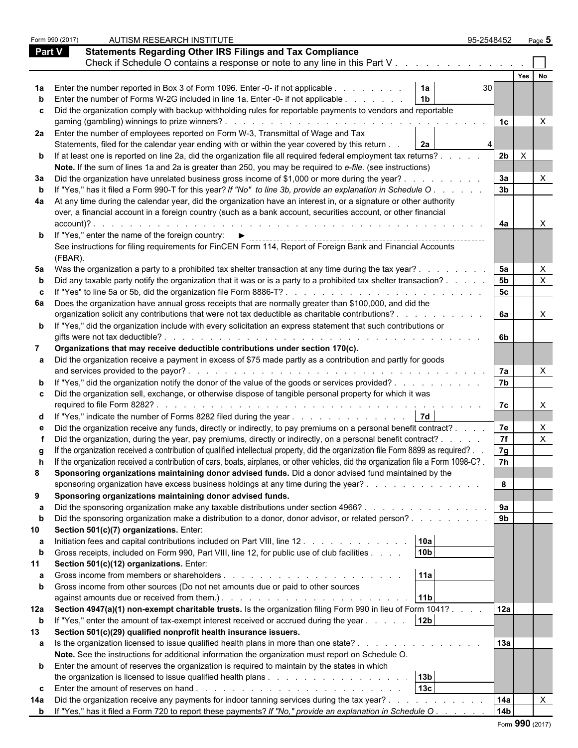|               | Form 990 (2017) | AUTISM RESEARCH INSTITUTE                                                                                                           | 95-2548452      |              | Page 5         |  |
|---------------|-----------------|-------------------------------------------------------------------------------------------------------------------------------------|-----------------|--------------|----------------|--|
| <b>Part V</b> |                 | <b>Statements Regarding Other IRS Filings and Tax Compliance</b>                                                                    |                 |              |                |  |
|               |                 | Check if Schedule O contains a response or note to any line in this Part V                                                          |                 |              |                |  |
|               |                 |                                                                                                                                     |                 | Yes          |                |  |
|               |                 | 1a<br>Enter the number reported in Box 3 of Form 1096. Enter -0- if not applicable                                                  | 30              |              |                |  |
|               |                 | 1 <sub>b</sub><br>Enter the number of Forms W-2G included in line 1a. Enter -0- if not applicable                                   |                 |              |                |  |
|               |                 | Did the organization comply with backup withholding rules for reportable payments to vendors and reportable                         |                 |              |                |  |
|               |                 |                                                                                                                                     | 1c              |              |                |  |
|               |                 | 2a Enter the number of employees reported on Form W-3, Transmittal of Wage and Tax                                                  |                 |              |                |  |
|               |                 | 2a<br>Statements, filed for the calendar year ending with or within the year covered by this return                                 |                 |              |                |  |
| b             |                 | If at least one is reported on line 2a, did the organization file all required federal employment tax returns?                      | 2 <sub>b</sub>  | $\mathsf{X}$ |                |  |
|               |                 | Note. If the sum of lines 1a and 2a is greater than 250, you may be required to e-file. (see instructions)                          |                 |              |                |  |
| За            |                 | Did the organization have unrelated business gross income of \$1,000 or more during the year?.                                      | 3a              |              |                |  |
|               |                 | If "Yes," has it filed a Form 990-T for this year? If "No" to line 3b, provide an explanation in Schedule O.                        | 3 <sub>b</sub>  |              |                |  |
|               |                 |                                                                                                                                     |                 |              |                |  |
| 4a            |                 | At any time during the calendar year, did the organization have an interest in, or a signature or other authority                   |                 |              |                |  |
|               |                 | over, a financial account in a foreign country (such as a bank account, securities account, or other financial                      |                 |              |                |  |
|               |                 |                                                                                                                                     | 4a              |              |                |  |
|               |                 | If "Yes," enter the name of the foreign country: ▶                                                                                  |                 |              |                |  |
|               |                 | See instructions for filing requirements for FinCEN Form 114, Report of Foreign Bank and Financial Accounts                         |                 |              |                |  |
|               | (FBAR).         |                                                                                                                                     |                 |              |                |  |
| 5a            |                 | Was the organization a party to a prohibited tax shelter transaction at any time during the tax year?.                              | 5a              |              | X              |  |
|               |                 | Did any taxable party notify the organization that it was or is a party to a prohibited tax shelter transaction?                    | 5 <sub>b</sub>  |              | $\pmb{\times}$ |  |
|               |                 |                                                                                                                                     | 5 <sub>c</sub>  |              |                |  |
| 6а            |                 | Does the organization have annual gross receipts that are normally greater than \$100,000, and did the                              |                 |              |                |  |
|               |                 | organization solicit any contributions that were not tax deductible as charitable contributions?                                    | 6a              |              | $\times$       |  |
|               |                 | <b>b</b> If "Yes," did the organization include with every solicitation an express statement that such contributions or             |                 |              |                |  |
|               |                 |                                                                                                                                     | 6 <sub>b</sub>  |              |                |  |
|               |                 | Organizations that may receive deductible contributions under section 170(c).                                                       |                 |              |                |  |
|               |                 | Did the organization receive a payment in excess of \$75 made partly as a contribution and partly for goods                         |                 |              |                |  |
|               |                 |                                                                                                                                     | 7a              |              | $\times$       |  |
|               |                 | Yes," did the organization notify the donor of the value of the goods or services provided?                                         | 7 <sub>b</sub>  |              |                |  |
|               |                 | c Did the organization sell, exchange, or otherwise dispose of tangible personal property for which it was                          |                 |              |                |  |
|               |                 |                                                                                                                                     | 7c              |              | X              |  |
|               |                 | 'Yes," indicate the number of Forms 8282 filed during the year . $\ldots$ 7d $\,$                                                   |                 |              |                |  |
|               |                 | Did the organization receive any funds, directly or indirectly, to pay premiums on a personal benefit contract?                     | 7e              |              |                |  |
|               |                 | Did the organization, during the year, pay premiums, directly or indirectly, on a personal benefit contract? .                      | 7f              |              | X              |  |
|               |                 | If the organization received a contribution of qualified intellectual property, did the organization file Form 8899 as required?    | 7g              |              |                |  |
|               |                 | If the organization received a contribution of cars, boats, airplanes, or other vehicles, did the organization file a Form 1098-C?. | <b>7h</b>       |              |                |  |
| 8             |                 | Sponsoring organizations maintaining donor advised funds. Did a donor advised fund maintained by the                                |                 |              |                |  |
|               |                 | sponsoring organization have excess business holdings at any time during the year?                                                  | 8               |              |                |  |
| 9             |                 | Sponsoring organizations maintaining donor advised funds.                                                                           |                 |              |                |  |
|               |                 | Did the sponsoring organization make any taxable distributions under section 4966?                                                  | 9a              |              |                |  |
|               |                 | Did the sponsoring organization make a distribution to a donor, donor advisor, or related person?                                   | 9 <sub>b</sub>  |              |                |  |
| 10            |                 | Section 501(c)(7) organizations. Enter:                                                                                             |                 |              |                |  |
|               |                 | 10a<br>Initiation fees and capital contributions included on Part VIII, line 12.                                                    |                 |              |                |  |
|               |                 | 10 <sub>b</sub><br>Gross receipts, included on Form 990, Part VIII, line 12, for public use of club facilities                      |                 |              |                |  |
|               |                 | Section 501(c)(12) organizations. Enter:                                                                                            |                 |              |                |  |
|               |                 | 11a                                                                                                                                 |                 |              |                |  |
|               |                 |                                                                                                                                     |                 |              |                |  |
|               |                 | Gross income from other sources (Do not net amounts due or paid to other sources                                                    |                 |              |                |  |
|               |                 | 11 <sub>b</sub>                                                                                                                     |                 |              |                |  |
| 12a           |                 | Section 4947(a)(1) non-exempt charitable trusts. Is the organization filing Form 990 in lieu of Form 1041?                          | 12a             |              |                |  |
| b             |                 | 12 <sub>b</sub><br>If "Yes," enter the amount of tax-exempt interest received or accrued during the year                            |                 |              |                |  |
| 13            |                 | Section 501(c)(29) qualified nonprofit health insurance issuers.                                                                    |                 |              |                |  |
| а             |                 | Is the organization licensed to issue qualified health plans in more than one state?                                                | 13a             |              |                |  |
|               |                 | Note. See the instructions for additional information the organization must report on Schedule O.                                   |                 |              |                |  |
|               |                 | <b>b</b> Enter the amount of reserves the organization is required to maintain by the states in which                               |                 |              |                |  |
|               |                 | 13 <sub>b</sub>                                                                                                                     |                 |              |                |  |
| C             |                 | 13 <sub>c</sub>                                                                                                                     |                 |              |                |  |
| 14a           |                 | Did the organization receive any payments for indoor tanning services during the tax year?.                                         | 14a             |              | X              |  |
| $\mathbf b$   |                 | If "Yes," has it filed a Form 720 to report these payments? If "No," provide an explanation in Schedule O                           | 14 <sub>b</sub> |              |                |  |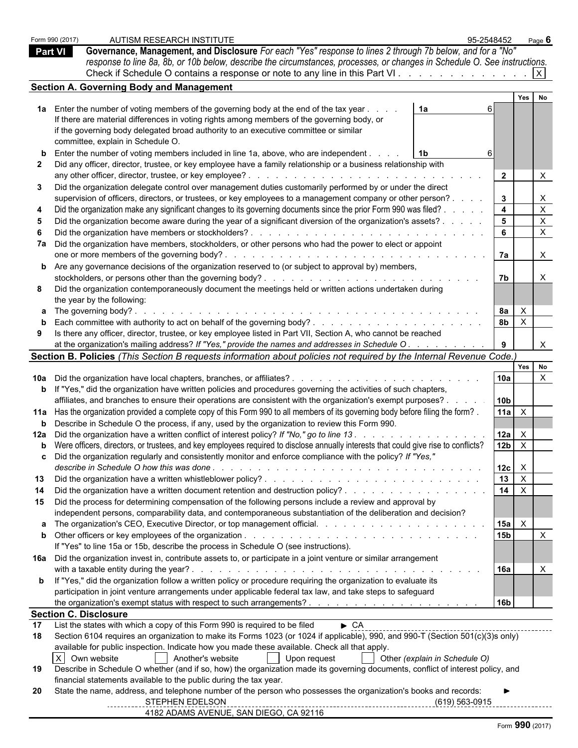|                | Form 990 (2017) | AUTISM RESEARCH INSTITUTE                                                                                                                                                                                                            | 95-2548452 |                                 | Page $6$ |                           |
|----------------|-----------------|--------------------------------------------------------------------------------------------------------------------------------------------------------------------------------------------------------------------------------------|------------|---------------------------------|----------|---------------------------|
| <b>Part VI</b> |                 | Governance, Management, and Disclosure For each "Yes" response to lines 2 through 7b below, and for a "No"                                                                                                                           |            |                                 |          |                           |
|                |                 | response to line 8a, 8b, or 10b below, describe the circumstances, processes, or changes in Schedule O. See instructions.                                                                                                            |            |                                 |          |                           |
|                |                 | Check if Schedule O contains a response or note to any line in this Part VI                                                                                                                                                          |            |                                 |          |                           |
|                |                 | <b>Section A. Governing Body and Management</b>                                                                                                                                                                                      |            |                                 |          |                           |
|                |                 | 1a                                                                                                                                                                                                                                   |            |                                 | Yes No   |                           |
|                |                 | 1a Enter the number of voting members of the governing body at the end of the tax year.<br>If there are material differences in voting rights among members of the governing body, or                                                |            |                                 |          |                           |
|                |                 |                                                                                                                                                                                                                                      |            |                                 |          |                           |
|                |                 | if the governing body delegated broad authority to an executive committee or similar<br>committee, explain in Schedule O.                                                                                                            |            |                                 |          |                           |
|                |                 | <b>b</b> Enter the number of voting members included in line 1a, above, who are independent.<br>l 1b                                                                                                                                 |            |                                 |          |                           |
|                |                 |                                                                                                                                                                                                                                      |            |                                 |          |                           |
| $\mathbf{2}$   |                 | Did any officer, director, trustee, or key employee have a family relationship or a business relationship with                                                                                                                       |            | $\overline{2}$                  |          | $\boldsymbol{\mathsf{X}}$ |
| 3              |                 | Did the organization delegate control over management duties customarily performed by or under the direct                                                                                                                            |            |                                 |          |                           |
|                |                 | supervision of officers, directors, or trustees, or key employees to a management company or other person?.                                                                                                                          |            | $3^{\circ}$                     |          | X                         |
|                |                 | Did the organization make any significant changes to its governing documents since the prior Form 990 was filed? .                                                                                                                   |            | $\overline{4}$                  |          | $\mathsf X$               |
|                |                 | Did the organization become aware during the year of a significant diversion of the organization's assets?                                                                                                                           |            | 5                               |          | $\mathsf X$               |
|                |                 | Did the organization have members or stockholders?.                                                                                                                                                                                  |            | 6                               |          | $\mathsf X$               |
|                |                 | 7a Did the organization have members, stockholders, or other persons who had the power to elect or appoint                                                                                                                           |            |                                 |          |                           |
|                |                 | one or more members of the governing body?.                                                                                                                                                                                          |            | 7a                              |          | $\mathsf{X}$              |
|                |                 | <b>b</b> Are any governance decisions of the organization reserved to (or subject to approval by) members,                                                                                                                           |            |                                 |          |                           |
|                |                 |                                                                                                                                                                                                                                      |            | 7 <sub>b</sub>                  |          | $\boldsymbol{\mathsf{X}}$ |
| 8              |                 | Did the organization contemporaneously document the meetings held or written actions undertaken during                                                                                                                               |            |                                 |          |                           |
|                |                 | the year by the following:                                                                                                                                                                                                           |            |                                 |          |                           |
|                |                 |                                                                                                                                                                                                                                      |            | 8a<br>$\mathsf{X}$              |          |                           |
|                |                 |                                                                                                                                                                                                                                      |            | 8b<br>$\mathsf{X}$              |          |                           |
|                |                 | 9 Is there any officer, director, trustee, or key employee listed in Part VII, Section A, who cannot be reached                                                                                                                      |            |                                 |          |                           |
|                |                 | at the organization's mailing address? If "Yes," provide the names and addresses in Schedule O.                                                                                                                                      |            |                                 |          | $\mathsf{X}$              |
|                |                 | Section B. Policies (This Section B requests information about policies not required by the Internal Revenue Code.)                                                                                                                  |            |                                 |          |                           |
|                |                 |                                                                                                                                                                                                                                      |            |                                 | Yes No   |                           |
|                |                 |                                                                                                                                                                                                                                      |            | 10a                             |          | $\boldsymbol{\mathsf{X}}$ |
|                |                 | <b>b</b> If "Yes," did the organization have written policies and procedures governing the activities of such chapters,                                                                                                              |            |                                 |          |                           |
|                |                 | affiliates, and branches to ensure their operations are consistent with the organization's exempt purposes?.                                                                                                                         |            | 10 <sub>b</sub>                 |          |                           |
|                |                 | 11a Has the organization provided a complete copy of this Form 990 to all members of its governing body before filing the form?.                                                                                                     |            | 11a<br>$\mathsf{X}$             |          |                           |
|                |                 | <b>b</b> Describe in Schedule O the process, if any, used by the organization to review this Form 990.<br>12a Did the organization have a written conflict of interest policy? If "No," go to line 13.                               |            | 12a<br>$\times$                 |          |                           |
|                |                 | <b>b</b> Were officers, directors, or trustees, and key employees required to disclose annually interests that could give rise to conflicts?                                                                                         |            | 12 <sub>b</sub><br>$\mathsf{X}$ |          |                           |
|                |                 | Did the organization regularly and consistently monitor and enforce compliance with the policy? If "Yes,"                                                                                                                            |            |                                 |          |                           |
|                |                 |                                                                                                                                                                                                                                      |            | $\mathsf{X}$<br>12c             |          |                           |
|                |                 |                                                                                                                                                                                                                                      |            | $13 \mid X$                     |          |                           |
|                |                 |                                                                                                                                                                                                                                      |            | $14 \mid X$                     |          |                           |
|                |                 | 15 Did the process for determining compensation of the following persons include a review and approval by                                                                                                                            |            |                                 |          |                           |
|                |                 | independent persons, comparability data, and contemporaneous substantiation of the deliberation and decision?                                                                                                                        |            |                                 |          |                           |
|                |                 |                                                                                                                                                                                                                                      |            | 15a<br>$\mathsf{X}$             |          |                           |
|                |                 |                                                                                                                                                                                                                                      |            | 15 <sub>b</sub>                 |          | $\mathsf{X}$              |
|                |                 | If "Yes" to line 15a or 15b, describe the process in Schedule O (see instructions).                                                                                                                                                  |            |                                 |          |                           |
|                |                 | 16a Did the organization invest in, contribute assets to, or participate in a joint venture or similar arrangement                                                                                                                   |            |                                 |          |                           |
|                |                 |                                                                                                                                                                                                                                      |            | <b>16a</b>                      |          | $\times$                  |
|                |                 | <b>b</b> If "Yes," did the organization follow a written policy or procedure requiring the organization to evaluate its<br>participation in joint venture arrangements under applicable federal tax law, and take steps to safeguard |            |                                 |          |                           |
|                |                 |                                                                                                                                                                                                                                      |            | 16b                             |          |                           |
|                |                 | <b>Section C. Disclosure</b>                                                                                                                                                                                                         |            |                                 |          |                           |
| 17             |                 | List the states with which a copy of this Form 990 is required to be filed<br>$\triangleright$ CA                                                                                                                                    |            |                                 |          |                           |
| 18             |                 | Section 6104 requires an organization to make its Forms 1023 (or 1024 if applicable), 990, and 990-T (Section 501(c)(3)s only)                                                                                                       |            |                                 |          |                           |
|                |                 | available for public inspection. Indicate how you made these available. Check all that apply.                                                                                                                                        |            |                                 |          |                           |
|                |                 | $X$ Own website<br>Another's website<br>Upon request<br>Other (explain in Schedule O)                                                                                                                                                |            |                                 |          |                           |
| 19             |                 | Describe in Schedule O whether (and if so, how) the organization made its governing documents, conflict of interest policy, and                                                                                                      |            |                                 |          |                           |
| 20             |                 | financial statements available to the public during the tax year.<br>State the name, address, and telephone number of the person who possesses the organization's books and records:                                                 |            |                                 |          |                           |
|                |                 | STEPHEN EDELSON                                                                                                                                                                                                                      |            |                                 |          |                           |
|                |                 | ----------<br>4182 ADAMS AVENUE, SAN DIEGO, CA 92116                                                                                                                                                                                 |            |                                 |          |                           |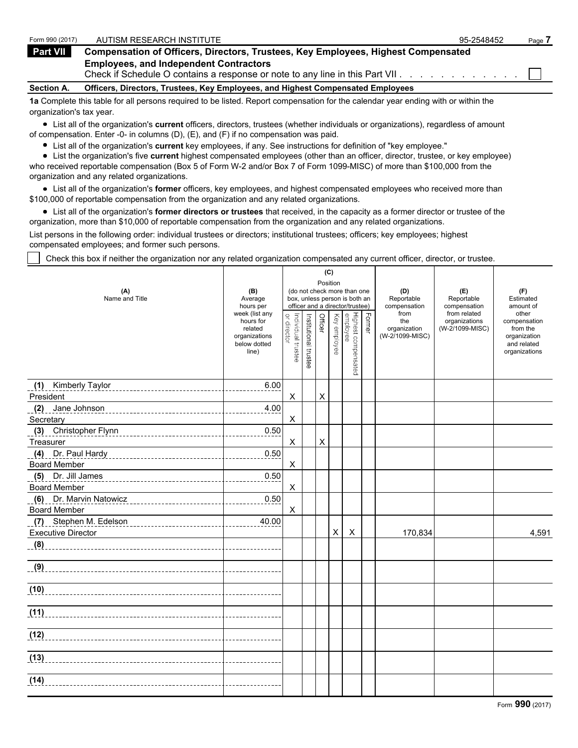| Form 990 (2017)   | AUTISM RESEARCH INSTITUTE                                                                                                         | 95-2548452 | Page . |
|-------------------|-----------------------------------------------------------------------------------------------------------------------------------|------------|--------|
| <b>Part VII</b>   | Compensation of Officers, Directors, Trustees, Key Employees, Highest Compensated                                                 |            |        |
|                   | <b>Employees, and Independent Contractors</b><br>Check if Schedule O contains a response or note to any line in this Part VII.    |            |        |
| <b>Section A.</b> | Officers, Directors, Trustees, Key Employees, and Highest Compensated Employees                                                   |            |        |
|                   | 1a Complete this table for all persons required to be listed. Report compensation for the calendar year ending with or within the |            |        |

**1a** Complete this table for all persons required to be listed. Report compensation for the calendar year ending with or within the organization's tax year.

List all of the organization's **current** officers, directors, trustees (whether individuals or organizations), regardless of amount of compensation. Enter -0- in columns (D), (E), and (F) if no compensation was paid.

List all of the organization's **current** key employees, if any. See instructions for definition of "key employee."

List the organization's five **current** highest compensated employees (other than an officer, director, trustee, or key employee) who received reportable compensation (Box 5 of Form W-2 and/or Box 7 of Form 1099-MISC) of more than \$100,000 from the organization and any related organizations.

List all of the organization's **former** officers, key employees, and highest compensated employees who received more than \$100,000 of reportable compensation from the organization and any related organizations.

List all of the organization's **former directors or trustees** that received, in the capacity as a former director or trustee of the organization, more than \$10,000 of reportable compensation from the organization and any related organizations.

List persons in the following order: individual trustees or directors; institutional trustees; officers; key employees; highest compensated employees; and former such persons.

Check this box if neither the organization nor any related organization compensated any current officer, director, or trustee.

|                                                                                                                                                                                                                                                                               |                                                                                  |                                   |                       |             | (C)          |                                                                  |        |                                                |                                                  |                                                                                   |
|-------------------------------------------------------------------------------------------------------------------------------------------------------------------------------------------------------------------------------------------------------------------------------|----------------------------------------------------------------------------------|-----------------------------------|-----------------------|-------------|--------------|------------------------------------------------------------------|--------|------------------------------------------------|--------------------------------------------------|-----------------------------------------------------------------------------------|
| (A)                                                                                                                                                                                                                                                                           | (B)                                                                              |                                   |                       |             | Position     | (do not check more than one                                      |        | (D)                                            | (E)                                              | (F)                                                                               |
| Name and Title                                                                                                                                                                                                                                                                | Average<br>hours per                                                             |                                   |                       |             |              | box, unless person is both an<br>officer and a director/trustee) |        | Reportable<br>compensation                     | Reportable<br>compensation                       | Estimated<br>amount of                                                            |
|                                                                                                                                                                                                                                                                               | week (list any<br>hours for<br>related<br>organizations<br>below dotted<br>line) | Individual trustee<br>or director | Institutional trustee | Officer     | Key employee | Highest compensated<br>employee                                  | Former | from<br>the<br>organization<br>(W-2/1099-MISC) | from related<br>organizations<br>(W-2/1099-MISC) | other<br>compensation<br>from the<br>organization<br>and related<br>organizations |
| Kimberly Taylor<br>university Taylor<br>Services<br>Services<br>Services<br>Services<br>Services<br>Services<br>Services<br>Services<br>Services<br>Services<br>Services<br>Services<br>Services<br>Services<br>Services<br>Services<br>Services<br>Services<br>Servic<br>(1) | 6.00                                                                             |                                   |                       |             |              |                                                                  |        |                                                |                                                  |                                                                                   |
| President                                                                                                                                                                                                                                                                     |                                                                                  | X                                 |                       | X           |              |                                                                  |        |                                                |                                                  |                                                                                   |
| Jane Johnson<br>(2)<br>-------------------------------                                                                                                                                                                                                                        | 4.00                                                                             |                                   |                       |             |              |                                                                  |        |                                                |                                                  |                                                                                   |
| Secretary                                                                                                                                                                                                                                                                     |                                                                                  | X                                 |                       |             |              |                                                                  |        |                                                |                                                  |                                                                                   |
| (3) Christopher Flynn                                                                                                                                                                                                                                                         | 0.50                                                                             |                                   |                       |             |              |                                                                  |        |                                                |                                                  |                                                                                   |
| Treasurer                                                                                                                                                                                                                                                                     |                                                                                  | $\times$                          |                       | $\mathsf X$ |              |                                                                  |        |                                                |                                                  |                                                                                   |
|                                                                                                                                                                                                                                                                               | 0.50                                                                             |                                   |                       |             |              |                                                                  |        |                                                |                                                  |                                                                                   |
| <b>Board Member</b>                                                                                                                                                                                                                                                           |                                                                                  | $\times$                          |                       |             |              |                                                                  |        |                                                |                                                  |                                                                                   |
| (5) Dr. Jill James                                                                                                                                                                                                                                                            | 0.50                                                                             |                                   |                       |             |              |                                                                  |        |                                                |                                                  |                                                                                   |
| <b>Board Member</b>                                                                                                                                                                                                                                                           |                                                                                  | X                                 |                       |             |              |                                                                  |        |                                                |                                                  |                                                                                   |
| (6) Dr. Marvin Natowicz<br>_________________________                                                                                                                                                                                                                          | 0.50                                                                             |                                   |                       |             |              |                                                                  |        |                                                |                                                  |                                                                                   |
| <b>Board Member</b>                                                                                                                                                                                                                                                           |                                                                                  | X                                 |                       |             |              |                                                                  |        |                                                |                                                  |                                                                                   |
| (7) Stephen M. Edelson<br>------------------------                                                                                                                                                                                                                            | 40.00                                                                            |                                   |                       |             |              |                                                                  |        |                                                |                                                  |                                                                                   |
| <b>Executive Director</b>                                                                                                                                                                                                                                                     |                                                                                  |                                   |                       |             | X            | X                                                                |        | 170,834                                        |                                                  | 4,591                                                                             |
| (8)                                                                                                                                                                                                                                                                           |                                                                                  |                                   |                       |             |              |                                                                  |        |                                                |                                                  |                                                                                   |
| (9)                                                                                                                                                                                                                                                                           |                                                                                  |                                   |                       |             |              |                                                                  |        |                                                |                                                  |                                                                                   |
| (10)                                                                                                                                                                                                                                                                          |                                                                                  |                                   |                       |             |              |                                                                  |        |                                                |                                                  |                                                                                   |
| (11)                                                                                                                                                                                                                                                                          |                                                                                  |                                   |                       |             |              |                                                                  |        |                                                |                                                  |                                                                                   |
| (12)                                                                                                                                                                                                                                                                          |                                                                                  |                                   |                       |             |              |                                                                  |        |                                                |                                                  |                                                                                   |
| (13)                                                                                                                                                                                                                                                                          |                                                                                  |                                   |                       |             |              |                                                                  |        |                                                |                                                  |                                                                                   |
| (14)                                                                                                                                                                                                                                                                          |                                                                                  |                                   |                       |             |              |                                                                  |        |                                                |                                                  |                                                                                   |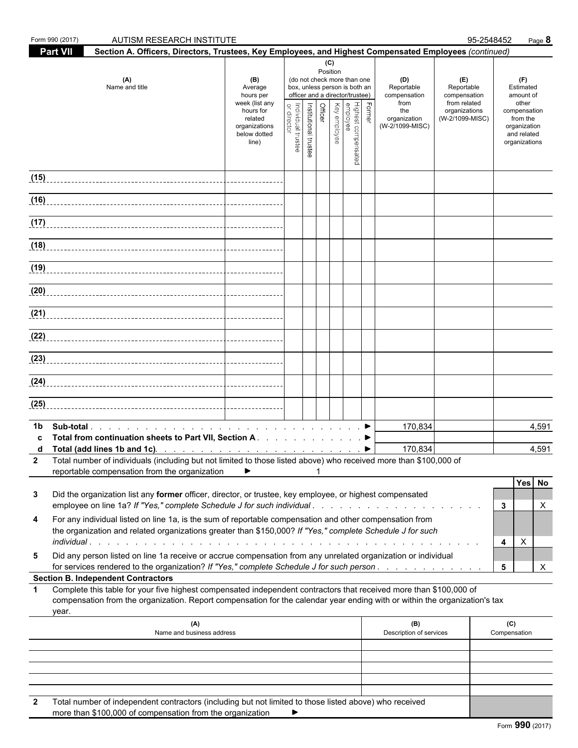|              | Form 990 (2017)<br>AUTISM RESEARCH INSTITUTE                                                                                                                                                                         |                                                                                                                 |                                  |                       |                |                                 |                                                                                                                                    |        |                                                                                     |                                                                                       | 95-2548452 |                                                                                                                    | Page $8$ |
|--------------|----------------------------------------------------------------------------------------------------------------------------------------------------------------------------------------------------------------------|-----------------------------------------------------------------------------------------------------------------|----------------------------------|-----------------------|----------------|---------------------------------|------------------------------------------------------------------------------------------------------------------------------------|--------|-------------------------------------------------------------------------------------|---------------------------------------------------------------------------------------|------------|--------------------------------------------------------------------------------------------------------------------|----------|
|              | <b>Part VII</b><br>Section A. Officers, Directors, Trustees, Key Employees, and Highest Compensated Employees (continued)                                                                                            |                                                                                                                 |                                  |                       |                |                                 |                                                                                                                                    |        |                                                                                     |                                                                                       |            |                                                                                                                    |          |
|              | (A)<br>Name and title                                                                                                                                                                                                | (B)<br>Average<br>hours per<br>week (list any<br>hours for<br>related<br>organizations<br>below dotted<br>line) | Individual trustee<br>or directo | Institutional trustee | <b>Officer</b> | (C)<br>Position<br>Key employee | (do not check more than one<br>box, unless person is both an<br>officer and a director/trustee)<br>Highest compensated<br>employee | Former | (D)<br>Reportable<br>compensation<br>from<br>the<br>organization<br>(W-2/1099-MISC) | (E)<br>Reportable<br>compensation<br>from related<br>organizations<br>(W-2/1099-MISC) |            | (F)<br>Estimated<br>amount of<br>other<br>compensation<br>from the<br>organization<br>and related<br>organizations |          |
| (15)         |                                                                                                                                                                                                                      |                                                                                                                 |                                  |                       |                |                                 |                                                                                                                                    |        |                                                                                     |                                                                                       |            |                                                                                                                    |          |
|              |                                                                                                                                                                                                                      |                                                                                                                 |                                  |                       |                |                                 |                                                                                                                                    |        |                                                                                     |                                                                                       |            |                                                                                                                    |          |
| (16)         |                                                                                                                                                                                                                      |                                                                                                                 |                                  |                       |                |                                 |                                                                                                                                    |        |                                                                                     |                                                                                       |            |                                                                                                                    |          |
| (17)         |                                                                                                                                                                                                                      |                                                                                                                 |                                  |                       |                |                                 |                                                                                                                                    |        |                                                                                     |                                                                                       |            |                                                                                                                    |          |
| (18)         |                                                                                                                                                                                                                      |                                                                                                                 |                                  |                       |                |                                 |                                                                                                                                    |        |                                                                                     |                                                                                       |            |                                                                                                                    |          |
| (19)         |                                                                                                                                                                                                                      |                                                                                                                 |                                  |                       |                |                                 |                                                                                                                                    |        |                                                                                     |                                                                                       |            |                                                                                                                    |          |
| (20)         |                                                                                                                                                                                                                      |                                                                                                                 |                                  |                       |                |                                 |                                                                                                                                    |        |                                                                                     |                                                                                       |            |                                                                                                                    |          |
| (21)         |                                                                                                                                                                                                                      |                                                                                                                 |                                  |                       |                |                                 |                                                                                                                                    |        |                                                                                     |                                                                                       |            |                                                                                                                    |          |
| (22)         |                                                                                                                                                                                                                      |                                                                                                                 |                                  |                       |                |                                 |                                                                                                                                    |        |                                                                                     |                                                                                       |            |                                                                                                                    |          |
|              |                                                                                                                                                                                                                      |                                                                                                                 |                                  |                       |                |                                 |                                                                                                                                    |        |                                                                                     |                                                                                       |            |                                                                                                                    |          |
| (23)         |                                                                                                                                                                                                                      |                                                                                                                 |                                  |                       |                |                                 |                                                                                                                                    |        |                                                                                     |                                                                                       |            |                                                                                                                    |          |
| (24)         |                                                                                                                                                                                                                      |                                                                                                                 |                                  |                       |                |                                 |                                                                                                                                    |        |                                                                                     |                                                                                       |            |                                                                                                                    |          |
| (25)         |                                                                                                                                                                                                                      |                                                                                                                 |                                  |                       |                |                                 |                                                                                                                                    |        |                                                                                     |                                                                                       |            |                                                                                                                    |          |
| 1b           |                                                                                                                                                                                                                      |                                                                                                                 |                                  |                       |                |                                 |                                                                                                                                    |        | 170,834                                                                             |                                                                                       |            |                                                                                                                    | 4,591    |
| c            | Total from continuation sheets to Part VII, Section A. ▶                                                                                                                                                             |                                                                                                                 |                                  |                       |                |                                 |                                                                                                                                    |        | 170,834                                                                             |                                                                                       |            |                                                                                                                    | 4,591    |
| 2            | Total number of individuals (including but not limited to those listed above) who received more than \$100,000 of                                                                                                    |                                                                                                                 |                                  |                       |                |                                 |                                                                                                                                    |        |                                                                                     |                                                                                       |            |                                                                                                                    |          |
|              | reportable compensation from the organization                                                                                                                                                                        | ▶                                                                                                               |                                  |                       |                |                                 |                                                                                                                                    |        |                                                                                     |                                                                                       |            |                                                                                                                    | Yes No   |
| 3            | Did the organization list any former officer, director, or trustee, key employee, or highest compensated<br>employee on line 1a? If "Yes," complete Schedule J for such individual                                   |                                                                                                                 |                                  |                       |                |                                 |                                                                                                                                    |        |                                                                                     |                                                                                       | 3          |                                                                                                                    | Х        |
| 4            | For any individual listed on line 1a, is the sum of reportable compensation and other compensation from<br>the organization and related organizations greater than \$150,000? If "Yes," complete Schedule J for such |                                                                                                                 |                                  |                       |                |                                 |                                                                                                                                    |        |                                                                                     |                                                                                       |            |                                                                                                                    |          |
|              |                                                                                                                                                                                                                      |                                                                                                                 |                                  |                       |                |                                 |                                                                                                                                    |        |                                                                                     |                                                                                       | 4          | X                                                                                                                  |          |
| 5            | Did any person listed on line 1a receive or accrue compensation from any unrelated organization or individual<br>for services rendered to the organization? If "Yes," complete Schedule J for such person            |                                                                                                                 |                                  |                       |                |                                 |                                                                                                                                    |        |                                                                                     |                                                                                       | 5          |                                                                                                                    | X        |
| $\mathbf 1$  | <b>Section B. Independent Contractors</b><br>Complete this table for your five highest compensated independent contractors that received more than \$100,000 of                                                      |                                                                                                                 |                                  |                       |                |                                 |                                                                                                                                    |        |                                                                                     |                                                                                       |            |                                                                                                                    |          |
|              | compensation from the organization. Report compensation for the calendar year ending with or within the organization's tax<br>year.                                                                                  |                                                                                                                 |                                  |                       |                |                                 |                                                                                                                                    |        |                                                                                     |                                                                                       |            |                                                                                                                    |          |
|              | (A)                                                                                                                                                                                                                  |                                                                                                                 |                                  |                       |                |                                 |                                                                                                                                    |        | (B)                                                                                 |                                                                                       |            | (C)                                                                                                                |          |
|              | Name and business address                                                                                                                                                                                            |                                                                                                                 |                                  |                       |                |                                 |                                                                                                                                    |        | Description of services                                                             |                                                                                       |            | Compensation                                                                                                       |          |
|              |                                                                                                                                                                                                                      |                                                                                                                 |                                  |                       |                |                                 |                                                                                                                                    |        |                                                                                     |                                                                                       |            |                                                                                                                    |          |
|              |                                                                                                                                                                                                                      |                                                                                                                 |                                  |                       |                |                                 |                                                                                                                                    |        |                                                                                     |                                                                                       |            |                                                                                                                    |          |
| $\mathbf{2}$ | Total number of independent contractors (including but not limited to those listed above) who received                                                                                                               |                                                                                                                 |                                  |                       |                |                                 |                                                                                                                                    |        |                                                                                     |                                                                                       |            |                                                                                                                    |          |
|              |                                                                                                                                                                                                                      |                                                                                                                 |                                  |                       |                |                                 |                                                                                                                                    |        |                                                                                     |                                                                                       |            |                                                                                                                    |          |

 $\blacktriangleright$ 

more than \$100,000 of compensation from the organization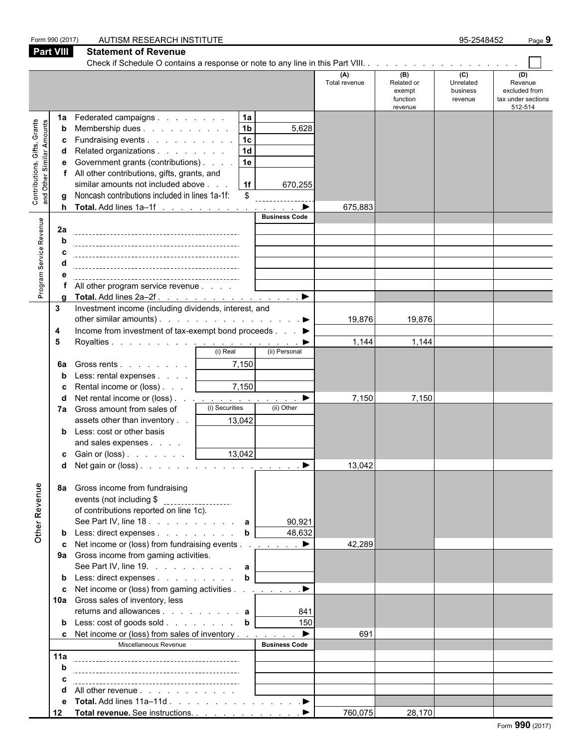|                                                           | Form 990 (2017)<br><b>Part VIII</b> | AUTISM RESEARCH INSTITUTE<br><b>Statement of Revenue</b>                                                                                                                                                                                                                                             |                                                                |                                                      |                      |                                                    | 95-2548452                              | Page 9                                                           |
|-----------------------------------------------------------|-------------------------------------|------------------------------------------------------------------------------------------------------------------------------------------------------------------------------------------------------------------------------------------------------------------------------------------------------|----------------------------------------------------------------|------------------------------------------------------|----------------------|----------------------------------------------------|-----------------------------------------|------------------------------------------------------------------|
|                                                           |                                     |                                                                                                                                                                                                                                                                                                      |                                                                |                                                      | (A)<br>Total revenue | (B)<br>Related or<br>exempt<br>function<br>revenue | (C)<br>Unrelated<br>business<br>revenue | (D)<br>Revenue<br>excluded from<br>tax under sections<br>512-514 |
| Contributions, Gifts, Grants<br>and Other Similar Amounts | 1a<br>b<br>c<br>d<br>g<br>h         | Federated campaigns<br>Membership dues<br>Fundraising events<br>Related organizations<br>Government grants (contributions)<br>All other contributions, gifts, grants, and<br>similar amounts not included above<br>Noncash contributions included in lines 1a-1f:<br>Total. Add lines 1a-1f <u>.</u> | 1a<br>1 <sub>b</sub><br>1c<br>1 <sub>d</sub><br>1e<br>1f<br>\$ | 5,628<br>670,255<br>▶                                | 675,883              |                                                    |                                         |                                                                  |
| Program Service Revenue                                   | 2a                                  | All other program service revenue                                                                                                                                                                                                                                                                    |                                                                | <b>Business Code</b>                                 |                      |                                                    |                                         |                                                                  |
|                                                           | 3<br>4                              | Investment income (including dividends, interest, and<br>other similar amounts). $\ldots$ $\ldots$ $\ldots$ $\ldots$ $\ldots$ $\ldots$<br>Income from investment of tax-exempt bond proceeds ▶                                                                                                       |                                                                |                                                      | 19,876               | 19,876                                             |                                         |                                                                  |
|                                                           | 5<br>6a<br>b<br>d<br>b              | Gross rents<br>Less: rental expenses<br>Rental income or (loss)<br>Net rental income or (loss).<br>7a Gross amount from sales of<br>assets other than inventory<br>Less: cost or other basis<br>and sales expenses                                                                                   | (i) Real<br>7,150<br>7,150<br>(i) Securities<br>13,042         | (ii) Personal<br>$\blacktriangleright$<br>(ii) Other | 1,144<br>7,150       | 1,144<br>7,150                                     |                                         |                                                                  |
|                                                           | 8а                                  | <b>c</b> Gain or (loss) <u>13,042</u><br>Gross income from fundraising                                                                                                                                                                                                                               |                                                                |                                                      | 13,042               |                                                    |                                         |                                                                  |
| Other Revenue                                             | c                                   | events (not including \$<br>of contributions reported on line 1c).<br>See Part IV, line 18. a<br>b Less: direct expenses b<br>Net income or (loss) from fundraising events ▶<br>9a Gross income from gaming activities.<br>See Part IV, line 19. $\ldots$ $\ldots$ $\ldots$ $\ldots$ a               | _____________________                                          | 90,921<br>48,632                                     | 42,289               |                                                    |                                         |                                                                  |
|                                                           | c.                                  | <b>b</b> Less: direct expenses <b>b</b><br>Net income or (loss) from gaming activities ▶<br>10a Gross sales of inventory, less<br>returns and allowances $\mathbf{a}$<br><b>b</b> Less: cost of goods sold <b>b</b>                                                                                  |                                                                | 841<br>150<br>$\blacktriangleright$                  |                      |                                                    |                                         |                                                                  |
|                                                           | 11a<br>b                            | <b>c</b> Net income or (loss) from sales of inventory<br>Miscellaneous Revenue<br>All other revenue                                                                                                                                                                                                  |                                                                | <b>Business Code</b>                                 | 691                  |                                                    |                                         |                                                                  |
|                                                           | d<br>е<br>12                        | Total. Add lines 11a-11d ▶<br>Total revenue. See instructions. ▶                                                                                                                                                                                                                                     |                                                                |                                                      | 760,075              | 28,170                                             |                                         |                                                                  |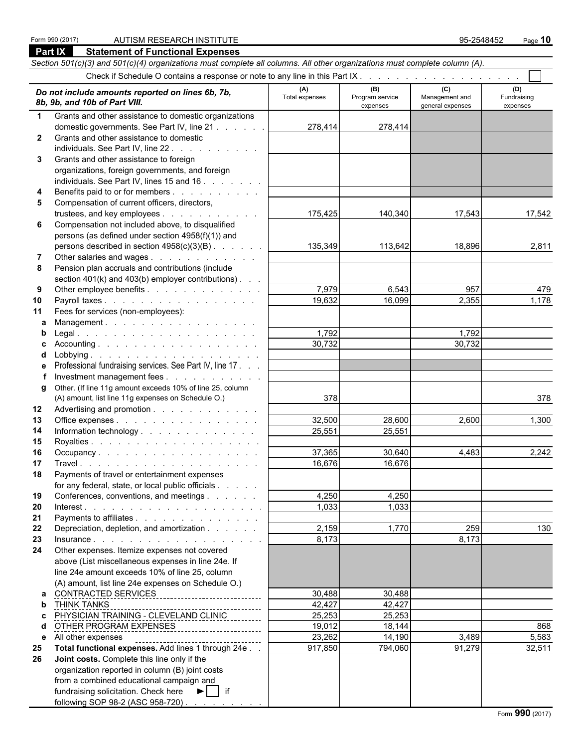#### Form 990 (2017) AUTISM RESEARCH INSTITUTE **1999** (2017) AND TO ALCOHOL 2017 AND Rage **10**

**Part IX Statement of Functional Expenses**

*Section 501(c)(3) and 501(c)(4) organizations must complete all columns. All other organizations must complete column (A).*

|                | Do not include amounts reported on lines 6b, 7b,<br>8b, 9b, and 10b of Part VIII.               | (A)<br>Total expenses | (B)<br>Program service<br>expenses | (C)<br>Management and<br>general expenses | (D)<br>Fundraising<br>expenses |
|----------------|-------------------------------------------------------------------------------------------------|-----------------------|------------------------------------|-------------------------------------------|--------------------------------|
| $\overline{1}$ | Grants and other assistance to domestic organizations                                           |                       |                                    |                                           |                                |
|                | domestic governments. See Part IV, line 21                                                      | 278,414               | 278,414                            |                                           |                                |
| $\mathbf{2}$   | Grants and other assistance to domestic                                                         |                       |                                    |                                           |                                |
|                | individuals. See Part IV, line 22                                                               |                       |                                    |                                           |                                |
| 3              | Grants and other assistance to foreign                                                          |                       |                                    |                                           |                                |
|                | organizations, foreign governments, and foreign                                                 |                       |                                    |                                           |                                |
|                | individuals. See Part IV, lines 15 and 16.                                                      |                       |                                    |                                           |                                |
| 4              | Benefits paid to or for members                                                                 |                       |                                    |                                           |                                |
| 5              | Compensation of current officers, directors,                                                    |                       |                                    |                                           |                                |
|                | trustees, and key employees                                                                     | 175,425               | 140,340                            | 17,543                                    | 17,542                         |
| 6              | Compensation not included above, to disqualified                                                |                       |                                    |                                           |                                |
|                | persons (as defined under section 4958(f)(1)) and<br>persons described in section 4958(c)(3)(B) | 135,349               | 113,642                            |                                           | 2,811                          |
| 7              | Other salaries and wages                                                                        |                       |                                    | 18,896                                    |                                |
| 8              | Pension plan accruals and contributions (include                                                |                       |                                    |                                           |                                |
|                | section $401(k)$ and $403(b)$ employer contributions).                                          |                       |                                    |                                           |                                |
| 9              | Other employee benefits                                                                         | 7,979                 | 6,543                              | 957                                       | 479                            |
| 10             | Payroll taxes                                                                                   | 19,632                | 16,099                             | 2,355                                     | 1,178                          |
| 11             | Fees for services (non-employees):                                                              |                       |                                    |                                           |                                |
| a              | Management.                                                                                     |                       |                                    |                                           |                                |
|                |                                                                                                 | 1,792                 |                                    | 1,792                                     |                                |
| C              |                                                                                                 | 30,732                |                                    | 30,732                                    |                                |
| d              |                                                                                                 |                       |                                    |                                           |                                |
| е              | Professional fundraising services. See Part IV, line 17.                                        |                       |                                    |                                           |                                |
|                | Investment management fees                                                                      |                       |                                    |                                           |                                |
| g              | Other. (If line 11g amount exceeds 10% of line 25, column                                       |                       |                                    |                                           |                                |
|                | (A) amount, list line 11g expenses on Schedule O.)                                              | 378                   |                                    |                                           | 378                            |
| 12             | Advertising and promotion                                                                       |                       |                                    |                                           |                                |
| 13             | Office expenses                                                                                 | 32,500                | 28,600                             | 2,600                                     | 1,300                          |
| 14             | Information technology.                                                                         | 25,551                | 25,551                             |                                           |                                |
| 15             |                                                                                                 |                       |                                    |                                           |                                |
| 16             | Occupancy.                                                                                      | 37,365                | 30,640                             | 4,483                                     | 2,242                          |
| 17             |                                                                                                 | 16,676                | 16,676                             |                                           |                                |
| 18             | Payments of travel or entertainment expenses                                                    |                       |                                    |                                           |                                |
|                | for any federal, state, or local public officials                                               |                       |                                    |                                           |                                |
| 19             | Conferences, conventions, and meetings                                                          | 4,250<br>1,033        | 4,250<br>1,033                     |                                           |                                |
| 20<br>21       | Payments to affiliates                                                                          |                       |                                    |                                           |                                |
| 22             | Depreciation, depletion, and amortization                                                       | 2,159                 | 1,770                              | 259                                       | 130                            |
| 23             |                                                                                                 | 8,173                 |                                    | 8,173                                     |                                |
| 24             | Other expenses. Itemize expenses not covered                                                    |                       |                                    |                                           |                                |
|                | above (List miscellaneous expenses in line 24e. If                                              |                       |                                    |                                           |                                |
|                | line 24e amount exceeds 10% of line 25, column                                                  |                       |                                    |                                           |                                |
|                | (A) amount, list line 24e expenses on Schedule O.)                                              |                       |                                    |                                           |                                |
| a              | CONTRACTED SERVICES                                                                             | 30,488                | 30,488                             |                                           |                                |
| b              | <b>THINK TANKS</b>                                                                              | 42,427                | 42,427                             |                                           |                                |
| C              | PHYSICIAN TRAINING - CLEVELAND CLINIC                                                           | 25,253                | 25,253                             |                                           |                                |
| d              | OTHER PROGRAM EXPENSES                                                                          | 19,012                | 18,144                             |                                           | 868                            |
| е              | All other expenses                                                                              | 23,262                | 14,190                             | 3,489                                     | 5,583                          |
| 25             | Total functional expenses. Add lines 1 through 24e                                              | 917,850               | 794,060                            | 91,279                                    | 32,511                         |
| 26             | Joint costs. Complete this line only if the                                                     |                       |                                    |                                           |                                |
|                | organization reported in column (B) joint costs                                                 |                       |                                    |                                           |                                |
|                | from a combined educational campaign and                                                        |                       |                                    |                                           |                                |
|                | fundraising solicitation. Check here<br>$\blacktriangleright$   if                              |                       |                                    |                                           |                                |
|                | following SOP 98-2 (ASC 958-720).                                                               |                       |                                    |                                           |                                |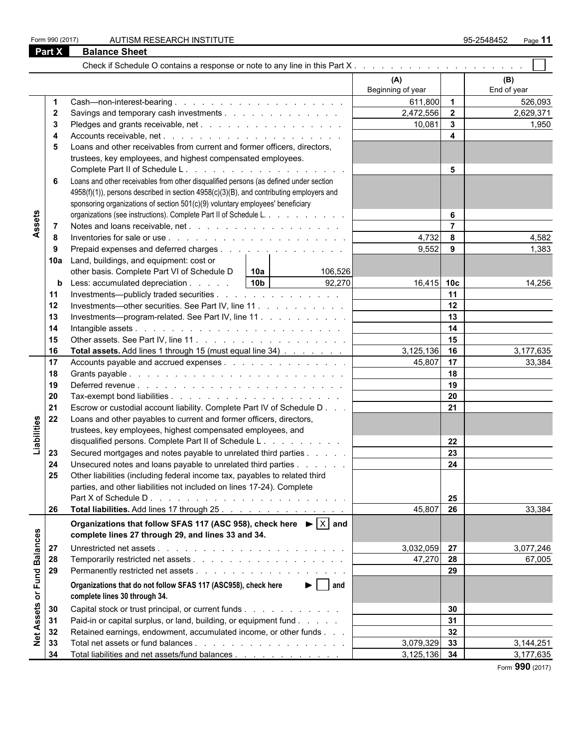| Form 990 (2017) | AUTISM RESEARCH INS  |
|-----------------|----------------------|
| <b>Part X</b>   | <b>Balance Sheet</b> |

|                   |                |                                                                                                   |                             | (A)<br>Beginning of year |                         | (B)<br>End of year |
|-------------------|----------------|---------------------------------------------------------------------------------------------------|-----------------------------|--------------------------|-------------------------|--------------------|
|                   | $\mathbf 1$    |                                                                                                   |                             | 611,800                  | $\mathbf{1}$            | 526,093            |
|                   | $\mathbf{2}$   | Savings and temporary cash investments                                                            |                             | 2,472,556                | $\overline{2}$          | 2,629,371          |
|                   | 3              |                                                                                                   |                             | 10,081                   | $\mathbf{3}$            | 1,950              |
|                   | 4              |                                                                                                   |                             |                          | $\overline{\mathbf{4}}$ |                    |
|                   | 5              | Loans and other receivables from current and former officers, directors,                          |                             |                          |                         |                    |
|                   |                | trustees, key employees, and highest compensated employees.                                       |                             |                          |                         |                    |
|                   |                |                                                                                                   |                             |                          | 5                       |                    |
|                   | 6              | Loans and other receivables from other disqualified persons (as defined under section             |                             |                          |                         |                    |
|                   |                | 4958(f)(1)), persons described in section 4958(c)(3)(B), and contributing employers and           |                             |                          |                         |                    |
|                   |                | sponsoring organizations of section 501(c)(9) voluntary employees' beneficiary                    |                             |                          |                         |                    |
|                   |                | organizations (see instructions). Complete Part II of Schedule L.                                 |                             |                          | 6                       |                    |
| Assets            | $\overline{7}$ |                                                                                                   |                             |                          | $\overline{7}$          |                    |
|                   | 8              |                                                                                                   |                             | 4,732                    | 8                       | 4,582              |
|                   | 9              | Prepaid expenses and deferred charges                                                             |                             | 9,552                    | 9                       | 1,383              |
|                   | 10a            | Land, buildings, and equipment: cost or                                                           |                             |                          |                         |                    |
|                   |                | other basis. Complete Part VI of Schedule D                                                       | 106,526<br>10a l            |                          |                         |                    |
|                   | b              | Less: accumulated depreciation                                                                    | 10 <sub>b</sub><br>92,270   | 16,415                   | 10 <sub>c</sub>         | 14,256             |
|                   | 11             | Investments—publicly traded securities                                                            |                             |                          | 11                      |                    |
|                   | 12             | Investments—other securities. See Part IV, line 11                                                |                             |                          | 12                      |                    |
|                   | 13             | Investments---program-related. See Part IV, line 11                                               |                             |                          | 13                      |                    |
|                   | 14             |                                                                                                   |                             |                          | 14                      |                    |
|                   | 15             |                                                                                                   |                             |                          | 15                      |                    |
|                   | 16             | Total assets. Add lines 1 through 15 (must equal line 34)                                         |                             | 3,125,136                | 16                      | 3,177,635          |
|                   | 17             | Accounts payable and accrued expenses                                                             |                             | 45,807                   | 17                      | 33,384             |
|                   | 18             |                                                                                                   |                             |                          | 18                      |                    |
|                   | 19             |                                                                                                   |                             |                          | 19                      |                    |
|                   | 20             |                                                                                                   |                             |                          | 20                      |                    |
|                   | 21             | Escrow or custodial account liability. Complete Part IV of Schedule D.                            |                             |                          | 21                      |                    |
|                   | 22             | Loans and other payables to current and former officers, directors,                               |                             |                          |                         |                    |
| Liabilities       |                | trustees, key employees, highest compensated employees, and                                       |                             |                          |                         |                    |
|                   |                | disqualified persons. Complete Part II of Schedule L.                                             |                             |                          | 22                      |                    |
|                   | 23             | Secured mortgages and notes payable to unrelated third parties                                    |                             |                          | 23                      |                    |
|                   | 24             | Unsecured notes and loans payable to unrelated third parties                                      |                             |                          | 24                      |                    |
|                   | 25             | Other liabilities (including federal income tax, payables to related third                        |                             |                          |                         |                    |
|                   |                | parties, and other liabilities not included on lines 17-24). Complete                             |                             |                          |                         |                    |
|                   |                |                                                                                                   |                             |                          | 25                      |                    |
|                   | 26             | Total liabilities. Add lines 17 through 25.                                                       |                             | 45,807                   | 26                      | 33,384             |
|                   |                |                                                                                                   |                             |                          |                         |                    |
|                   |                | Organizations that follow SFAS 117 (ASC 958), check here $\blacktriangleright  \overline{X} $ and |                             |                          |                         |                    |
|                   |                | complete lines 27 through 29, and lines 33 and 34.                                                |                             |                          |                         |                    |
|                   | 27             |                                                                                                   |                             | 3,032,059                | 27                      | 3,077,246          |
|                   | 28             |                                                                                                   |                             | 47,270                   | 28                      | 67,005             |
|                   | 29             |                                                                                                   |                             |                          | 29                      |                    |
| or Fund Balances  |                | Organizations that do not follow SFAS 117 (ASC958), check here                                    | $\blacktriangleright$   and |                          |                         |                    |
|                   |                | complete lines 30 through 34.                                                                     |                             |                          |                         |                    |
| <b>Net Assets</b> | 30             | Capital stock or trust principal, or current funds                                                |                             |                          | 30                      |                    |
|                   | 31             | Paid-in or capital surplus, or land, building, or equipment fund                                  |                             |                          | 31                      |                    |
|                   | 32             | Retained earnings, endowment, accumulated income, or other funds                                  |                             |                          | 32                      |                    |
|                   | 33             |                                                                                                   |                             | 3,079,329                | 33                      | 3,144,251          |
|                   | 34             | Total liabilities and net assets/fund balances                                                    |                             | 3,125,136 34             |                         | 3,177,635          |

Form **990** (2017)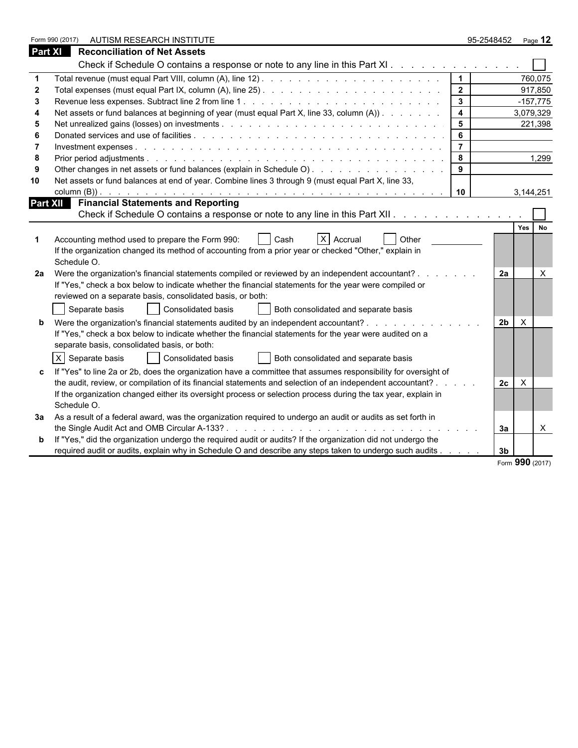|         | AUTISM RESEARCH INSTITUTE<br>Form 990 (2017)                                                                                                                                                                                                                              |                         | 95-2548452 Page 12 |                  |
|---------|---------------------------------------------------------------------------------------------------------------------------------------------------------------------------------------------------------------------------------------------------------------------------|-------------------------|--------------------|------------------|
| Part XI | <b>Reconciliation of Net Assets</b>                                                                                                                                                                                                                                       |                         |                    |                  |
|         | Check if Schedule O contains a response or note to any line in this Part XI                                                                                                                                                                                               |                         |                    |                  |
|         |                                                                                                                                                                                                                                                                           | $\overline{\mathbf{1}}$ |                    | 760,075          |
|         |                                                                                                                                                                                                                                                                           | $\overline{2}$          |                    | 917,850          |
|         |                                                                                                                                                                                                                                                                           | $3^{\circ}$             |                    | $-157,775$       |
|         | Net assets or fund balances at beginning of year (must equal Part X, line 33, column (A))                                                                                                                                                                                 | $\overline{\mathbf{4}}$ |                    | 3,079,329        |
| 5       |                                                                                                                                                                                                                                                                           | 5                       |                    | 221,398          |
| -6      |                                                                                                                                                                                                                                                                           | 6                       |                    |                  |
|         |                                                                                                                                                                                                                                                                           | $\overline{7}$          |                    |                  |
| -8      |                                                                                                                                                                                                                                                                           | 8                       |                    | 1,299            |
| -9      | Other changes in net assets or fund balances (explain in Schedule O).                                                                                                                                                                                                     | 9                       |                    |                  |
| 10      | Net assets or fund balances at end of year. Combine lines 3 through 9 (must equal Part X, line 33,                                                                                                                                                                        |                         |                    |                  |
|         |                                                                                                                                                                                                                                                                           | 10                      |                    | 3,144,251        |
|         | <b>Financial Statements and Reporting</b><br>Part XII                                                                                                                                                                                                                     |                         |                    |                  |
|         | Check if Schedule O contains a response or note to any line in this Part XII.                                                                                                                                                                                             |                         |                    |                  |
|         | $X$ Accrual<br>Accounting method used to prepare the Form 990:<br>Other<br>Cash<br>If the organization changed its method of accounting from a prior year or checked "Other," explain in<br>Schedule O.                                                                   |                         |                    | Yes<br><b>No</b> |
| 2а      | Were the organization's financial statements compiled or reviewed by an independent accountant? .<br>If "Yes," check a box below to indicate whether the financial statements for the year were compiled or<br>reviewed on a separate basis, consolidated basis, or both: | and a strategic and     | 2a                 |                  |
|         | Separate basis<br>Consolidated basis<br>Both consolidated and separate basis                                                                                                                                                                                              |                         |                    |                  |
|         | Were the organization's financial statements audited by an independent accountant?<br>If "Yes," check a box below to indicate whether the financial statements for the year were audited on a<br>separate basis, consolidated basis, or both:                             |                         | 2 <sub>b</sub>     | $\times$         |
|         | X Separate basis<br>Consolidated basis<br>Both consolidated and separate basis                                                                                                                                                                                            |                         |                    |                  |
|         | "Yes" to line 2a or 2b, does the organization have a committee that assumes responsibility for oversight of                                                                                                                                                               |                         |                    |                  |
|         | the audit, review, or compilation of its financial statements and selection of an independent accountant?                                                                                                                                                                 |                         | 2c                 | $\times$         |
|         | If the organization changed either its oversight process or selection process during the tax year, explain in<br>Schedule O.                                                                                                                                              |                         |                    |                  |
| За      | As a result of a federal award, was the organization required to undergo an audit or audits as set forth in                                                                                                                                                               |                         |                    |                  |
|         |                                                                                                                                                                                                                                                                           |                         | За                 | $\times$         |
| b       | If "Yes," did the organization undergo the required audit or audits? If the organization did not undergo the                                                                                                                                                              |                         |                    |                  |
|         | required audit or audits, explain why in Schedule O and describe any steps taken to undergo such audits                                                                                                                                                                   |                         | 3 <sub>b</sub>     |                  |
|         |                                                                                                                                                                                                                                                                           |                         |                    | Form 990 (2017)  |

|  | orm $990$ (2017) |  |
|--|------------------|--|
|--|------------------|--|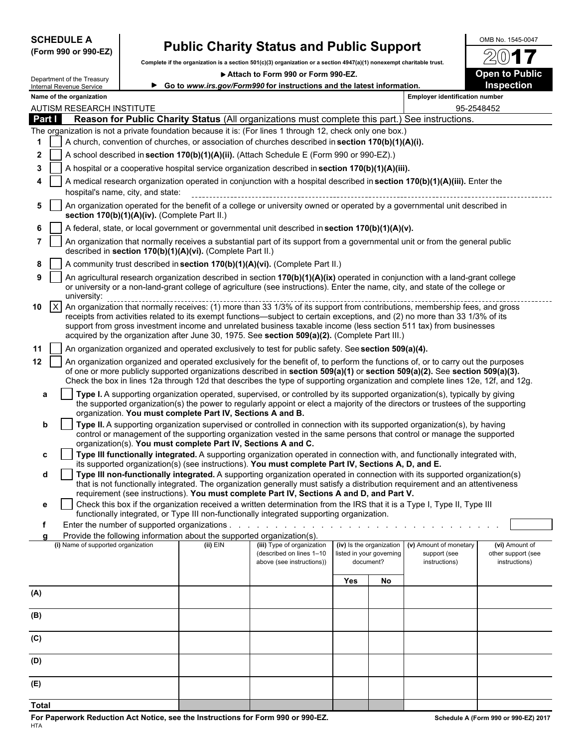| <b>SCHEDULE A</b> |  |                      |
|-------------------|--|----------------------|
|                   |  | (Form 990 or 990-EZ) |

Department of the Treasury

# **Public Charity Status and Public Support**  $\frac{\text{OMB No. 1545-0047}}{20}$

**Complete if the organization is a section 501(c)(3) organization or a section 4947(a)(1) nonexempt charitable trust.**

▶ Attach to Form 990 or Form 990-EZ. **Dem to Public** 



| Internal Revenue Service | Go to www.irs.gov/Form990 for instructions and the latest information. |                                       | Insp |
|--------------------------|------------------------------------------------------------------------|---------------------------------------|------|
| Name of the organization |                                                                        | <b>Employer identification number</b> |      |

|                |                                                                                                   | AUTISM RESEARCH INSTITUTE                                                                                                                                                                                                                                                                                                                                                                                                                                                        |            |                                                                                     |            |                                                                   | 95-2548452                                              |                                                       |  |
|----------------|---------------------------------------------------------------------------------------------------|----------------------------------------------------------------------------------------------------------------------------------------------------------------------------------------------------------------------------------------------------------------------------------------------------------------------------------------------------------------------------------------------------------------------------------------------------------------------------------|------------|-------------------------------------------------------------------------------------|------------|-------------------------------------------------------------------|---------------------------------------------------------|-------------------------------------------------------|--|
| Part I         |                                                                                                   | Reason for Public Charity Status (All organizations must complete this part.) See instructions.                                                                                                                                                                                                                                                                                                                                                                                  |            |                                                                                     |            |                                                                   |                                                         |                                                       |  |
|                |                                                                                                   | The organization is not a private foundation because it is: (For lines 1 through 12, check only one box.)                                                                                                                                                                                                                                                                                                                                                                        |            |                                                                                     |            |                                                                   |                                                         |                                                       |  |
| 1              |                                                                                                   | A church, convention of churches, or association of churches described in section 170(b)(1)(A)(i).                                                                                                                                                                                                                                                                                                                                                                               |            |                                                                                     |            |                                                                   |                                                         |                                                       |  |
| 2              |                                                                                                   | A school described in section 170(b)(1)(A)(ii). (Attach Schedule E (Form 990 or 990-EZ).)                                                                                                                                                                                                                                                                                                                                                                                        |            |                                                                                     |            |                                                                   |                                                         |                                                       |  |
| 3              | A hospital or a cooperative hospital service organization described in section 170(b)(1)(A)(iii). |                                                                                                                                                                                                                                                                                                                                                                                                                                                                                  |            |                                                                                     |            |                                                                   |                                                         |                                                       |  |
| 4              |                                                                                                   | A medical research organization operated in conjunction with a hospital described in section 170(b)(1)(A)(iii). Enter the<br>hospital's name, city, and state:                                                                                                                                                                                                                                                                                                                   |            |                                                                                     |            |                                                                   |                                                         |                                                       |  |
| 5              |                                                                                                   | An organization operated for the benefit of a college or university owned or operated by a governmental unit described in<br>section 170(b)(1)(A)(iv). (Complete Part II.)                                                                                                                                                                                                                                                                                                       |            |                                                                                     |            |                                                                   |                                                         |                                                       |  |
| 6              |                                                                                                   | A federal, state, or local government or governmental unit described in section 170(b)(1)(A)(v).                                                                                                                                                                                                                                                                                                                                                                                 |            |                                                                                     |            |                                                                   |                                                         |                                                       |  |
| $\overline{7}$ |                                                                                                   | An organization that normally receives a substantial part of its support from a governmental unit or from the general public<br>described in section 170(b)(1)(A)(vi). (Complete Part II.)                                                                                                                                                                                                                                                                                       |            |                                                                                     |            |                                                                   |                                                         |                                                       |  |
| 8              |                                                                                                   | A community trust described in section 170(b)(1)(A)(vi). (Complete Part II.)                                                                                                                                                                                                                                                                                                                                                                                                     |            |                                                                                     |            |                                                                   |                                                         |                                                       |  |
| 9              |                                                                                                   | An agricultural research organization described in section 170(b)(1)(A)(ix) operated in conjunction with a land-grant college<br>or university or a non-land-grant college of agriculture (see instructions). Enter the name, city, and state of the college or<br>university:                                                                                                                                                                                                   |            |                                                                                     |            |                                                                   |                                                         |                                                       |  |
| 10             | $\mathsf{X}$                                                                                      | An organization that normally receives: (1) more than 33 1/3% of its support from contributions, membership fees, and gross<br>receipts from activities related to its exempt functions—subject to certain exceptions, and (2) no more than 33 1/3% of its<br>support from gross investment income and unrelated business taxable income (less section 511 tax) from businesses<br>acquired by the organization after June 30, 1975. See section 509(a)(2). (Complete Part III.) |            |                                                                                     |            |                                                                   |                                                         |                                                       |  |
| 11             |                                                                                                   | An organization organized and operated exclusively to test for public safety. See section 509(a)(4).                                                                                                                                                                                                                                                                                                                                                                             |            |                                                                                     |            |                                                                   |                                                         |                                                       |  |
| 12             |                                                                                                   | An organization organized and operated exclusively for the benefit of, to perform the functions of, or to carry out the purposes<br>of one or more publicly supported organizations described in section 509(a)(1) or section 509(a)(2). See section 509(a)(3).<br>Check the box in lines 12a through 12d that describes the type of supporting organization and complete lines 12e, 12f, and 12g.                                                                               |            |                                                                                     |            |                                                                   |                                                         |                                                       |  |
| a              |                                                                                                   | Type I. A supporting organization operated, supervised, or controlled by its supported organization(s), typically by giving<br>the supported organization(s) the power to regularly appoint or elect a majority of the directors or trustees of the supporting<br>organization. You must complete Part IV, Sections A and B.                                                                                                                                                     |            |                                                                                     |            |                                                                   |                                                         |                                                       |  |
| b              |                                                                                                   | Type II. A supporting organization supervised or controlled in connection with its supported organization(s), by having<br>control or management of the supporting organization vested in the same persons that control or manage the supported<br>organization(s). You must complete Part IV, Sections A and C.                                                                                                                                                                 |            |                                                                                     |            |                                                                   |                                                         |                                                       |  |
| c              |                                                                                                   | Type III functionally integrated. A supporting organization operated in connection with, and functionally integrated with,                                                                                                                                                                                                                                                                                                                                                       |            |                                                                                     |            |                                                                   |                                                         |                                                       |  |
|                |                                                                                                   | its supported organization(s) (see instructions). You must complete Part IV, Sections A, D, and E.                                                                                                                                                                                                                                                                                                                                                                               |            |                                                                                     |            |                                                                   |                                                         |                                                       |  |
| d              |                                                                                                   | Type III non-functionally integrated. A supporting organization operated in connection with its supported organization(s)<br>that is not functionally integrated. The organization generally must satisfy a distribution requirement and an attentiveness<br>requirement (see instructions). You must complete Part IV, Sections A and D, and Part V.                                                                                                                            |            |                                                                                     |            |                                                                   |                                                         |                                                       |  |
| е              |                                                                                                   | Check this box if the organization received a written determination from the IRS that it is a Type I, Type II, Type III<br>functionally integrated, or Type III non-functionally integrated supporting organization.                                                                                                                                                                                                                                                             |            |                                                                                     |            |                                                                   |                                                         |                                                       |  |
|                |                                                                                                   | Enter the number of supported organizations                                                                                                                                                                                                                                                                                                                                                                                                                                      |            |                                                                                     |            |                                                                   |                                                         |                                                       |  |
|                |                                                                                                   | Provide the following information about the supported organization(s).                                                                                                                                                                                                                                                                                                                                                                                                           |            |                                                                                     |            |                                                                   |                                                         |                                                       |  |
|                |                                                                                                   | (i) Name of supported organization                                                                                                                                                                                                                                                                                                                                                                                                                                               | $(ii)$ EIN | (iii) Type of organization<br>(described on lines 1-10<br>above (see instructions)) |            | (iv) Is the organization<br>listed in your governing<br>document? | (v) Amount of monetary<br>support (see<br>instructions) | (vi) Amount of<br>other support (see<br>instructions) |  |
|                |                                                                                                   |                                                                                                                                                                                                                                                                                                                                                                                                                                                                                  |            |                                                                                     | <b>Yes</b> | No                                                                |                                                         |                                                       |  |
| (A)            |                                                                                                   |                                                                                                                                                                                                                                                                                                                                                                                                                                                                                  |            |                                                                                     |            |                                                                   |                                                         |                                                       |  |
| (B)            |                                                                                                   |                                                                                                                                                                                                                                                                                                                                                                                                                                                                                  |            |                                                                                     |            |                                                                   |                                                         |                                                       |  |
| (C)            |                                                                                                   |                                                                                                                                                                                                                                                                                                                                                                                                                                                                                  |            |                                                                                     |            |                                                                   |                                                         |                                                       |  |
| (D)            |                                                                                                   |                                                                                                                                                                                                                                                                                                                                                                                                                                                                                  |            |                                                                                     |            |                                                                   |                                                         |                                                       |  |
| (E)            |                                                                                                   |                                                                                                                                                                                                                                                                                                                                                                                                                                                                                  |            |                                                                                     |            |                                                                   |                                                         |                                                       |  |
| <b>Total</b>   |                                                                                                   |                                                                                                                                                                                                                                                                                                                                                                                                                                                                                  |            |                                                                                     |            |                                                                   |                                                         |                                                       |  |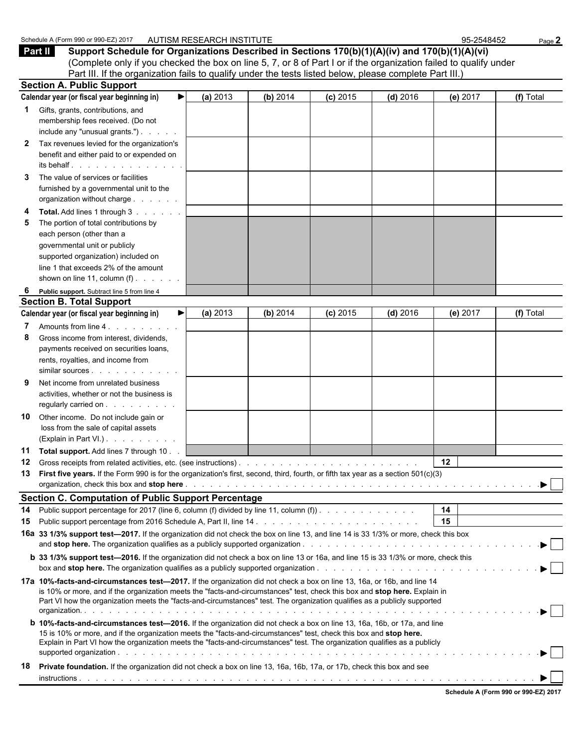|          | Schedule A (Form 990 or 990-EZ) 2017                                                                                                      | AUTISM RESEARCH INSTITUTE |          |            |            | 95-2548452 | Page 2                |
|----------|-------------------------------------------------------------------------------------------------------------------------------------------|---------------------------|----------|------------|------------|------------|-----------------------|
| Part II  | Support Schedule for Organizations Described in Sections 170(b)(1)(A)(iv) and 170(b)(1)(A)(vi)                                            |                           |          |            |            |            |                       |
|          | (Complete only if you checked the box on line 5, 7, or 8 of Part I or if the organization failed to qualify under                         |                           |          |            |            |            |                       |
|          | Part III. If the organization fails to qualify under the tests listed below, please complete Part III.)                                   |                           |          |            |            |            |                       |
|          | <b>Section A. Public Support</b>                                                                                                          |                           |          |            |            |            |                       |
|          | Calendar year (or fiscal year beginning in)<br>▶                                                                                          | (a) 2013                  | (b) 2014 | $(c)$ 2015 | $(d)$ 2016 | (e) 2017   | (f) Total             |
| 1.       | Gifts, grants, contributions, and                                                                                                         |                           |          |            |            |            |                       |
|          | membership fees received. (Do not                                                                                                         |                           |          |            |            |            |                       |
|          | include any "unusual grants.")                                                                                                            |                           |          |            |            |            |                       |
| 2        | Tax revenues levied for the organization's                                                                                                |                           |          |            |            |            |                       |
|          | benefit and either paid to or expended on                                                                                                 |                           |          |            |            |            |                       |
|          | its behalf $\ldots$ $\ldots$ $\ldots$ $\ldots$ $\ldots$                                                                                   |                           |          |            |            |            |                       |
| 3        | The value of services or facilities                                                                                                       |                           |          |            |            |            |                       |
|          | furnished by a governmental unit to the                                                                                                   |                           |          |            |            |            |                       |
|          | organization without charge                                                                                                               |                           |          |            |            |            |                       |
|          | Total. Add lines 1 through 3                                                                                                              |                           |          |            |            |            |                       |
| 5        | The portion of total contributions by                                                                                                     |                           |          |            |            |            |                       |
|          | each person (other than a                                                                                                                 |                           |          |            |            |            |                       |
|          | governmental unit or publicly                                                                                                             |                           |          |            |            |            |                       |
|          | supported organization) included on                                                                                                       |                           |          |            |            |            |                       |
|          | line 1 that exceeds 2% of the amount                                                                                                      |                           |          |            |            |            |                       |
|          | shown on line 11, column $(f)$ . $\ldots$ .                                                                                               |                           |          |            |            |            |                       |
| 6        | Public support. Subtract line 5 from line 4                                                                                               |                           |          |            |            |            |                       |
|          | <b>Section B. Total Support</b>                                                                                                           |                           |          |            |            |            |                       |
|          | Calendar year (or fiscal year beginning in)<br>▶                                                                                          | (a) 2013                  | (b) 2014 | $(c)$ 2015 | $(d)$ 2016 | (e) 2017   | (f) Total             |
|          | Amounts from line 4.                                                                                                                      |                           |          |            |            |            |                       |
| 8        | Gross income from interest, dividends,                                                                                                    |                           |          |            |            |            |                       |
|          | payments received on securities loans,                                                                                                    |                           |          |            |            |            |                       |
|          | rents, royalties, and income from                                                                                                         |                           |          |            |            |            |                       |
|          |                                                                                                                                           |                           |          |            |            |            |                       |
|          | Net income from unrelated business                                                                                                        |                           |          |            |            |            |                       |
|          | activities, whether or not the business is                                                                                                |                           |          |            |            |            |                       |
|          | regularly carried on                                                                                                                      |                           |          |            |            |            |                       |
| 10       | Other income. Do not include gain or                                                                                                      |                           |          |            |            |            |                       |
|          | loss from the sale of capital assets                                                                                                      |                           |          |            |            |            |                       |
|          | (Explain in Part VI.)                                                                                                                     |                           |          |            |            |            |                       |
|          | 11 Total support. Add lines 7 through 10                                                                                                  |                           |          |            |            |            |                       |
| 12       |                                                                                                                                           |                           |          |            |            | 12         |                       |
| 13       | First five years. If the Form 990 is for the organization's first, second, third, fourth, or fifth tax year as a section 501(c)(3)        |                           |          |            |            |            |                       |
|          |                                                                                                                                           |                           |          |            |            |            |                       |
|          | <b>Section C. Computation of Public Support Percentage</b>                                                                                |                           |          |            |            | 14         |                       |
| 14<br>15 | Public support percentage for 2017 (line 6, column (f) divided by line 11, column (f)).                                                   |                           |          |            |            | 15         |                       |
|          |                                                                                                                                           |                           |          |            |            |            |                       |
|          | 16a 33 1/3% support test-2017. If the organization did not check the box on line 13, and line 14 is 33 1/3% or more, check this box       |                           |          |            |            |            | $\blacktriangleright$ |
|          | <b>b</b> 33 1/3% support test-2016. If the organization did not check a box on line 13 or 16a, and line 15 is 33 1/3% or more, check this |                           |          |            |            |            |                       |
|          |                                                                                                                                           |                           |          |            |            |            |                       |
|          | 17a 10%-facts-and-circumstances test-2017. If the organization did not check a box on line 13, 16a, or 16b, and line 14                   |                           |          |            |            |            |                       |
|          | is 10% or more, and if the organization meets the "facts-and-circumstances" test, check this box and stop here. Explain in                |                           |          |            |            |            |                       |
|          | Part VI how the organization meets the "facts-and-circumstances" test. The organization qualifies as a publicly supported                 |                           |          |            |            |            |                       |
|          |                                                                                                                                           |                           |          |            |            |            |                       |
|          | <b>b</b> 10%-facts-and-circumstances test-2016. If the organization did not check a box on line 13, 16a, 16b, or 17a, and line            |                           |          |            |            |            |                       |
|          | 15 is 10% or more, and if the organization meets the "facts-and-circumstances" test, check this box and stop here.                        |                           |          |            |            |            |                       |
|          | Explain in Part VI how the organization meets the "facts-and-circumstances" test. The organization qualifies as a publicly                |                           |          |            |            |            |                       |
|          | Private foundation. If the organization did not check a box on line 13, 16a, 16b, 17a, or 17b, check this box and see                     |                           |          |            |            |            |                       |
| 18       |                                                                                                                                           |                           |          |            |            |            |                       |
|          |                                                                                                                                           |                           |          |            |            |            |                       |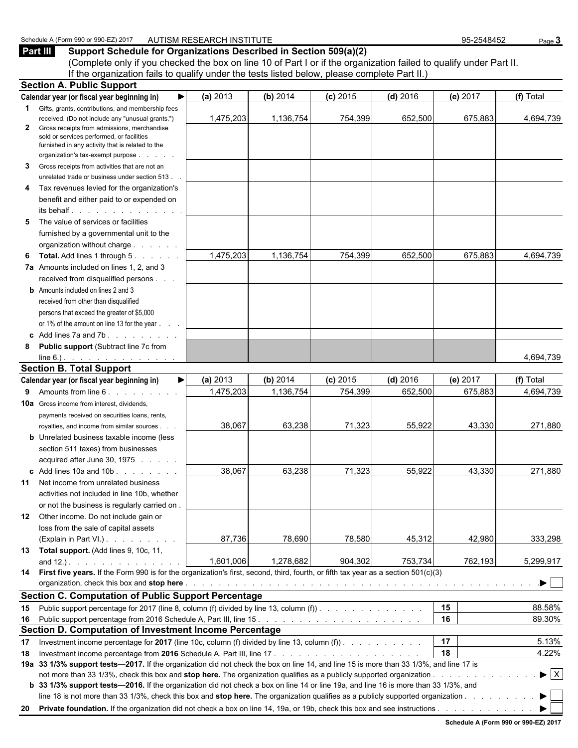#### Schedule A (Form 990 or 990-EZ) 2017 AUTISM RESEARCH INSTITUTE 95-2548452 Page 3

#### **Part III Support Schedule for Organizations Described in Section 509(a)(2)**

(Complete only if you checked the box on line 10 of Part I or if the organization failed to qualify under Part II. If the organization fails to qualify under the tests listed below, please complete Part II.)

|              | <b>Section A. Public Support</b>                                                                                                                             |           |           |            |            |          |                                |
|--------------|--------------------------------------------------------------------------------------------------------------------------------------------------------------|-----------|-----------|------------|------------|----------|--------------------------------|
|              | Calendar year (or fiscal year beginning in)                                                                                                                  | (a) 2013  | (b) 2014  | $(c)$ 2015 | $(d)$ 2016 | (e) 2017 | (f) Total                      |
|              | 1 Gifts, grants, contributions, and membership fees                                                                                                          |           |           |            |            |          |                                |
|              | received. (Do not include any "unusual grants.")                                                                                                             | 1,475,203 | 1,136,754 | 754,399    | 652,500    | 675,883  | 4,694,739                      |
| $\mathbf{2}$ | Gross receipts from admissions, merchandise<br>sold or services performed, or facilities<br>furnished in any activity that is related to the                 |           |           |            |            |          |                                |
|              | organization's tax-exempt purpose                                                                                                                            |           |           |            |            |          |                                |
| 3            | Gross receipts from activities that are not an                                                                                                               |           |           |            |            |          |                                |
|              | unrelated trade or business under section 513.                                                                                                               |           |           |            |            |          |                                |
| 4            | Tax revenues levied for the organization's                                                                                                                   |           |           |            |            |          |                                |
|              | benefit and either paid to or expended on<br>its behalf in the set of the set of the set of the set of the set of the set of the set of the set of the set o |           |           |            |            |          |                                |
| 5            | The value of services or facilities                                                                                                                          |           |           |            |            |          |                                |
|              | furnished by a governmental unit to the                                                                                                                      |           |           |            |            |          |                                |
|              | organization without charge                                                                                                                                  |           |           |            |            |          |                                |
| 6            | <b>Total.</b> Add lines 1 through 5.                                                                                                                         | 1,475,203 | 1,136,754 | 754,399    | 652,500    | 675,883  | 4,694,739                      |
|              | 7a Amounts included on lines 1, 2, and 3                                                                                                                     |           |           |            |            |          |                                |
|              | received from disqualified persons                                                                                                                           |           |           |            |            |          |                                |
|              | <b>b</b> Amounts included on lines 2 and 3                                                                                                                   |           |           |            |            |          |                                |
|              | received from other than disqualified                                                                                                                        |           |           |            |            |          |                                |
|              | persons that exceed the greater of \$5,000                                                                                                                   |           |           |            |            |          |                                |
|              | or 1% of the amount on line 13 for the year                                                                                                                  |           |           |            |            |          |                                |
|              | c Add lines 7a and 7b.                                                                                                                                       |           |           |            |            |          |                                |
| 8            | <b>Public support (Subtract line 7c from</b>                                                                                                                 |           |           |            |            |          |                                |
|              | $line 6.)$ .                                                                                                                                                 |           |           |            |            |          | 4,694,739                      |
|              | <b>Section B. Total Support</b>                                                                                                                              |           |           |            |            |          |                                |
|              | Calendar year (or fiscal year beginning in)<br>▶                                                                                                             | (a) 2013  | (b) 2014  | $(c)$ 2015 | $(d)$ 2016 | (e) 2017 | (f) Total                      |
|              | 9 Amounts from line 6.                                                                                                                                       | 1,475,203 | 1,136,754 | 754,399    | 652,500    | 675,883  | 4,694,739                      |
|              | <b>10a</b> Gross income from interest, dividends,                                                                                                            |           |           |            |            |          |                                |
|              | payments received on securities loans, rents,                                                                                                                |           |           |            |            |          |                                |
|              | royalties, and income from similar sources.                                                                                                                  | 38,067    | 63,238    | 71,323     | 55,922     | 43,330   | 271,880                        |
|              | <b>b</b> Unrelated business taxable income (less                                                                                                             |           |           |            |            |          |                                |
|              | section 511 taxes) from businesses                                                                                                                           |           |           |            |            |          |                                |
|              | acquired after June 30, 1975                                                                                                                                 |           |           |            |            |          |                                |
|              | c Add lines 10a and 10b                                                                                                                                      | 38,067    | 63,238    | 71,323     | 55,922     | 43,330   | 271,880                        |
|              | 11 Net income from unrelated business                                                                                                                        |           |           |            |            |          |                                |
|              | activities not included in line 10b, whether                                                                                                                 |           |           |            |            |          |                                |
|              | or not the business is regularly carried on.                                                                                                                 |           |           |            |            |          |                                |
| 12           | Other income. Do not include gain or                                                                                                                         |           |           |            |            |          |                                |
|              | loss from the sale of capital assets                                                                                                                         |           |           |            |            |          |                                |
|              | (Explain in Part VI.)                                                                                                                                        | 87,736    | 78,690    | 78,580     | 45,312     | 42,980   | 333,298                        |
|              | 13 Total support. (Add lines 9, 10c, 11,                                                                                                                     |           |           |            |            |          |                                |
|              | and $12.$ ). $\ldots$ $\ldots$ $\ldots$ $\ldots$                                                                                                             | 1,601,006 | 1,278,682 | 904,302    | 753,734    | 762,193  | 5,299,917                      |
|              | 14 First five years. If the Form 990 is for the organization's first, second, third, fourth, or fifth tax year as a section 501(c)(3)                        |           |           |            |            |          |                                |
|              |                                                                                                                                                              |           |           |            |            |          | ▶                              |
|              | <b>Section C. Computation of Public Support Percentage</b>                                                                                                   |           |           |            |            |          |                                |
| 15           | Public support percentage for 2017 (line 8, column (f) divided by line 13, column (f)).                                                                      |           |           |            |            | 15       | 88.58%                         |
| 16           |                                                                                                                                                              |           |           |            |            | 16       | 89.30%                         |
|              | Section D. Computation of Investment Income Percentage                                                                                                       |           |           |            |            |          |                                |
| 17           | Investment income percentage for 2017 (line 10c, column (f) divided by line 13, column (f)). $\ldots$                                                        |           |           |            |            | 17       | 5.13%                          |
| 18           |                                                                                                                                                              |           |           |            |            | 18       | 4.22%                          |
|              | 19a 33 1/3% support tests-2017. If the organization did not check the box on line 14, and line 15 is more than 33 1/3%, and line 17 is                       |           |           |            |            |          |                                |
|              | b 33 1/3% support tests—2016. If the organization did not check a box on line 14 or line 19a, and line 16 is more than 33 1/3%, and                          |           |           |            |            |          | $\blacktriangleright$ $\mid$ X |
|              | line 18 is not more than 33 1/3%, check this box and stop here. The organization qualifies as a publicly supported organization                              |           |           |            |            |          | ▶                              |
|              |                                                                                                                                                              |           |           |            |            |          |                                |
|              |                                                                                                                                                              |           |           |            |            |          | ▶                              |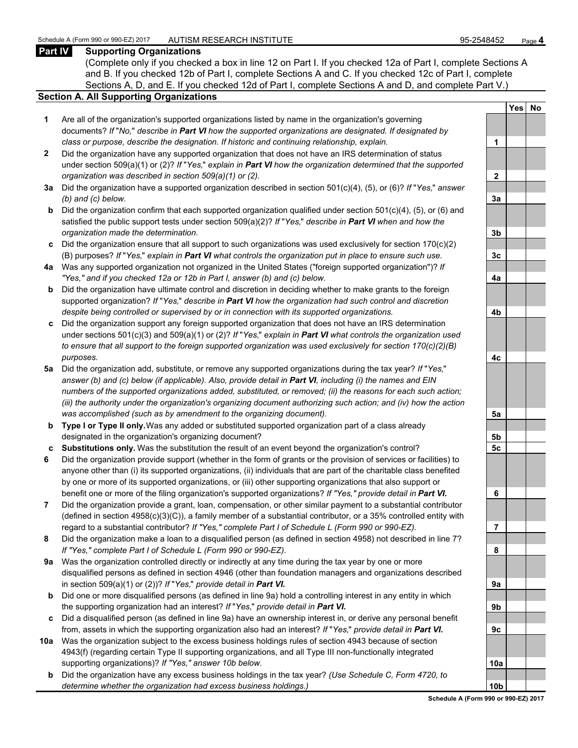#### **Part IV Supporting Organizations**

(Complete only if you checked a box in line 12 on Part I. If you checked 12a of Part I, complete Sections A and B. If you checked 12b of Part I, complete Sections A and C. If you checked 12c of Part I, complete Sections A, D, and E. If you checked 12d of Part I, complete Sections A and D, and complete Part V.)

#### **Section A. All Supporting Organizations**

- **1** Are all of the organization's supported organizations listed by name in the organization's governing documents? *If* "*No,*" *describe in Part VI how the supported organizations are designated. If designated by class or purpose, describe the designation. If historic and continuing relationship, explain.* **1**
- **2** Did the organization have any supported organization that does not have an IRS determination of status under section 509(a)(1) or (2)? *If* "*Yes,*" *explain in Part VI how the organization determined that the supported organization was described in section 509(a)(1) or (2).*
- **3a** Did the organization have a supported organization described in section 501(c)(4), (5), or (6)? *If* "*Yes,*" *answer (b) and (c) below.* **3a**
- **b** Did the organization confirm that each supported organization qualified under section 501(c)(4), (5), or (6) and satisfied the public support tests under section 509(a)(2)? *If* "*Yes,*" *describe in Part VI when and how the organization made the determination.* **3b**
- **c** Did the organization ensure that all support to such organizations was used exclusively for section 170(c)(2) (B) purposes? *If* "*Yes,*" *explain in Part VI what controls the organization put in place to ensure such use.* **3c**
- **4a** Was any supported organization not organized in the United States ("foreign supported organization")? *If "Yes," and if you checked 12a or 12b in Part I, answer (b) and (c) below.* **4a**
- **b** Did the organization have ultimate control and discretion in deciding whether to make grants to the foreign supported organization? *If* "*Yes,*" *describe in Part VI how the organization had such control and discretion despite being controlled or supervised by or in connection with its supported organizations.* **4b**
- **c** Did the organization support any foreign supported organization that does not have an IRS determination under sections 501(c)(3) and 509(a)(1) or (2)? *If* "*Yes,*" *explain in Part VI what controls the organization used to ensure that all support to the foreign supported organization was used exclusively for section 170(c)(2)(B) purposes.* **4c**
- **5a** Did the organization add, substitute, or remove any supported organizations during the tax year? *If* "*Yes,*" *answer (b) and (c) below (if applicable). Also, provide detail in Part VI, including (i) the names and EIN numbers of the supported organizations added, substituted, or removed; (ii) the reasons for each such action; (iii) the authority under the organization's organizing document authorizing such action; and (iv) how the action was accomplished (such as by amendment to the organizing document).* **5a**
- **b Type I or Type II only.** Was any added or substituted supported organization part of a class already designated in the organization's organizing document? **5b**
- **c Substitutions only.** Was the substitution the result of an event beyond the organization's control? **5c**
- **6** Did the organization provide support (whether in the form of grants or the provision of services or facilities) to anyone other than (i) its supported organizations, (ii) individuals that are part of the charitable class benefited by one or more of its supported organizations, or (iii) other supporting organizations that also support or benefit one or more of the filing organization's supported organizations? *If "Yes," provide detail in Part VI.* **6**
- **7** Did the organization provide a grant, loan, compensation, or other similar payment to a substantial contributor (defined in section 4958(c)(3)(C)), a family member of a substantial contributor, or a 35% controlled entity with regard to a substantial contributor? *If "Yes," complete Part I of Schedule L (Form 990 or 990-EZ).* **7**
- **8** Did the organization make a loan to a disqualified person (as defined in section 4958) not described in line 7? *If "Yes," complete Part I of Schedule L (Form 990 or 990-EZ).* **8**
- **9a** Was the organization controlled directly or indirectly at any time during the tax year by one or more disqualified persons as defined in section 4946 (other than foundation managers and organizations described in section 509(a)(1) or (2))? *If* "*Yes*," *provide detail in Part VI.*
- **b** Did one or more disqualified persons (as defined in line 9a) hold a controlling interest in any entity in which the supporting organization had an interest? *If* "*Yes,*" *provide detail in Part VI.* **9b**
- **c** Did a disqualified person (as defined in line 9a) have an ownership interest in, or derive any personal benefit from, assets in which the supporting organization also had an interest? *If* "Yes," *provide detail in Part VI.*
- **10a** Was the organization subject to the excess business holdings rules of section 4943 because of section 4943(f) (regarding certain Type II supporting organizations, and all Type III non-functionally integrated supporting organizations)? If "Yes," answer 10b below.
	- **b** Did the organization have any excess business holdings in the tax year? *(Use Schedule C, Form 4720, to determine whether the organization had excess business holdings.)*

|        | Yes<br>I | No |
|--------|----------|----|
|        |          |    |
| 1      |          |    |
|        |          |    |
| 2      |          |    |
|        |          |    |
| 3a     |          |    |
|        |          |    |
| 3b     |          |    |
|        |          |    |
| 3c     |          |    |
| 4a     |          |    |
|        |          |    |
| 4b     |          |    |
|        |          |    |
| 4c     |          |    |
|        |          |    |
| 5a     |          |    |
| 5b     |          |    |
| 5c     |          |    |
|        |          |    |
| 6      |          |    |
|        |          |    |
| 7      |          |    |
|        |          |    |
| 8      |          |    |
| a      |          |    |
|        |          |    |
| I<br>b |          |    |
|        |          |    |
| Jο     |          |    |
| Ŋ      |          |    |
| ŀ      |          |    |
| 0b     |          |    |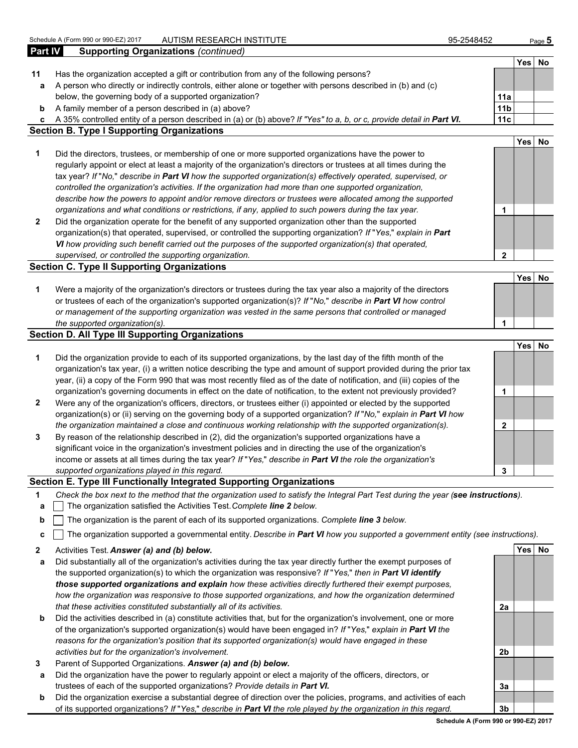|              | Schedule A (Form 990 or 990-EZ) 2017<br>AUTISM RESEARCH INSTITUTE                                                      | 95-2548452      |            | Page 5    |
|--------------|------------------------------------------------------------------------------------------------------------------------|-----------------|------------|-----------|
| Part IV      | <b>Supporting Organizations (continued)</b>                                                                            |                 |            |           |
|              |                                                                                                                        |                 | <b>Yes</b> | No        |
| 11           | Has the organization accepted a gift or contribution from any of the following persons?                                |                 |            |           |
| a            | A person who directly or indirectly controls, either alone or together with persons described in (b) and (c)           |                 |            |           |
|              | below, the governing body of a supported organization?                                                                 | 11a             |            |           |
| b            | A family member of a person described in (a) above?                                                                    | 11 <sub>b</sub> |            |           |
| c            | A 35% controlled entity of a person described in (a) or (b) above? If "Yes" to a, b, or c, provide detail in Part VI.  | 11c             |            |           |
|              | <b>Section B. Type I Supporting Organizations</b>                                                                      |                 |            |           |
|              |                                                                                                                        |                 | Yesl       | <b>No</b> |
| 1            | Did the directors, trustees, or membership of one or more supported organizations have the power to                    |                 |            |           |
|              | regularly appoint or elect at least a majority of the organization's directors or trustees at all times during the     |                 |            |           |
|              | tax year? If "No," describe in Part VI how the supported organization(s) effectively operated, supervised, or          |                 |            |           |
|              | controlled the organization's activities. If the organization had more than one supported organization,                |                 |            |           |
|              | describe how the powers to appoint and/or remove directors or trustees were allocated among the supported              |                 |            |           |
|              | organizations and what conditions or restrictions, if any, applied to such powers during the tax year.                 | 1               |            |           |
| $\mathbf{2}$ | Did the organization operate for the benefit of any supported organization other than the supported                    |                 |            |           |
|              | organization(s) that operated, supervised, or controlled the supporting organization? If "Yes," explain in Part        |                 |            |           |
|              | VI how providing such benefit carried out the purposes of the supported organization(s) that operated,                 |                 |            |           |
|              | supervised, or controlled the supporting organization.                                                                 | $\overline{2}$  |            |           |
|              | <b>Section C. Type II Supporting Organizations</b>                                                                     |                 |            |           |
|              |                                                                                                                        |                 | Yes        | No        |
| 1            | Were a majority of the organization's directors or trustees during the tax year also a majority of the directors       |                 |            |           |
|              | or trustees of each of the organization's supported organization(s)? If "No," describe in Part VI how control          |                 |            |           |
|              | or management of the supporting organization was vested in the same persons that controlled or managed                 |                 |            |           |
|              | the supported organization(s).                                                                                         | 1               |            |           |
|              | <b>Section D. All Type III Supporting Organizations</b>                                                                |                 |            |           |
|              |                                                                                                                        |                 | Yes        | No        |
| 1            | Did the organization provide to each of its supported organizations, by the last day of the fifth month of the         |                 |            |           |
|              | organization's tax year, (i) a written notice describing the type and amount of support provided during the prior tax  |                 |            |           |
|              | year, (ii) a copy of the Form 990 that was most recently filed as of the date of notification, and (iii) copies of the |                 |            |           |
|              | organization's governing documents in effect on the date of notification, to the extent not previously provided?       | 1               |            |           |
| $\mathbf{2}$ | Were any of the organization's officers, directors, or trustees either (i) appointed or elected by the supported       |                 |            |           |
|              | organization(s) or (ii) serving on the governing body of a supported organization? If "No," explain in Part VI how     |                 |            |           |
|              | the organization maintained a close and continuous working relationship with the supported organization(s).            | $\mathbf{2}$    |            |           |
| 3            | By reason of the relationship described in (2), did the organization's supported organizations have a                  |                 |            |           |
|              | significant voice in the organization's investment policies and in directing the use of the organization's             |                 |            |           |
|              | income or assets at all times during the tax year? If "Yes," describe in Part VI the role the organization's           |                 |            |           |

*supported organizations played in this regard.* **3**

#### **Section E. Type III Functionally Integrated Supporting Organizations**

- **1** *Check the box next to the method that the organization used to satisfy the Integral Part Test during the year (see instructions).*
- **a** The organization satisfied the Activities Test. *Complete line 2 below.*
- **b** The organization is the parent of each of its supported organizations. *Complete line 3 below.*
- **c** The organization supported a governmental entity. *Describe in Part VI how you supported a government entity (see instructions).*
- **2** Activities Test. *Answer (a) and (b) below.* **Yes No**
- **a** Did substantially all of the organization's activities during the tax year directly further the exempt purposes of the supported organization(s) to which the organization was responsive? *If* "*Yes,*" *then in Part VI identify those supported organizations and explain how these activities directly furthered their exempt purposes, how the organization was responsive to those supported organizations, and how the organization determined that these activities constituted substantially all of its activities.* **2a**
- **b** Did the activities described in (a) constitute activities that, but for the organization's involvement, one or more of the organization's supported organization(s) would have been engaged in? *If* "*Yes,*" *explain in Part VI the reasons for the organization's position that its supported organization(s) would have engaged in these activities but for the organization's involvement.* **2b**
- **3** Parent of Supported Organizations. *Answer (a) and (b) below.*
- **a** Did the organization have the power to regularly appoint or elect a majority of the officers, directors, or trustees of each of the supported organizations? *Provide details in Part VI.* **3a**
- **b** Did the organization exercise a substantial degree of direction over the policies, programs, and activities of each of its supported organizations? *If* "*Yes,*" *describe in Part VI the role played by the organization in this regard.* **3b**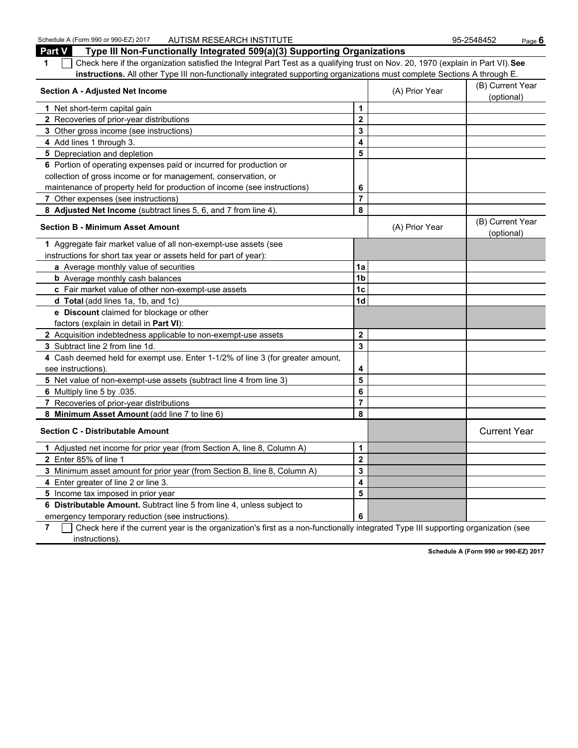| Schedule A (Form 990 or 990-EZ) 2017<br>AUTISM RESEARCH INSTITUTE                                                                     |                |                | 95-2548452<br>Page $6$         |
|---------------------------------------------------------------------------------------------------------------------------------------|----------------|----------------|--------------------------------|
| Part V<br>Type III Non-Functionally Integrated 509(a)(3) Supporting Organizations                                                     |                |                |                                |
| Check here if the organization satisfied the Integral Part Test as a qualifying trust on Nov. 20, 1970 (explain in Part VI). See<br>1 |                |                |                                |
| instructions. All other Type III non-functionally integrated supporting organizations must complete Sections A through E.             |                |                |                                |
|                                                                                                                                       |                |                | (B) Current Year               |
| <b>Section A - Adjusted Net Income</b>                                                                                                |                | (A) Prior Year | (optional)                     |
| 1 Net short-term capital gain                                                                                                         | 1              |                |                                |
| 2 Recoveries of prior-year distributions                                                                                              | $\overline{2}$ |                |                                |
| 3 Other gross income (see instructions)                                                                                               | 3              |                |                                |
| 4 Add lines 1 through 3.                                                                                                              | 4              |                |                                |
| 5 Depreciation and depletion                                                                                                          | 5              |                |                                |
| 6 Portion of operating expenses paid or incurred for production or                                                                    |                |                |                                |
| collection of gross income or for management, conservation, or                                                                        |                |                |                                |
| maintenance of property held for production of income (see instructions)                                                              | 6              |                |                                |
| 7 Other expenses (see instructions)                                                                                                   | 7              |                |                                |
| 8 Adjusted Net Income (subtract lines 5, 6, and 7 from line 4).                                                                       | 8              |                |                                |
| <b>Section B - Minimum Asset Amount</b>                                                                                               |                | (A) Prior Year | (B) Current Year<br>(optional) |
| 1 Aggregate fair market value of all non-exempt-use assets (see                                                                       |                |                |                                |
| instructions for short tax year or assets held for part of year):                                                                     |                |                |                                |
| a Average monthly value of securities                                                                                                 | 1a             |                |                                |
| <b>b</b> Average monthly cash balances                                                                                                | 1b             |                |                                |
| c Fair market value of other non-exempt-use assets                                                                                    | 1c             |                |                                |
| d Total (add lines 1a, 1b, and 1c)                                                                                                    | 1d             |                |                                |
| e Discount claimed for blockage or other                                                                                              |                |                |                                |
| factors (explain in detail in <b>Part VI</b> ):                                                                                       |                |                |                                |
| 2 Acquisition indebtedness applicable to non-exempt-use assets                                                                        | 2              |                |                                |
| 3 Subtract line 2 from line 1d.                                                                                                       | 3              |                |                                |
| 4 Cash deemed held for exempt use. Enter 1-1/2% of line 3 (for greater amount,                                                        |                |                |                                |
| see instructions).                                                                                                                    | 4              |                |                                |
| 5 Net value of non-exempt-use assets (subtract line 4 from line 3)                                                                    | 5              |                |                                |
| 6 Multiply line 5 by .035.                                                                                                            | 6              |                |                                |
| 7 Recoveries of prior-year distributions                                                                                              | $\overline{7}$ |                |                                |
| 8 Minimum Asset Amount (add line 7 to line 6)                                                                                         | 8              |                |                                |
| <b>Section C - Distributable Amount</b>                                                                                               |                |                | <b>Current Year</b>            |
| 1 Adjusted net income for prior year (from Section A, line 8, Column A)                                                               | 1              |                |                                |
| 2 Enter 85% of line 1                                                                                                                 | 2              |                |                                |
| 3 Minimum asset amount for prior year (from Section B, line 8, Column A)                                                              | 3              |                |                                |
| 4 Enter greater of line 2 or line 3.                                                                                                  | 4              |                |                                |
| 5 Income tax imposed in prior year                                                                                                    | 5              |                |                                |
| 6 Distributable Amount. Subtract line 5 from line 4, unless subject to                                                                |                |                |                                |
| emergency temporary reduction (see instructions).                                                                                     | 6              |                |                                |

**7** Check here if the current year is the organization's first as a non-functionally integrated Type III supporting organization (see instructions).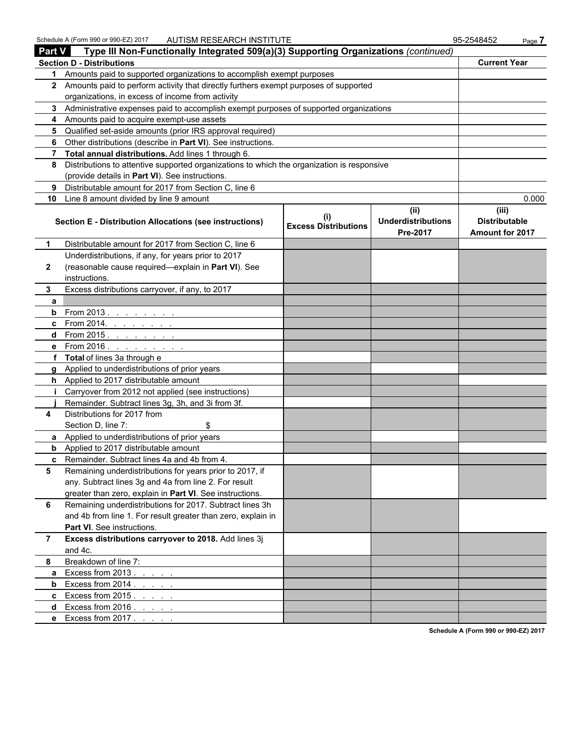| <b>Part V</b>  | Type III Non-Functionally Integrated 509(a)(3) Supporting Organizations (continued)        |                             |                           |                      |  |
|----------------|--------------------------------------------------------------------------------------------|-----------------------------|---------------------------|----------------------|--|
|                | <b>Section D - Distributions</b>                                                           |                             |                           | <b>Current Year</b>  |  |
|                | 1 Amounts paid to supported organizations to accomplish exempt purposes                    |                             |                           |                      |  |
|                | 2 Amounts paid to perform activity that directly furthers exempt purposes of supported     |                             |                           |                      |  |
|                | organizations, in excess of income from activity                                           |                             |                           |                      |  |
|                | 3 Administrative expenses paid to accomplish exempt purposes of supported organizations    |                             |                           |                      |  |
|                | 4 Amounts paid to acquire exempt-use assets                                                |                             |                           |                      |  |
|                | 5 Qualified set-aside amounts (prior IRS approval required)                                |                             |                           |                      |  |
|                | 6 Other distributions (describe in Part VI). See instructions.                             |                             |                           |                      |  |
|                | 7 Total annual distributions. Add lines 1 through 6.                                       |                             |                           |                      |  |
| 8              | Distributions to attentive supported organizations to which the organization is responsive |                             |                           |                      |  |
|                | (provide details in Part VI). See instructions.                                            |                             |                           |                      |  |
| 9              | Distributable amount for 2017 from Section C, line 6                                       |                             |                           |                      |  |
|                | 10 Line 8 amount divided by line 9 amount                                                  |                             |                           | 0.000                |  |
|                |                                                                                            | $\sf (i)$                   | (ii)                      | (iii)                |  |
|                | Section E - Distribution Allocations (see instructions)                                    | <b>Excess Distributions</b> | <b>Underdistributions</b> | <b>Distributable</b> |  |
|                |                                                                                            |                             | Pre-2017                  | Amount for 2017      |  |
| 1              | Distributable amount for 2017 from Section C, line 6                                       |                             |                           |                      |  |
|                | Underdistributions, if any, for years prior to 2017                                        |                             |                           |                      |  |
| $\mathbf{2}$   | (reasonable cause required-explain in Part VI). See                                        |                             |                           |                      |  |
|                | instructions.                                                                              |                             |                           |                      |  |
| 3              | Excess distributions carryover, if any, to 2017                                            |                             |                           |                      |  |
| a<br>b         | From 2013. $\ldots$                                                                        |                             |                           |                      |  |
|                | From 2014. $\ldots$ $\ldots$ $\ldots$                                                      |                             |                           |                      |  |
| c              | <b>d</b> From 2015.                                                                        |                             |                           |                      |  |
|                | e From 2016.                                                                               |                             |                           |                      |  |
|                | f Total of lines 3a through e                                                              |                             |                           |                      |  |
|                | g Applied to underdistributions of prior years                                             |                             |                           |                      |  |
|                | h Applied to 2017 distributable amount                                                     |                             |                           |                      |  |
| j.             | Carryover from 2012 not applied (see instructions)                                         |                             |                           |                      |  |
|                | Remainder. Subtract lines 3g, 3h, and 3i from 3f.                                          |                             |                           |                      |  |
| 4              | Distributions for 2017 from                                                                |                             |                           |                      |  |
|                | Section D, line 7:<br>\$                                                                   |                             |                           |                      |  |
|                | a Applied to underdistributions of prior years                                             |                             |                           |                      |  |
| b              | Applied to 2017 distributable amount                                                       |                             |                           |                      |  |
|                | c Remainder. Subtract lines 4a and 4b from 4.                                              |                             |                           |                      |  |
| 5              | Remaining underdistributions for years prior to 2017, if                                   |                             |                           |                      |  |
|                | any. Subtract lines 3g and 4a from line 2. For result                                      |                             |                           |                      |  |
|                | greater than zero, explain in Part VI. See instructions.                                   |                             |                           |                      |  |
| 6              | Remaining underdistributions for 2017. Subtract lines 3h                                   |                             |                           |                      |  |
|                | and 4b from line 1. For result greater than zero, explain in                               |                             |                           |                      |  |
|                | Part VI. See instructions.                                                                 |                             |                           |                      |  |
| $\overline{7}$ | Excess distributions carryover to 2018. Add lines 3j                                       |                             |                           |                      |  |
|                | and 4c.                                                                                    |                             |                           |                      |  |
| 8              | Breakdown of line 7:                                                                       |                             |                           |                      |  |
| a              | Excess from $2013.7.7.7.7.7$                                                               |                             |                           |                      |  |
| b              | Excess from $2014.$ $\ldots$ $\ldots$                                                      |                             |                           |                      |  |
|                | <b>c</b> Excess from $2015$                                                                |                             |                           |                      |  |
| d              | Excess from 2016. $\ldots$ $\ldots$                                                        |                             |                           |                      |  |
|                | <b>e</b> Excess from $2017$ .                                                              |                             |                           |                      |  |
|                |                                                                                            |                             |                           |                      |  |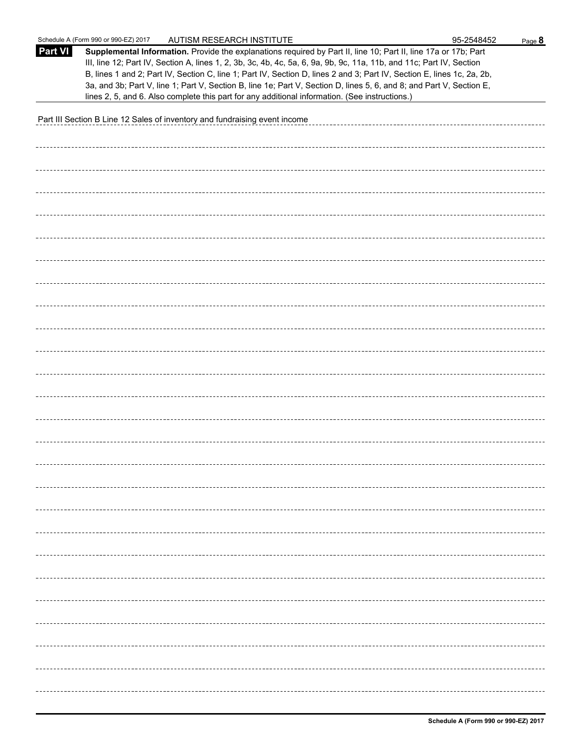| <b>Part VI</b> | Schedule A (Form 990 or 990-EZ) 2017<br>AUTISM RESEARCH INSTITUTE<br>Supplemental Information. Provide the explanations required by Part II, line 10; Part II, line 17a or 17b; Part<br>III, line 12; Part IV, Section A, lines 1, 2, 3b, 3c, 4b, 4c, 5a, 6, 9a, 9b, 9c, 11a, 11b, and 11c; Part IV, Section<br>B, lines 1 and 2; Part IV, Section C, line 1; Part IV, Section D, lines 2 and 3; Part IV, Section E, lines 1c, 2a, 2b,<br>3a, and 3b; Part V, line 1; Part V, Section B, line 1e; Part V, Section D, lines 5, 6, and 8; and Part V, Section E,<br>lines 2, 5, and 6. Also complete this part for any additional information. (See instructions.) | 95-2548452 | Page 8 |
|----------------|------------------------------------------------------------------------------------------------------------------------------------------------------------------------------------------------------------------------------------------------------------------------------------------------------------------------------------------------------------------------------------------------------------------------------------------------------------------------------------------------------------------------------------------------------------------------------------------------------------------------------------------------------------------|------------|--------|
|                | Part III Section B Line 12 Sales of inventory and fundraising event income                                                                                                                                                                                                                                                                                                                                                                                                                                                                                                                                                                                       |            |        |
|                |                                                                                                                                                                                                                                                                                                                                                                                                                                                                                                                                                                                                                                                                  |            |        |
|                |                                                                                                                                                                                                                                                                                                                                                                                                                                                                                                                                                                                                                                                                  |            |        |
|                |                                                                                                                                                                                                                                                                                                                                                                                                                                                                                                                                                                                                                                                                  |            |        |
|                |                                                                                                                                                                                                                                                                                                                                                                                                                                                                                                                                                                                                                                                                  |            |        |
|                |                                                                                                                                                                                                                                                                                                                                                                                                                                                                                                                                                                                                                                                                  |            |        |
|                |                                                                                                                                                                                                                                                                                                                                                                                                                                                                                                                                                                                                                                                                  |            |        |
|                |                                                                                                                                                                                                                                                                                                                                                                                                                                                                                                                                                                                                                                                                  |            |        |
|                |                                                                                                                                                                                                                                                                                                                                                                                                                                                                                                                                                                                                                                                                  |            |        |
|                |                                                                                                                                                                                                                                                                                                                                                                                                                                                                                                                                                                                                                                                                  |            |        |
|                |                                                                                                                                                                                                                                                                                                                                                                                                                                                                                                                                                                                                                                                                  |            |        |
|                |                                                                                                                                                                                                                                                                                                                                                                                                                                                                                                                                                                                                                                                                  |            |        |
|                |                                                                                                                                                                                                                                                                                                                                                                                                                                                                                                                                                                                                                                                                  |            |        |
|                |                                                                                                                                                                                                                                                                                                                                                                                                                                                                                                                                                                                                                                                                  |            |        |
|                |                                                                                                                                                                                                                                                                                                                                                                                                                                                                                                                                                                                                                                                                  |            |        |
|                |                                                                                                                                                                                                                                                                                                                                                                                                                                                                                                                                                                                                                                                                  |            |        |
|                |                                                                                                                                                                                                                                                                                                                                                                                                                                                                                                                                                                                                                                                                  |            |        |
|                |                                                                                                                                                                                                                                                                                                                                                                                                                                                                                                                                                                                                                                                                  |            |        |
|                |                                                                                                                                                                                                                                                                                                                                                                                                                                                                                                                                                                                                                                                                  |            |        |
|                |                                                                                                                                                                                                                                                                                                                                                                                                                                                                                                                                                                                                                                                                  |            |        |
|                |                                                                                                                                                                                                                                                                                                                                                                                                                                                                                                                                                                                                                                                                  |            |        |
|                |                                                                                                                                                                                                                                                                                                                                                                                                                                                                                                                                                                                                                                                                  |            |        |
|                |                                                                                                                                                                                                                                                                                                                                                                                                                                                                                                                                                                                                                                                                  |            |        |
|                |                                                                                                                                                                                                                                                                                                                                                                                                                                                                                                                                                                                                                                                                  |            |        |
|                |                                                                                                                                                                                                                                                                                                                                                                                                                                                                                                                                                                                                                                                                  |            |        |
|                |                                                                                                                                                                                                                                                                                                                                                                                                                                                                                                                                                                                                                                                                  |            |        |
|                |                                                                                                                                                                                                                                                                                                                                                                                                                                                                                                                                                                                                                                                                  |            |        |
|                |                                                                                                                                                                                                                                                                                                                                                                                                                                                                                                                                                                                                                                                                  |            |        |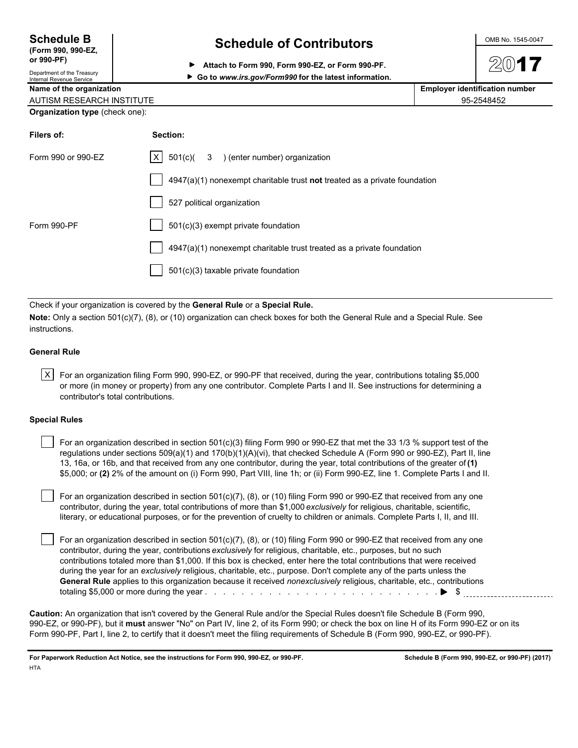| <b>Schedule B</b>            |  |  |
|------------------------------|--|--|
| $T_{\rm{max}}$ 000 000 $E$ 7 |  |  |

**(Form 990, 990-EZ, or 990-PF)**

Department of the Treasury

# **Schedule of Contributors**  $\frac{200B N0. 1545-0047}{200B N0. 1545-0047}$

**Attach to Form 990, Form 990-EZ, or Form 990-PF.**

#### ▶ Go to www.irs.gov/Form990 for the latest information.

| Name of the organization              | <b>Employer identification number</b> |
|---------------------------------------|---------------------------------------|
| AUTISM RESEARCH INSTITUTE             | 95-2548452                            |
| <b>Organization type</b> (check one): |                                       |

| Filers of:         | Section:                                                                  |
|--------------------|---------------------------------------------------------------------------|
| Form 990 or 990-FZ | $ X $ 501(c)( 3 ) (enter number) organization                             |
|                    | 4947(a)(1) nonexempt charitable trust not treated as a private foundation |
|                    | 527 political organization                                                |
| Form 990-PF        | 501(c)(3) exempt private foundation                                       |
|                    | 4947(a)(1) nonexempt charitable trust treated as a private foundation     |
|                    | 501(c)(3) taxable private foundation                                      |
|                    |                                                                           |

Check if your organization is covered by the **General Rule** or a **Special Rule.**

**Note:** Only a section 501(c)(7), (8), or (10) organization can check boxes for both the General Rule and a Special Rule. See instructions.

#### **General Rule**

 $|X|$  For an organization filing Form 990, 990-EZ, or 990-PF that received, during the year, contributions totaling \$5,000 or more (in money or property) from any one contributor. Complete Parts I and II. See instructions for determining a contributor's total contributions.

#### **Special Rules**

| For an organization described in section $501(c)(3)$ filing Form 990 or 990-EZ that met the 33 1/3 % support test of the    |
|-----------------------------------------------------------------------------------------------------------------------------|
| regulations under sections $509(a)(1)$ and $170(b)(1)(A)(vi)$ , that checked Schedule A (Form 990 or 990-EZ), Part II, line |
| 13, 16a, or 16b, and that received from any one contributor, during the year, total contributions of the greater of (1)     |
| \$5,000; or (2) 2% of the amount on (i) Form 990, Part VIII, line 1h; or (ii) Form 990-EZ, line 1. Complete Parts I and II. |

 For an organization described in section 501(c)(7), (8), or (10) filing Form 990 or 990-EZ that received from any one contributor, during the year, total contributions of more than \$1,000 *exclusively* for religious, charitable, scientific, literary, or educational purposes, or for the prevention of cruelty to children or animals. Complete Parts I, II, and III.

 For an organization described in section 501(c)(7), (8), or (10) filing Form 990 or 990-EZ that received from any one contributor, during the year, contributions *exclusively* for religious, charitable, etc., purposes, but no such contributions totaled more than \$1,000. If this box is checked, enter here the total contributions that were received during the year for an *exclusively* religious, charitable, etc., purpose. Don't complete any of the parts unless the **General Rule** applies to this organization because it received *nonexclusively* religious, charitable, etc., contributions totaling \$5,000 or more during the year . . . . . . . . . . . . . . . . . . . . . . . . . . . . . . . . . . . . . . . . . . . . . . . . . . . \$

**Caution:** An organization that isn't covered by the General Rule and/or the Special Rules doesn't file Schedule B (Form 990, 990-EZ, or 990-PF), but it **must** answer "No" on Part IV, line 2, of its Form 990; or check the box on line H of its Form 990-EZ or on its Form 990-PF, Part I, line 2, to certify that it doesn't meet the filing requirements of Schedule B (Form 990, 990-EZ, or 990-PF).

**For Paperwork Reduction Act Notice, see the instructions for Form 990, 990-EZ, or 990-PF. Schedule B (Form 990, 990-EZ, or 990-PF) (2017) HTA**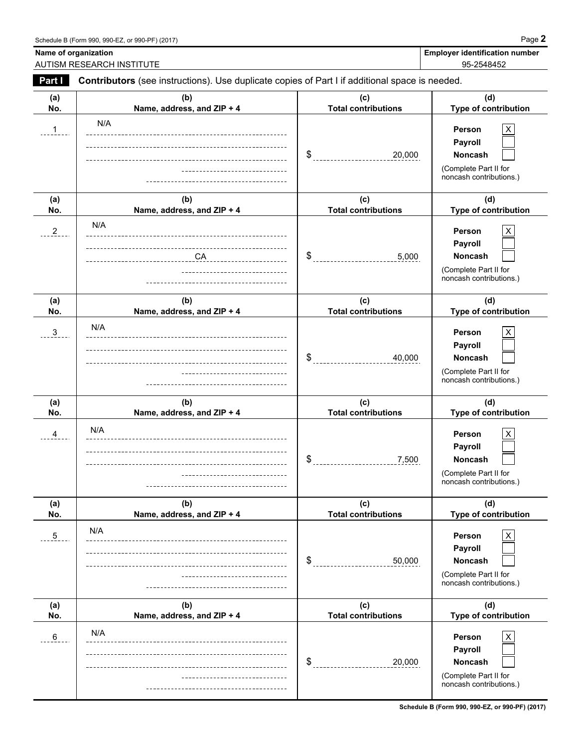| Schedule B (Form 990, 990-EZ, or 990-PF) (2017) | $P$ age $\blacktriangle$ |
|-------------------------------------------------|--------------------------|
|-------------------------------------------------|--------------------------|

AUTISM RESEARCH INSTITUTE AUTISM RESEARCH INSTITUTE

**Name of organization Name of organization Name of organization Employer identification number** 

| Part I         | Contributors (see instructions). Use duplicate copies of Part I if additional space is needed. |                                   |                                                                                         |
|----------------|------------------------------------------------------------------------------------------------|-----------------------------------|-----------------------------------------------------------------------------------------|
| (a)<br>No.     | (b)<br>Name, address, and ZIP + 4                                                              | (c)<br><b>Total contributions</b> | (d)<br>Type of contribution                                                             |
| 1              | N/A                                                                                            | \$<br>20,000                      | Person<br>Payroll<br>Noncash<br>(Complete Part II for<br>noncash contributions.)        |
| (a)<br>No.     | (b)<br>Name, address, and ZIP + 4                                                              | (c)<br><b>Total contributions</b> | (d)<br>Type of contribution                                                             |
| $\overline{2}$ | N/A<br>CA                                                                                      | \$<br>5,000                       | <b>Person</b><br>Payroll<br>Noncash<br>(Complete Part II for<br>noncash contributions.) |
| (a)<br>No.     | (b)<br>Name, address, and ZIP + 4                                                              | (c)<br><b>Total contributions</b> | (d)<br>Type of contribution                                                             |
| $\overline{3}$ | N/A                                                                                            | \$.<br>40,000                     | Person<br>Payroll<br>Noncash<br>(Complete Part II for<br>noncash contributions.)        |
| (a)<br>No.     | (b)<br>Name, address, and ZIP + 4                                                              | (c)<br><b>Total contributions</b> | (d)<br>Type of contribution                                                             |
| 4              | N/A                                                                                            | \$<br>7,500                       | Person<br>Payroll<br>Noncash<br>(Complete Part II for<br>noncash contributions.)        |
| (a)<br>No.     | (b)<br>Name, address, and ZIP + 4                                                              | (c)<br><b>Total contributions</b> | (d)<br>Type of contribution                                                             |
| $\overline{5}$ | N/A                                                                                            | \$<br>50,000                      | Person<br>Payroll<br>Noncash<br>(Complete Part II for<br>noncash contributions.)        |
| (a)<br>No.     | (b)<br>Name, address, and ZIP + 4                                                              | (c)<br><b>Total contributions</b> | (d)<br>Type of contribution                                                             |
| 6              | N/A                                                                                            | \$<br>20,000                      | Person<br>Payroll<br>Noncash<br>(Complete Part II for<br>noncash contributions.)        |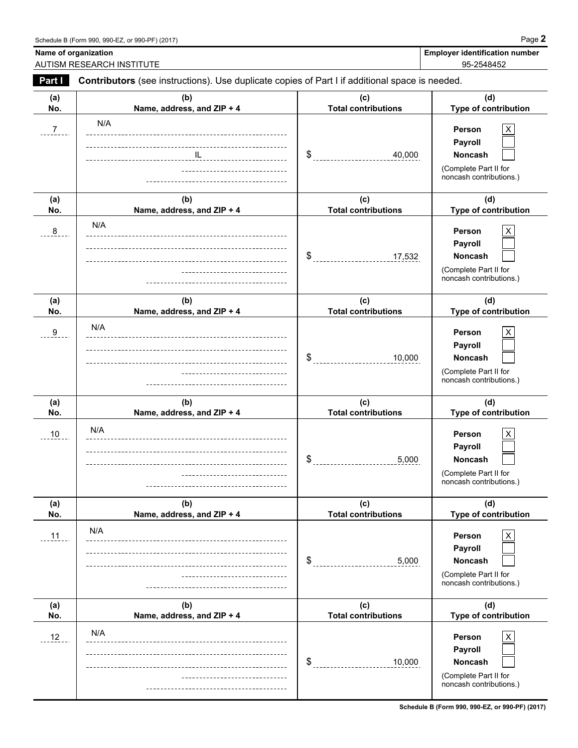| Schedule B (Form 990, 990-EZ, or 990-PF) (2017) | Page <sub>←</sub> |
|-------------------------------------------------|-------------------|
|-------------------------------------------------|-------------------|

**AUTISM RESEARCH INSTITUTE** 

| 95-2548452 |  |
|------------|--|

| Part I         | Contributors (see instructions). Use duplicate copies of Part I if additional space is needed. |                                   |                                                                                              |
|----------------|------------------------------------------------------------------------------------------------|-----------------------------------|----------------------------------------------------------------------------------------------|
| (a)<br>No.     | (b)<br>Name, address, and ZIP + 4                                                              | (c)<br><b>Total contributions</b> | (d)<br>Type of contribution                                                                  |
| $\overline{7}$ | N/A<br>IL.                                                                                     | \$<br>40,000                      | <b>Person</b><br>х<br>Payroll<br>Noncash<br>(Complete Part II for<br>noncash contributions.) |
| (a)<br>No.     | (b)<br>Name, address, and ZIP + 4                                                              | (c)<br><b>Total contributions</b> | (d)<br>Type of contribution                                                                  |
| 8              | N/A                                                                                            | \$<br>17,532                      | Person<br>х<br>Payroll<br>Noncash<br>(Complete Part II for<br>noncash contributions.)        |
| (a)<br>No.     | (b)<br>Name, address, and ZIP + 4                                                              | (c)<br><b>Total contributions</b> | (d)<br>Type of contribution                                                                  |
| 9              | N/A                                                                                            | \$<br>10,000                      | Person<br>х<br>Payroll<br>Noncash<br>(Complete Part II for<br>noncash contributions.)        |
| (a)<br>No.     | (b)<br>Name, address, and ZIP + 4                                                              | (c)<br><b>Total contributions</b> | (d)<br>Type of contribution                                                                  |
| 10             | N/A                                                                                            | \$<br>5,000                       | Person<br>х<br>Payroll<br>Noncash<br>(Complete Part II for<br>noncash contributions.)        |
| (a)<br>No.     | (b)<br>Name, address, and ZIP + 4                                                              | (c)<br><b>Total contributions</b> | (d)<br>Type of contribution                                                                  |
| 11             | N/A                                                                                            | 5,000<br>\$                       | Person<br>х<br>Payroll<br>Noncash<br>(Complete Part II for<br>noncash contributions.)        |
| (a)<br>No.     | (b)<br>Name, address, and ZIP + 4                                                              | (c)<br><b>Total contributions</b> | (d)<br>Type of contribution                                                                  |
| 12             | N/A                                                                                            | \$<br>10,000                      | Person<br>Payroll<br>Noncash<br>(Complete Part II for<br>noncash contributions.)             |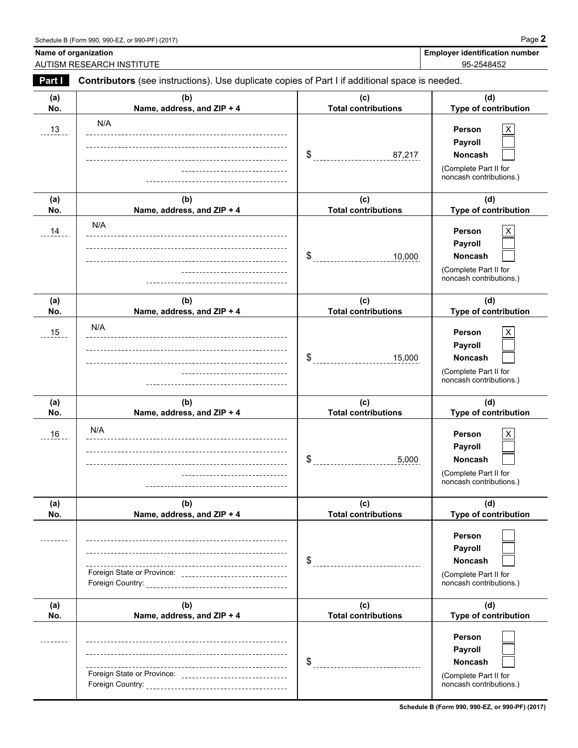| Schedule B (Form 990, 990-EZ, or 990-PF) (2017) | $P$ age $\blacktriangle$ |
|-------------------------------------------------|--------------------------|
|-------------------------------------------------|--------------------------|

AUTISM RESEARCH INSTITUTE AUTISM RESEARCH INSTITUTE

I

**Name of organization Name of organization Name of organization Employer identification number** 

| Part I     | Contributors (see instructions). Use duplicate copies of Part I if additional space is needed. |                                   |                                                                                         |
|------------|------------------------------------------------------------------------------------------------|-----------------------------------|-----------------------------------------------------------------------------------------|
| (a)<br>No. | (b)<br>Name, address, and ZIP + 4                                                              | (c)<br><b>Total contributions</b> | (d)<br>Type of contribution                                                             |
| 13         | N/A                                                                                            | \$<br>87,217                      | Person<br>Payroll<br><b>Noncash</b><br>(Complete Part II for<br>noncash contributions.) |
| (a)<br>No. | (b)<br>Name, address, and ZIP + 4                                                              | (c)<br><b>Total contributions</b> | (d)<br>Type of contribution                                                             |
| 14         | N/A                                                                                            | \$<br>10,000                      | <b>Person</b><br>Payroll<br>Noncash<br>(Complete Part II for<br>noncash contributions.) |
| (a)<br>No. | (b)<br>Name, address, and ZIP + 4                                                              | (c)<br><b>Total contributions</b> | (d)<br>Type of contribution                                                             |
| $15\,$     | N/A                                                                                            | S<br>15,000                       | Person<br>Payroll<br>Noncash<br>(Complete Part II for<br>noncash contributions.)        |
| (a)<br>No. | (b)<br>Name, address, and ZIP + 4                                                              | (c)<br><b>Total contributions</b> | (d)<br>Type of contribution                                                             |
| 16         | N/A                                                                                            | \$<br>5,000                       | <b>Person</b><br>Payroll<br>Noncash<br>(Complete Part II for<br>noncash contributions.) |
| (a)<br>No. | (b)<br>Name, address, and ZIP + 4                                                              | (c)<br><b>Total contributions</b> | (d)<br>Type of contribution                                                             |
|            |                                                                                                | \$                                | Person<br>Payroll<br>Noncash<br>(Complete Part II for<br>noncash contributions.)        |
| (a)<br>No. | (b)<br>Name, address, and ZIP + 4                                                              | (c)<br><b>Total contributions</b> | (d)<br>Type of contribution                                                             |
|            |                                                                                                | \$                                | Person<br>Payroll<br>Noncash<br>(Complete Part II for<br>noncash contributions.)        |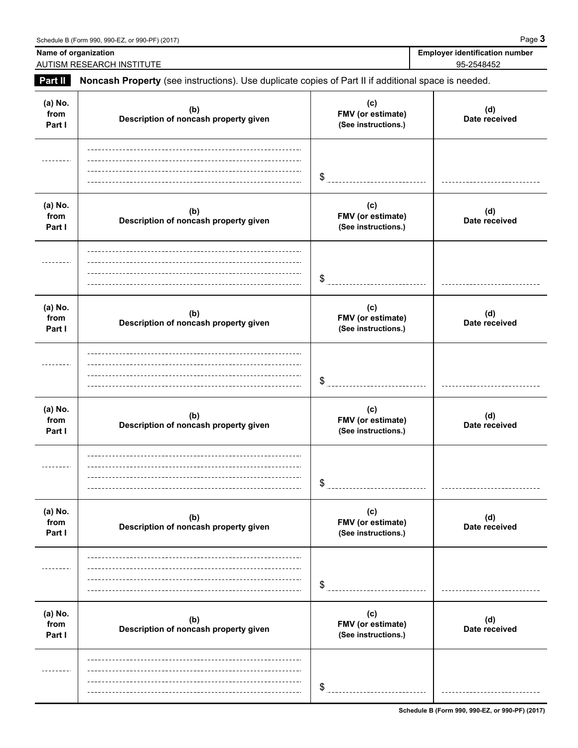**Name of organization is a set of organization in the set of organization is a set of organization in the set of organization in the set of organization in the set of organization in the set of organization in the set of o** AUTISM RESEARCH INSTITUTE 95-2548452

**Part II Noncash Property** (see instructions). Use duplicate copies of Part II if additional space is needed. **(a) No. (c) (d) (b) Description of noncash property given Date received from FMV (or estimate) Part I (See instructions.)** --------- $$$ **(a) No. (c) (b) (d) Description of noncash property given Date received from FMV (or estimate)** Part I **B Part I CONSCRIPTION CONSCRIPTION** *CONSCRIPTION* **CONSCRIPTION** *CONSCRIPTION* **CONSCRIPTION** *CONSCRIPTION* **CONSCRIPTION** ---------\$

|                           |                                              | \$                                              |                      |
|---------------------------|----------------------------------------------|-------------------------------------------------|----------------------|
| (a) No.<br>from<br>Part I | (b)<br>Description of noncash property given | (c)<br>FMV (or estimate)<br>(See instructions.) | (d)<br>Date received |
|                           |                                              | \$                                              |                      |
| (a) No.<br>from<br>Part I | (b)<br>Description of noncash property given | (c)<br>FMV (or estimate)<br>(See instructions.) | (d)<br>Date received |
|                           |                                              | \$                                              |                      |
| (a) No.<br>from<br>Part I | (b)<br>Description of noncash property given | (c)<br>FMV (or estimate)<br>(See instructions.) | (d)<br>Date received |
|                           |                                              | \$                                              |                      |
| (a) No.<br>from<br>Part I | (b)<br>Description of noncash property given | (c)<br>FMV (or estimate)<br>(See instructions.) | (d)<br>Date received |
|                           |                                              | \$                                              |                      |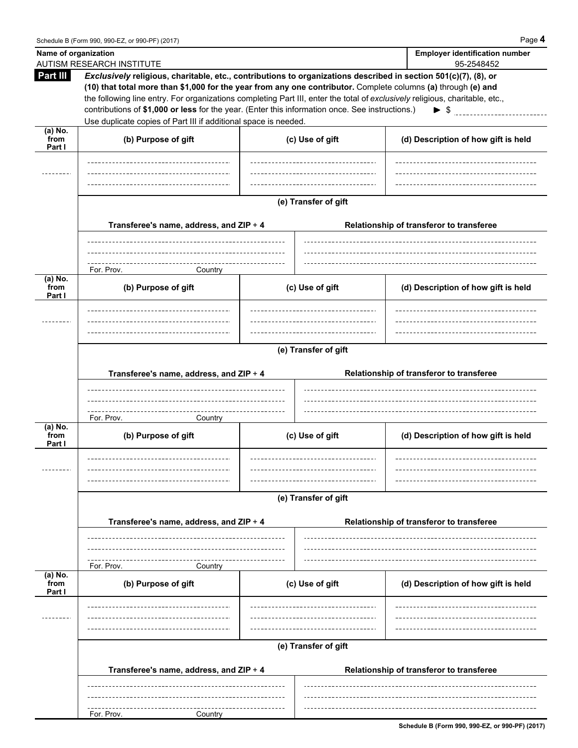| Name of organization        | AUTISM RESEARCH INSTITUTE                                                                                                                                                                                                                                                                                                                                                                                                                                                                                                              |                      | <b>Employer identification number</b><br>95-2548452 |
|-----------------------------|----------------------------------------------------------------------------------------------------------------------------------------------------------------------------------------------------------------------------------------------------------------------------------------------------------------------------------------------------------------------------------------------------------------------------------------------------------------------------------------------------------------------------------------|----------------------|-----------------------------------------------------|
| Part III                    | Exclusively religious, charitable, etc., contributions to organizations described in section 501(c)(7), (8), or<br>(10) that total more than \$1,000 for the year from any one contributor. Complete columns (a) through (e) and<br>the following line entry. For organizations completing Part III, enter the total of exclusively religious, charitable, etc.,<br>contributions of \$1,000 or less for the year. (Enter this information once. See instructions.)<br>Use duplicate copies of Part III if additional space is needed. |                      | $\blacktriangleright$ \$                            |
| (a) No.<br>from<br>Part I   | (b) Purpose of gift                                                                                                                                                                                                                                                                                                                                                                                                                                                                                                                    | (c) Use of gift      | (d) Description of how gift is held                 |
|                             |                                                                                                                                                                                                                                                                                                                                                                                                                                                                                                                                        |                      |                                                     |
|                             |                                                                                                                                                                                                                                                                                                                                                                                                                                                                                                                                        | (e) Transfer of gift |                                                     |
|                             | Transferee's name, address, and ZIP + 4                                                                                                                                                                                                                                                                                                                                                                                                                                                                                                |                      | Relationship of transferor to transferee            |
|                             | For. Prov.<br>Country                                                                                                                                                                                                                                                                                                                                                                                                                                                                                                                  |                      |                                                     |
| (a) No.<br>from<br>Part I   | (b) Purpose of gift                                                                                                                                                                                                                                                                                                                                                                                                                                                                                                                    | (c) Use of gift      | (d) Description of how gift is held                 |
|                             |                                                                                                                                                                                                                                                                                                                                                                                                                                                                                                                                        |                      |                                                     |
|                             |                                                                                                                                                                                                                                                                                                                                                                                                                                                                                                                                        | (e) Transfer of gift |                                                     |
|                             | Transferee's name, address, and ZIP + 4                                                                                                                                                                                                                                                                                                                                                                                                                                                                                                |                      | Relationship of transferor to transferee            |
|                             |                                                                                                                                                                                                                                                                                                                                                                                                                                                                                                                                        |                      |                                                     |
| $(a)$ No.<br>from<br>Part I | For. Prov.<br>Country<br>(b) Purpose of gift                                                                                                                                                                                                                                                                                                                                                                                                                                                                                           | (c) Use of gift      | (d) Description of how gift is held                 |
|                             |                                                                                                                                                                                                                                                                                                                                                                                                                                                                                                                                        | (e) Transfer of gift |                                                     |
|                             | Transferee's name, address, and ZIP + 4                                                                                                                                                                                                                                                                                                                                                                                                                                                                                                |                      | Relationship of transferor to transferee            |
|                             | For. Prov.<br>Country                                                                                                                                                                                                                                                                                                                                                                                                                                                                                                                  |                      |                                                     |
| (a) No.<br>from<br>Part I   | (b) Purpose of gift                                                                                                                                                                                                                                                                                                                                                                                                                                                                                                                    | (c) Use of gift      | (d) Description of how gift is held                 |
|                             |                                                                                                                                                                                                                                                                                                                                                                                                                                                                                                                                        |                      |                                                     |
|                             |                                                                                                                                                                                                                                                                                                                                                                                                                                                                                                                                        | (e) Transfer of gift |                                                     |
|                             | Transferee's name, address, and ZIP + 4                                                                                                                                                                                                                                                                                                                                                                                                                                                                                                |                      | Relationship of transferor to transferee            |
|                             | For. Prov.<br>Country                                                                                                                                                                                                                                                                                                                                                                                                                                                                                                                  |                      |                                                     |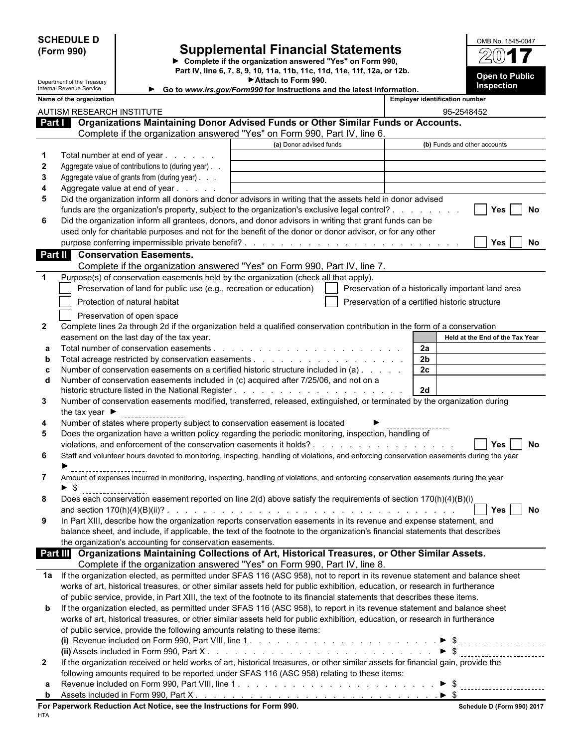**SCHEDULE D** OMB No. 1545-0047 **Supplemental Financial Statements (Form 990)** G **Complete if the organization answered "Yes" on Form 990, Part IV, line 6, 7, 8, 9, 10, 11a, 11b, 11c, 11d, 11e, 11f, 12a, or 12b. Open to Public Attach to Form 990. Inspection**<br>Internal Revenue Service **Community Constructions and the latest information.**<br>Internal Revenue Service **Community Community Constructions and the latest information.** Internal Revenue Service Name of the organization **Name of the organization Employer identification number**  $\overline{\phantom{a}}$  Employer identification number AUTISM RESEARCH INSTITUTE 95-2548452  **Part I Organizations Maintaining Donor Advised Funds or Other Similar Funds or Accounts.** Complete if the organization answered "Yes" on Form 990, Part IV, line 6. **(a)** Donor advised funds **(b)** Funds and other accounts **1** Total number at end of year . . . . . . **2** Aggregate value of contributions to (during year) . . . **3** Aggregate value of grants from (during year) . . . **4** Aggregate value at end of year . . . . . **5** Did the organization inform all donors and donor advisors in writing that the assets held in donor advised funds are the organization's property, subject to the organization's exclusive legal control? . . . . . . . . . . . . . . . . . . . . . . . . . . . . . . . . . . . . . . **Yes No 6** Did the organization inform all grantees, donors, and donor advisors in writing that grant funds can be used only for charitable purposes and not for the benefit of the donor or donor advisor, or for any other purpose conferring impermissible private benefit? . . . . . . . . . . . . . . . . . . . . . . . . . . . . . . . . . . . . . . . . . . . . . . . . . **Yes No Part II Conservation Easements.**  Complete if the organization answered "Yes" on Form 990, Part IV, line 7. **1** Purpose(s) of conservation easements held by the organization (check all that apply). Preservation of land for public use (e.g., recreation or education)  $\|\cdot\|$  Preservation of a historically important land area Protection of natural habitat **Protection of a certified historic structure** Protection of a certified historic structure Preservation of open space **2** Complete lines 2a through 2d if the organization held a qualified conservation contribution in the form of a conservation easement on the last day of the tax year. **Held at the End of the Tax Year Held at the End of the Tax Year a** Total number of conservation easements . . . . . . . . . . . . . . . . . . . . . . . . . . . . . . . . . . . . . . . . . . . . . . . . . . . . **2a b** Total acreage restricted by conservation easements . . . . . . . . . . . . . . . . . . . . . . . . . . . . . . . . . . . . . . . . . . . . . . . . . **2b c** Number of conservation easements on a certified historic structure included in (a) . . . . . . 2c **d** Number of conservation easements included in (c) acquired after 7/25/06, and not on a historic structure listed in the National Register . . . . . . . . . . . . . . . . . . . . . . . . . . . . . . . . . . . . . . . . . . . . . . . . . **2d 3** Number of conservation easements modified, transferred, released, extinguished, or terminated by the organization during the tax year  $\triangleright$ **4** Number of states where property subject to conservation easement is located **5** Does the organization have a written policy regarding the periodic monitoring, inspection, handling of violations, and enforcement of the conservation easements it holds? . . . . . . . . . . . . . . . . . . . . . . . . . . . . . . . . . . . . . . . . . . . . . **Yes No 6** Staff and volunteer hours devoted to monitoring, inspecting, handling of violations, and enforcing conservation easements during the year **7** Amount of expenses incurred in monitoring, inspecting, handling of violations, and enforcing conservation easements during the year \$ **8** Does each conservation easement reported on line 2(d) above satisfy the requirements of section 170(h)(4)(B)(i) and section 170(h)(4)(B)(ii)? . . . . . . . . . . . . . . . . . . . . . . . . . . . . . . . . . . . . . . . . . . . . . . . . . . **Yes No 9** In Part XIII, describe how the organization reports conservation easements in its revenue and expense statement, and balance sheet, and include, if applicable, the text of the footnote to the organization's financial statements that describes the organization's accounting for conservation easements.  **Part III Organizations Maintaining Collections of Art, Historical Treasures, or Other Similar Assets.** Complete if the organization answered "Yes" on Form 990, Part IV, line 8. **1a** If the organization elected, as permitted under SFAS 116 (ASC 958), not to report in its revenue statement and balance sheet works of art, historical treasures, or other similar assets held for public exhibition, education, or research in furtherance of public service, provide, in Part XIII, the text of the footnote to its financial statements that describes these items. **b** If the organization elected, as permitted under SFAS 116 (ASC 958), to report in its revenue statement and balance sheet works of art, historical treasures, or other similar assets held for public exhibition, education, or research in furtherance of public service, provide the following amounts relating to these items: **(i)** Revenue included on Form 990, Part VIII, line 1 . . . . . . . . . . . . . . . . . . . . . . . . . . . . . . . . . . . . . . . . . . . . . . . . . \$ **(ii)** Assets included in Form 990, Part X . . . . . . . . . . . . . . . . . . . . . . . . . . . . . . . . . . . . . . . . . . . . . . . . . . . . . \$ **2** If the organization received or held works of art, historical treasures, or other similar assets for financial gain, provide the following amounts required to be reported under SFAS 116 (ASC 958) relating to these items: **a** Revenue included on Form 990, Part VIII, line 1 . . . . . . . . . . . . . . . . . . . . . . . . . . . . . . . . . . . . . . . . . . . . . . . . . \$ **b** Assets included in Form 990, Part X . . . . . . . . . . . . . . . . . . . . . . . . . . . . . . . . . . . . . . . . . . . . . . . . . . . . . \$

**HTA**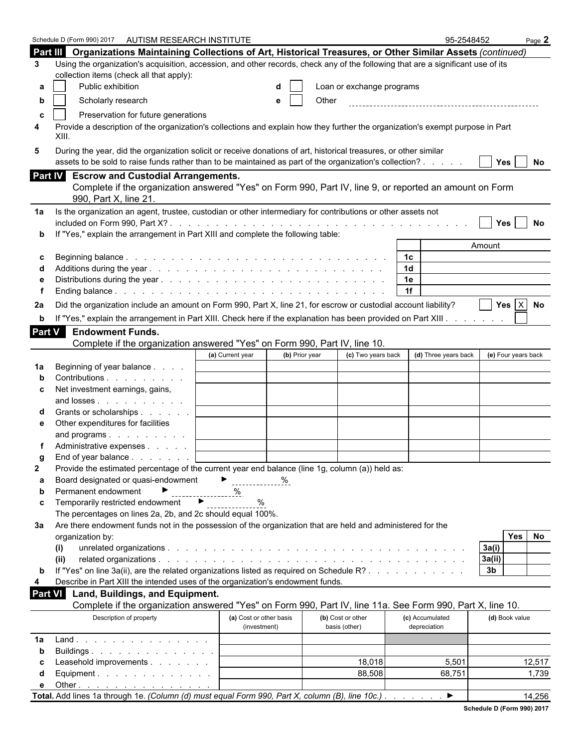|         | Schedule D (Form 990) 2017 AUTISM RESEARCH INSTITUTE                                                                                                                                                                         |                         |                |                   |                           |                | 95-2548452           |                |                     | Page $2$ |
|---------|------------------------------------------------------------------------------------------------------------------------------------------------------------------------------------------------------------------------------|-------------------------|----------------|-------------------|---------------------------|----------------|----------------------|----------------|---------------------|----------|
|         | Part III Organizations Maintaining Collections of Art, Historical Treasures, or Other Similar Assets (continued)                                                                                                             |                         |                |                   |                           |                |                      |                |                     |          |
| 3       | Using the organization's acquisition, accession, and other records, check any of the following that are a significant use of its                                                                                             |                         |                |                   |                           |                |                      |                |                     |          |
|         | collection items (check all that apply):                                                                                                                                                                                     |                         |                |                   |                           |                |                      |                |                     |          |
| а       | Public exhibition                                                                                                                                                                                                            |                         |                |                   | Loan or exchange programs |                |                      |                |                     |          |
| b       | Scholarly research                                                                                                                                                                                                           |                         | e              | Other             |                           |                |                      |                |                     |          |
| c       | Preservation for future generations                                                                                                                                                                                          |                         |                |                   |                           |                |                      |                |                     |          |
| 4       | Provide a description of the organization's collections and explain how they further the organization's exempt purpose in Part<br>XIII.                                                                                      |                         |                |                   |                           |                |                      |                |                     |          |
| 5       | During the year, did the organization solicit or receive donations of art, historical treasures, or other similar<br>assets to be sold to raise funds rather than to be maintained as part of the organization's collection? |                         |                |                   |                           |                |                      |                | Yes                 | No       |
|         | Part IV Escrow and Custodial Arrangements.                                                                                                                                                                                   |                         |                |                   |                           |                |                      |                |                     |          |
|         | Complete if the organization answered "Yes" on Form 990, Part IV, line 9, or reported an amount on Form<br>990, Part X, line 21.                                                                                             |                         |                |                   |                           |                |                      |                |                     |          |
| 1a      | Is the organization an agent, trustee, custodian or other intermediary for contributions or other assets not                                                                                                                 |                         |                |                   |                           |                |                      |                |                     |          |
|         | If "Yes," explain the arrangement in Part XIII and complete the following table:                                                                                                                                             |                         |                |                   |                           |                |                      |                | Yes                 | No       |
|         |                                                                                                                                                                                                                              |                         |                |                   |                           |                |                      | Amount         |                     |          |
| c       |                                                                                                                                                                                                                              |                         |                |                   |                           | 1c             |                      |                |                     |          |
|         |                                                                                                                                                                                                                              |                         |                |                   |                           | 1 <sub>d</sub> |                      |                |                     |          |
|         |                                                                                                                                                                                                                              |                         |                |                   |                           | 1e             |                      |                |                     |          |
|         |                                                                                                                                                                                                                              |                         |                |                   |                           | 1f             |                      |                |                     |          |
| 2a      | Did the organization include an amount on Form 990, Part X, line 21, for escrow or custodial account liability?                                                                                                              |                         |                |                   |                           |                |                      |                | Yes $X$ No          |          |
| b       | If "Yes," explain the arrangement in Part XIII. Check here if the explanation has been provided on Part XIII.                                                                                                                |                         |                |                   |                           |                |                      |                |                     |          |
| Part V  | <b>Endowment Funds.</b>                                                                                                                                                                                                      |                         |                |                   |                           |                |                      |                |                     |          |
|         | Complete if the organization answered "Yes" on Form 990, Part IV, line 10.                                                                                                                                                   |                         |                |                   |                           |                |                      |                |                     |          |
|         |                                                                                                                                                                                                                              | (a) Current year        | (b) Prior year |                   | (c) Two years back        |                | (d) Three years back |                | (e) Four years back |          |
| 1a      | Beginning of year balance                                                                                                                                                                                                    |                         |                |                   |                           |                |                      |                |                     |          |
|         | Contributions                                                                                                                                                                                                                |                         |                |                   |                           |                |                      |                |                     |          |
| c       | Net investment earnings, gains,                                                                                                                                                                                              |                         |                |                   |                           |                |                      |                |                     |          |
|         | and losses                                                                                                                                                                                                                   |                         |                |                   |                           |                |                      |                |                     |          |
|         | Grants or scholarships                                                                                                                                                                                                       |                         |                |                   |                           |                |                      |                |                     |          |
| е       | Other expenditures for facilities                                                                                                                                                                                            |                         |                |                   |                           |                |                      |                |                     |          |
|         | and programs                                                                                                                                                                                                                 |                         |                |                   |                           |                |                      |                |                     |          |
|         | Administrative expenses                                                                                                                                                                                                      |                         |                |                   |                           |                |                      |                |                     |          |
| g<br>2  | End of year balance<br>Provide the estimated percentage of the current year end balance (line 1g, column (a)) held as:                                                                                                       |                         |                |                   |                           |                |                      |                |                     |          |
| а       | Board designated or quasi-endowment                                                                                                                                                                                          | ▶                       | %              |                   |                           |                |                      |                |                     |          |
| b       | Permanent endowment                                                                                                                                                                                                          | %                       |                |                   |                           |                |                      |                |                     |          |
| c       | ▶<br>Temporarily restricted endowment                                                                                                                                                                                        | $\%$                    |                |                   |                           |                |                      |                |                     |          |
|         | The percentages on lines 2a, 2b, and 2c should equal 100%.                                                                                                                                                                   |                         |                |                   |                           |                |                      |                |                     |          |
| За      | Are there endowment funds not in the possession of the organization that are held and administered for the                                                                                                                   |                         |                |                   |                           |                |                      |                |                     |          |
|         | organization by:                                                                                                                                                                                                             |                         |                |                   |                           |                |                      |                | Yes                 | No       |
|         | (i)                                                                                                                                                                                                                          |                         |                |                   |                           |                |                      | 3a(i)          |                     |          |
|         | (ii)                                                                                                                                                                                                                         |                         |                |                   |                           |                |                      | 3a(ii)         |                     |          |
| b       | If "Yes" on line 3a(ii), are the related organizations listed as required on Schedule R?                                                                                                                                     |                         |                |                   |                           |                |                      | 3 <sub>b</sub> |                     |          |
| 4       | Describe in Part XIII the intended uses of the organization's endowment funds.                                                                                                                                               |                         |                |                   |                           |                |                      |                |                     |          |
| Part VI | Land, Buildings, and Equipment.<br>Complete if the organization answered "Yes" on Form 990, Part IV, line 11a. See Form 990, Part X, line 10.                                                                                |                         |                |                   |                           |                |                      |                |                     |          |
|         | Description of property                                                                                                                                                                                                      | (a) Cost or other basis |                | (b) Cost or other |                           |                | (c) Accumulated      |                | (d) Book value      |          |
|         |                                                                                                                                                                                                                              | (investment)            |                | basis (other)     |                           |                | depreciation         |                |                     |          |
| 1a      | Land.                                                                                                                                                                                                                        |                         |                |                   |                           |                |                      |                |                     |          |
| b       | Buildings                                                                                                                                                                                                                    |                         |                |                   |                           |                |                      |                |                     |          |
| С       | Leasehold improvements                                                                                                                                                                                                       |                         |                |                   | 18,018                    |                | 5,501                |                |                     | 12,517   |
| d       | Equipment.                                                                                                                                                                                                                   |                         |                |                   | 88,508                    |                | 68,751               |                |                     | 1,739    |
| е       | Other <u>.</u>                                                                                                                                                                                                               |                         |                |                   |                           |                |                      |                |                     |          |
|         | Total. Add lines 1a through 1e. (Column (d) must equal Form 990, Part X, column (B), line 10c.) ▶                                                                                                                            |                         |                |                   |                           |                |                      |                |                     | 14,256   |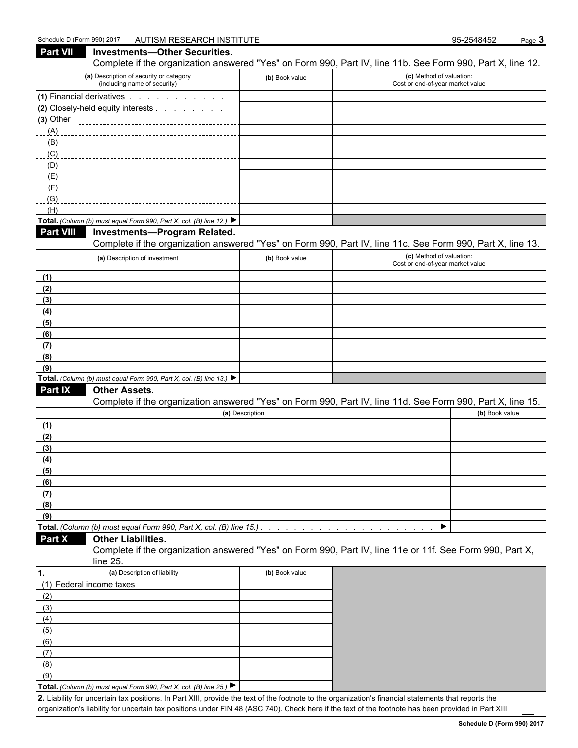#### **Part VII Investments—Other Securities.**  Complete if the organization answered "Yes" on Form 990, Part IV, line 11b. See Form 990, Part X, line 12. **(a)** Description of security or category (including name of security) **(b)** Book value **(c)** Method of valuation: Cost or end-of-year market value **(1)** Financial derivatives . . . . . . . . . . . **(2)** Closely-held equity interests . . . . . **(3)** Other  $(A)$ (B)  $(C)$ (D)  $(E)$  $(F)$  $(G)$ (H) **Total.** *(Column (b) must equal Form 990, Part X, col. (B) line 12.)* **Part VIII Investments—Program Related.**  Complete if the organization answered "Yes" on Form 990, Part IV, line 11c. See Form 990, Part X, line 13. **(a)** Description of investment **(b)** Book value **(b)** Book value **(c)** Method of valuation: Cost or end-of-year market value **(1) (2) (3) (4) (5) (6) (7) (8) (9) Total.** *(Column (b) must equal Form 990, Part X, col. (B) line 13.)*  **Part IX Other Assets.** Complete if the organization answered "Yes" on Form 990, Part IV, line 11d. See Form 990, Part X, line 15. **(a)** Description **(b)** Book value **(1) (2) (3) (4) (5) (6) (7) (8) (9) Total.** *(Column (b) must equal Form 990, Part X, col. (B) line 15.) . . . . . . . . . . . . . . . . . . . . . . . . . . . . . . . . . . . . . . . . . . . .* **Part X** Other Liabilities. Complete if the organization answered "Yes" on Form 990, Part IV, line 11e or 11f. See Form 990, Part X, line 25. **1. (a)** Description of liability **(b) (b)** Book value

| 1.  | (a) Description of liability                                                             | (b) Book value |
|-----|------------------------------------------------------------------------------------------|----------------|
|     | (1) Federal income taxes                                                                 |                |
| (2) |                                                                                          |                |
| (3) |                                                                                          |                |
| (4) |                                                                                          |                |
| (5) |                                                                                          |                |
| (6) |                                                                                          |                |
| (7) |                                                                                          |                |
| (8) |                                                                                          |                |
| (9) |                                                                                          |                |
|     | Total. (Column (b) must equal Form 990, Part X, col. (B) line 25.) $\blacktriangleright$ |                |

**2.** Liability for uncertain tax positions. In Part XIII, provide the text of the footnote to the organization's financial statements that reports the organization's liability for uncertain tax positions under FIN 48 (ASC 740). Check here if the text of the footnote has been provided in Part XIII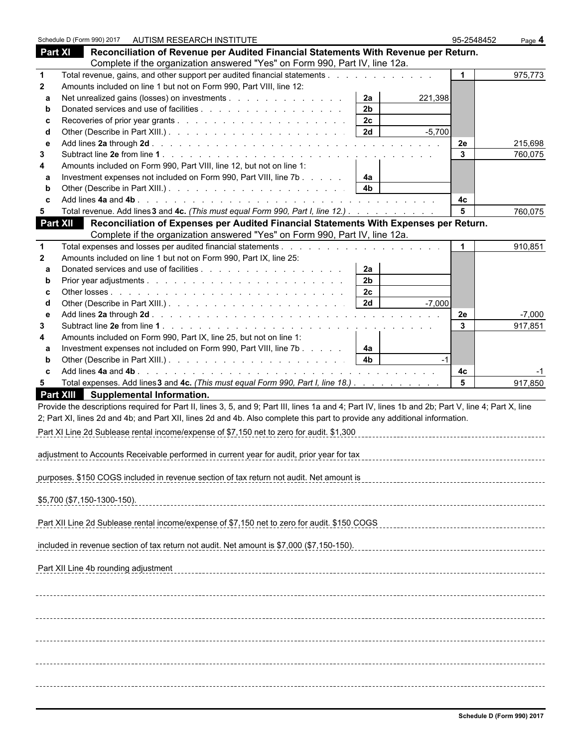|                  | Schedule D (Form 990) 2017           | AUTISM RESEARCH INSTITUTE                                                                                                                          | 95-2548452  | Page 4   |
|------------------|--------------------------------------|----------------------------------------------------------------------------------------------------------------------------------------------------|-------------|----------|
| <b>Part XI</b>   |                                      | Reconciliation of Revenue per Audited Financial Statements With Revenue per Return.                                                                |             |          |
|                  |                                      | Complete if the organization answered "Yes" on Form 990, Part IV, line 12a.                                                                        |             |          |
| $\mathbf 1$      |                                      | Total revenue, gains, and other support per audited financial statements                                                                           | $\mathbf 1$ | 975,773  |
| $\mathbf{2}$     |                                      | Amounts included on line 1 but not on Form 990, Part VIII, line 12:                                                                                |             |          |
| a                |                                      | Net unrealized gains (losses) on investments<br>2a<br>221,398                                                                                      |             |          |
| b                |                                      | 2 <sub>b</sub>                                                                                                                                     |             |          |
| С                |                                      | 2c                                                                                                                                                 |             |          |
| d                |                                      | $-5,700$<br>2d                                                                                                                                     |             |          |
| e                |                                      |                                                                                                                                                    | 2e          | 215,698  |
| 3                |                                      |                                                                                                                                                    | 3           | 760,075  |
| 4                |                                      | Amounts included on Form 990, Part VIII, line 12, but not on line 1:                                                                               |             |          |
| a                |                                      | Investment expenses not included on Form 990, Part VIII, line 7b<br>4a                                                                             |             |          |
| b                |                                      | 4 <sub>b</sub>                                                                                                                                     |             |          |
| c                |                                      |                                                                                                                                                    | 4с          |          |
| 5                |                                      | Total revenue. Add lines 3 and 4c. (This must equal Form 990, Part I, line 12.)                                                                    | 5           | 760,075  |
| <b>Part XII</b>  |                                      | Reconciliation of Expenses per Audited Financial Statements With Expenses per Return.                                                              |             |          |
|                  |                                      | Complete if the organization answered "Yes" on Form 990, Part IV, line 12a.                                                                        |             |          |
| 1                |                                      |                                                                                                                                                    | $\mathbf 1$ | 910,851  |
| $\mathbf{2}$     |                                      | Amounts included on line 1 but not on Form 990, Part IX, line 25:                                                                                  |             |          |
| a                |                                      | 2a                                                                                                                                                 |             |          |
| b                |                                      | 2 <sub>b</sub>                                                                                                                                     |             |          |
| c                |                                      | 2c                                                                                                                                                 |             |          |
| d                |                                      | 2d<br>$-7.000$                                                                                                                                     |             |          |
| e                |                                      |                                                                                                                                                    | 2е          | $-7,000$ |
| 3                |                                      |                                                                                                                                                    | 3           | 917,851  |
| 4                |                                      | Amounts included on Form 990, Part IX, line 25, but not on line 1:                                                                                 |             |          |
| a                |                                      | Investment expenses not included on Form 990, Part VIII, line 7b<br>4a                                                                             |             |          |
| b                |                                      | 4 <sub>b</sub>                                                                                                                                     | $-1$        |          |
| C                |                                      |                                                                                                                                                    | 4с          | -1       |
| 5                |                                      | Total expenses. Add lines 3 and 4c. (This must equal Form 990, Part I, line 18.)                                                                   | 5           | 917,850  |
| <b>Part XIII</b> |                                      | Supplemental Information.                                                                                                                          |             |          |
|                  |                                      | Provide the descriptions required for Part II, lines 3, 5, and 9; Part III, lines 1a and 4; Part IV, lines 1b and 2b; Part V, line 4; Part X, line |             |          |
|                  |                                      | 2; Part XI, lines 2d and 4b; and Part XII, lines 2d and 4b. Also complete this part to provide any additional information.                         |             |          |
|                  |                                      | Part XI Line 2d Sublease rental income/expense of \$7,150 net to zero for audit. \$1,300                                                           |             |          |
|                  |                                      |                                                                                                                                                    |             |          |
|                  |                                      | adjustment to Accounts Receivable performed in current year for audit, prior year for tax                                                          |             |          |
|                  |                                      |                                                                                                                                                    |             |          |
|                  |                                      | purposes. \$150 COGS included in revenue section of tax return not audit. Net amount is                                                            |             |          |
|                  |                                      |                                                                                                                                                    |             |          |
|                  | \$5,700 (\$7,150-1300-150).          |                                                                                                                                                    |             |          |
|                  |                                      |                                                                                                                                                    |             |          |
|                  |                                      | Part XII Line 2d Sublease rental income/expense of \$7,150 net to zero for audit. \$150 COGS                                                       |             |          |
|                  |                                      |                                                                                                                                                    |             |          |
|                  |                                      | included in revenue section of tax return not audit. Net amount is \$7,000 (\$7,150-150).                                                          |             |          |
|                  |                                      |                                                                                                                                                    |             |          |
|                  | Part XII Line 4b rounding adjustment |                                                                                                                                                    |             |          |
|                  |                                      |                                                                                                                                                    |             |          |
|                  |                                      |                                                                                                                                                    |             |          |
|                  |                                      |                                                                                                                                                    |             |          |
|                  |                                      |                                                                                                                                                    |             |          |
|                  |                                      |                                                                                                                                                    |             |          |
|                  |                                      |                                                                                                                                                    |             |          |
|                  |                                      |                                                                                                                                                    |             |          |
|                  |                                      |                                                                                                                                                    |             |          |
|                  |                                      |                                                                                                                                                    |             |          |
|                  |                                      |                                                                                                                                                    |             |          |
|                  |                                      |                                                                                                                                                    |             |          |
|                  |                                      |                                                                                                                                                    |             |          |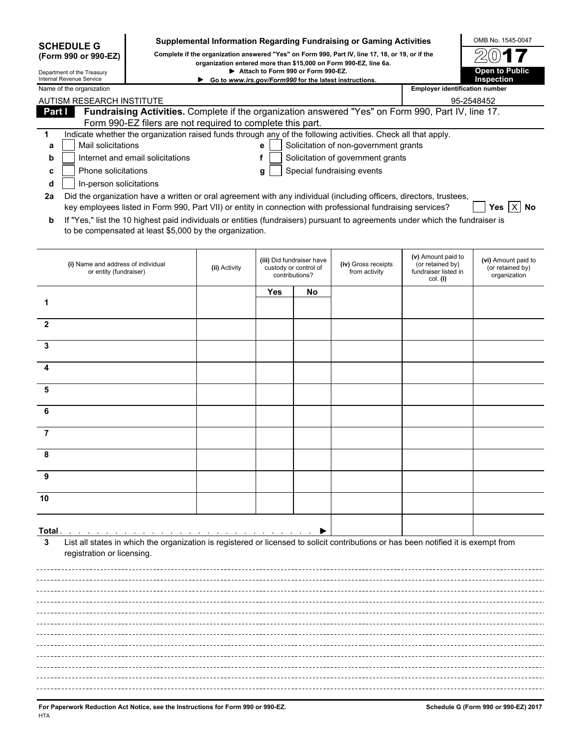|                                                              |                                                                                                                                                                                          |                                                        |                                    |                                                    | Supplemental Information Regarding Fundraising or Gaming Activities                             |                                                                            | OMB No. 1545-0047                                       |
|--------------------------------------------------------------|------------------------------------------------------------------------------------------------------------------------------------------------------------------------------------------|--------------------------------------------------------|------------------------------------|----------------------------------------------------|-------------------------------------------------------------------------------------------------|----------------------------------------------------------------------------|---------------------------------------------------------|
| <b>SCHEDULE G</b><br>(Form 990 or 990-EZ)                    |                                                                                                                                                                                          |                                                        |                                    |                                                    | Complete if the organization answered "Yes" on Form 990, Part IV, line 17, 18, or 19, or if the |                                                                            |                                                         |
| Department of the Treasury                                   |                                                                                                                                                                                          |                                                        | Attach to Form 990 or Form 990-EZ. |                                                    | organization entered more than \$15,000 on Form 990-EZ, line 6a.                                |                                                                            | <b>Open to Public</b>                                   |
| Internal Revenue Service<br>Name of the organization         |                                                                                                                                                                                          | Go to www.irs.gov/Form990 for the latest instructions. |                                    |                                                    |                                                                                                 | <b>Employer identification number</b>                                      | <b>Inspection</b>                                       |
| AUTISM RESEARCH INSTITUTE                                    |                                                                                                                                                                                          |                                                        |                                    |                                                    |                                                                                                 |                                                                            | 95-2548452                                              |
| Part I                                                       | Fundraising Activities. Complete if the organization answered "Yes" on Form 990, Part IV, line 17.                                                                                       |                                                        |                                    |                                                    |                                                                                                 |                                                                            |                                                         |
|                                                              | Form 990-EZ filers are not required to complete this part.                                                                                                                               |                                                        |                                    |                                                    |                                                                                                 |                                                                            |                                                         |
| 1                                                            | Indicate whether the organization raised funds through any of the following activities. Check all that apply.                                                                            |                                                        |                                    |                                                    |                                                                                                 |                                                                            |                                                         |
| Mail solicitations<br>a                                      | Internet and email solicitations                                                                                                                                                         |                                                        | е<br>f                             |                                                    | Solicitation of non-government grants                                                           |                                                                            |                                                         |
| b<br>Phone solicitations<br>c                                |                                                                                                                                                                                          |                                                        |                                    |                                                    | Solicitation of government grants<br>Special fundraising events                                 |                                                                            |                                                         |
| In-person solicitations<br>d                                 |                                                                                                                                                                                          |                                                        | g                                  |                                                    |                                                                                                 |                                                                            |                                                         |
| 2a                                                           | Did the organization have a written or oral agreement with any individual (including officers, directors, trustees,                                                                      |                                                        |                                    |                                                    |                                                                                                 |                                                                            |                                                         |
|                                                              | key employees listed in Form 990, Part VII) or entity in connection with professional fundraising services?                                                                              |                                                        |                                    |                                                    |                                                                                                 |                                                                            | Yes $X$ No                                              |
| b                                                            | If "Yes," list the 10 highest paid individuals or entities (fundraisers) pursuant to agreements under which the fundraiser is<br>to be compensated at least \$5,000 by the organization. |                                                        |                                    |                                                    |                                                                                                 |                                                                            |                                                         |
| (i) Name and address of individual<br>or entity (fundraiser) |                                                                                                                                                                                          | (ii) Activity                                          | contributions?                     | (iii) Did fundraiser have<br>custody or control of | (iv) Gross receipts<br>from activity                                                            | (v) Amount paid to<br>(or retained by)<br>fundraiser listed in<br>col. (i) | (vi) Amount paid to<br>(or retained by)<br>organization |
|                                                              |                                                                                                                                                                                          |                                                        | <b>Yes</b>                         | No                                                 |                                                                                                 |                                                                            |                                                         |
| 1                                                            |                                                                                                                                                                                          |                                                        |                                    |                                                    |                                                                                                 |                                                                            |                                                         |
| 2                                                            |                                                                                                                                                                                          |                                                        |                                    |                                                    |                                                                                                 |                                                                            |                                                         |
|                                                              |                                                                                                                                                                                          |                                                        |                                    |                                                    |                                                                                                 |                                                                            |                                                         |
| 3                                                            |                                                                                                                                                                                          |                                                        |                                    |                                                    |                                                                                                 |                                                                            |                                                         |
| 4                                                            |                                                                                                                                                                                          |                                                        |                                    |                                                    |                                                                                                 |                                                                            |                                                         |
| 5                                                            |                                                                                                                                                                                          |                                                        |                                    |                                                    |                                                                                                 |                                                                            |                                                         |
| 6                                                            |                                                                                                                                                                                          |                                                        |                                    |                                                    |                                                                                                 |                                                                            |                                                         |
|                                                              |                                                                                                                                                                                          |                                                        |                                    |                                                    |                                                                                                 |                                                                            |                                                         |
| 7                                                            |                                                                                                                                                                                          |                                                        |                                    |                                                    |                                                                                                 |                                                                            |                                                         |
|                                                              |                                                                                                                                                                                          |                                                        |                                    |                                                    |                                                                                                 |                                                                            |                                                         |
| 9                                                            |                                                                                                                                                                                          |                                                        |                                    |                                                    |                                                                                                 |                                                                            |                                                         |
| 10                                                           |                                                                                                                                                                                          |                                                        |                                    |                                                    |                                                                                                 |                                                                            |                                                         |
|                                                              |                                                                                                                                                                                          |                                                        |                                    |                                                    |                                                                                                 |                                                                            |                                                         |
| Total.                                                       |                                                                                                                                                                                          |                                                        |                                    |                                                    |                                                                                                 |                                                                            |                                                         |
| 3<br>registration or licensing.                              | List all states in which the organization is registered or licensed to solicit contributions or has been notified it is exempt from                                                      |                                                        |                                    |                                                    |                                                                                                 |                                                                            |                                                         |
|                                                              |                                                                                                                                                                                          |                                                        |                                    |                                                    |                                                                                                 |                                                                            |                                                         |
|                                                              |                                                                                                                                                                                          |                                                        |                                    |                                                    |                                                                                                 |                                                                            |                                                         |
|                                                              |                                                                                                                                                                                          |                                                        |                                    |                                                    |                                                                                                 |                                                                            |                                                         |
|                                                              |                                                                                                                                                                                          |                                                        |                                    |                                                    |                                                                                                 |                                                                            |                                                         |
|                                                              |                                                                                                                                                                                          |                                                        |                                    |                                                    |                                                                                                 |                                                                            |                                                         |
|                                                              |                                                                                                                                                                                          |                                                        |                                    |                                                    |                                                                                                 |                                                                            |                                                         |
|                                                              |                                                                                                                                                                                          |                                                        |                                    |                                                    |                                                                                                 |                                                                            |                                                         |
|                                                              |                                                                                                                                                                                          |                                                        |                                    |                                                    |                                                                                                 |                                                                            |                                                         |
|                                                              |                                                                                                                                                                                          |                                                        |                                    |                                                    |                                                                                                 |                                                                            |                                                         |
|                                                              |                                                                                                                                                                                          |                                                        |                                    |                                                    |                                                                                                 |                                                                            |                                                         |
|                                                              |                                                                                                                                                                                          |                                                        |                                    |                                                    |                                                                                                 |                                                                            |                                                         |
|                                                              |                                                                                                                                                                                          |                                                        |                                    |                                                    |                                                                                                 |                                                                            |                                                         |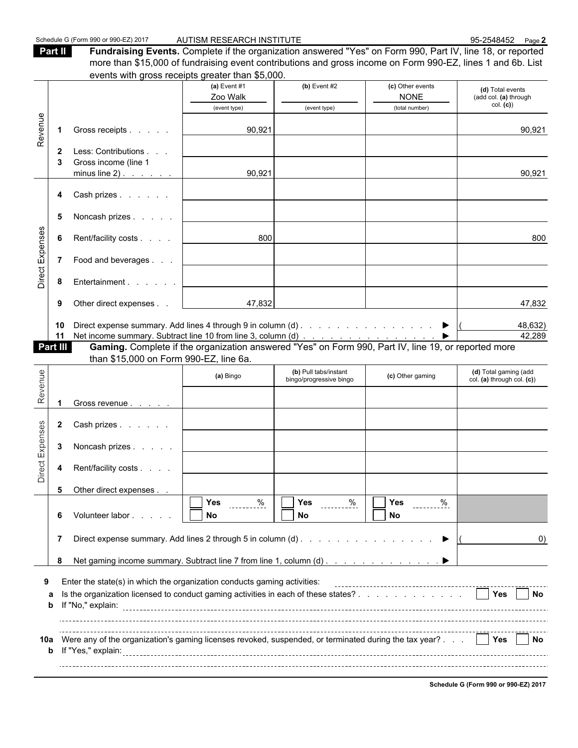#### Schedule G (Form 990 or 990-EZ) 2017 AUTISM RESEARCH INSTITUTE 95-2548452 Page 2

Part II **Fundraising Events.** Complete if the organization answered "Yes" on Form 990, Part IV, line 18, or reported more than \$15,000 of fundraising event contributions and gross income on Form 990-EZ, lines 1 and 6b. List events with gross receipts greater than \$5,000.

|                 |              |                                                                                                                                                                                                                               |                                               | events with gross receipts greater than \$5,000. |                                 |                                                       |
|-----------------|--------------|-------------------------------------------------------------------------------------------------------------------------------------------------------------------------------------------------------------------------------|-----------------------------------------------|--------------------------------------------------|---------------------------------|-------------------------------------------------------|
|                 |              |                                                                                                                                                                                                                               | (a) Event $#1$<br>Zoo Walk                    | $(b)$ Event #2                                   | (c) Other events<br><b>NONE</b> | (d) Total events<br>(add col. (a) through<br>col. (c) |
|                 |              |                                                                                                                                                                                                                               | (event type)                                  | (event type)                                     | (total number)                  |                                                       |
| Revenue         | $\mathbf 1$  | Gross receipts                                                                                                                                                                                                                | 90,921                                        |                                                  |                                 | 90,921                                                |
|                 | $\mathbf{2}$ | Less: Contributions                                                                                                                                                                                                           |                                               |                                                  |                                 |                                                       |
|                 | 3            | Gross income (line 1<br>minus line $2)$ .                                                                                                                                                                                     | 90,921                                        |                                                  |                                 | 90,921                                                |
|                 | 4            | Cash prizes                                                                                                                                                                                                                   |                                               |                                                  |                                 |                                                       |
|                 | 5            | Noncash prizes                                                                                                                                                                                                                |                                               |                                                  |                                 |                                                       |
|                 | 6            | Rent/facility costs                                                                                                                                                                                                           | 800                                           |                                                  |                                 | 800                                                   |
| Direct Expenses | 7            | Food and beverages                                                                                                                                                                                                            |                                               |                                                  |                                 |                                                       |
|                 | 8            | Entertainment                                                                                                                                                                                                                 |                                               |                                                  |                                 |                                                       |
|                 | 9            | Other direct expenses                                                                                                                                                                                                         | 47,832                                        |                                                  |                                 | 47,832                                                |
|                 | 10<br>11     | Direct expense summary. Add lines 4 through 9 in column (d) ▶                                                                                                                                                                 |                                               |                                                  |                                 | 48,632)<br>42,289                                     |
|                 | Part III     | Net income summary. Subtract line 10 from line 3, column (d) ▶  <br><b>Gaming.</b> Complete if the organization answered "Yes" on Form 990, Part IV, line 19, or reported more                                                |                                               |                                                  |                                 |                                                       |
|                 |              | than \$15,000 on Form 990-EZ, line 6a.                                                                                                                                                                                        |                                               |                                                  |                                 |                                                       |
| Revenue         |              |                                                                                                                                                                                                                               | (a) Bingo                                     | (b) Pull tabs/instant<br>bingo/progressive bingo | (c) Other gaming                | (d) Total gaming (add<br>col. (a) through col. (c))   |
|                 |              | Gross revenue                                                                                                                                                                                                                 |                                               |                                                  |                                 |                                                       |
|                 | $\mathbf{2}$ | Cash prizes                                                                                                                                                                                                                   |                                               |                                                  |                                 |                                                       |
|                 | 3            | Noncash prizes                                                                                                                                                                                                                |                                               |                                                  |                                 |                                                       |
| Direct Expenses | 4            | Rent/facility costs                                                                                                                                                                                                           |                                               |                                                  |                                 |                                                       |
|                 | 5            | Other direct expenses                                                                                                                                                                                                         |                                               | $\overline{\phantom{1}}$                         | $\overline{\phantom{m}}$        |                                                       |
|                 |              |                                                                                                                                                                                                                               |                                               |                                                  |                                 |                                                       |
|                 | 6            | Volunteer labor                                                                                                                                                                                                               | $\overline{\phantom{a}}$<br>$\%$<br>Yes<br>No | $\frac{\%}{\%}$<br>Yes<br>No                     | Yes<br>No                       |                                                       |
|                 | 7            |                                                                                                                                                                                                                               |                                               |                                                  |                                 | $\left( 0\right)$                                     |
|                 | 8            | Net gaming income summary. Subtract line 7 from line 1, column (d)                                                                                                                                                            |                                               |                                                  |                                 |                                                       |
|                 |              |                                                                                                                                                                                                                               |                                               |                                                  |                                 |                                                       |
|                 | a<br>b       | Enter the state(s) in which the organization conducts gaming activities:<br>Is the organization licensed to conduct gaming activities in each of these states?                                                                |                                               |                                                  |                                 | │ Yes<br>l No                                         |
|                 |              | If "No," explain: www.commutation.com/www.commutation.com/www.commutation.com/www.commutation.com/www.commutation.com/www.commutation.com/www.commutation.com/www.commutation.com/www.commutation.com/www.commutation.com/www |                                               |                                                  |                                 |                                                       |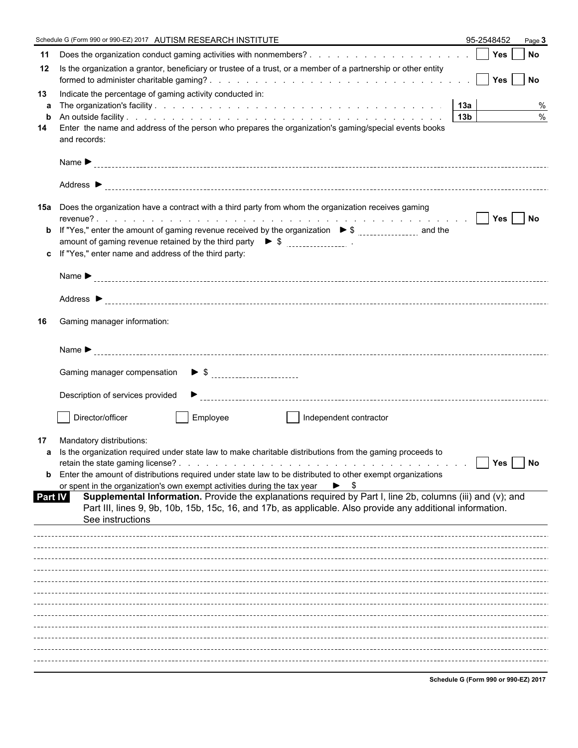|                         | Schedule G (Form 990 or 990-EZ) 2017 AUTISM RESEARCH INSTITUTE                                                                                                                                                                                                                                                                                                                                                                                                                                                                                                                               |                 | 95-2548452 | Page 3    |
|-------------------------|----------------------------------------------------------------------------------------------------------------------------------------------------------------------------------------------------------------------------------------------------------------------------------------------------------------------------------------------------------------------------------------------------------------------------------------------------------------------------------------------------------------------------------------------------------------------------------------------|-----------------|------------|-----------|
| 11                      |                                                                                                                                                                                                                                                                                                                                                                                                                                                                                                                                                                                              |                 |            | No        |
| 12.                     | Is the organization a grantor, beneficiary or trustee of a trust, or a member of a partnership or other entity                                                                                                                                                                                                                                                                                                                                                                                                                                                                               |                 |            | <b>No</b> |
| 13<br>a                 | Indicate the percentage of gaming activity conducted in:                                                                                                                                                                                                                                                                                                                                                                                                                                                                                                                                     | 13а             |            | %         |
| $\mathbf b$<br>14       | Enter the name and address of the person who prepares the organization's gaming/special events books<br>and records:                                                                                                                                                                                                                                                                                                                                                                                                                                                                         | 13 <sub>b</sub> |            | $\%$      |
|                         |                                                                                                                                                                                                                                                                                                                                                                                                                                                                                                                                                                                              |                 |            |           |
|                         |                                                                                                                                                                                                                                                                                                                                                                                                                                                                                                                                                                                              |                 |            |           |
| 15а<br>b                | Does the organization have a contract with a third party from whom the organization receives gaming<br>If "Yes," enter the amount of gaming revenue received by the organization $\bullet$ \$ _________________ and the<br>amount of gaming revenue retained by the third party $\bullet$ \$ $\frac{1}{2}$ = $\frac{1}{2}$ = $\frac{1}{2}$ = $\frac{1}{2}$ = $\frac{1}{2}$ = $\frac{1}{2}$ = $\frac{1}{2}$ = $\frac{1}{2}$ = $\frac{1}{2}$ = $\frac{1}{2}$ = $\frac{1}{2}$ = $\frac{1}{2}$ = $\frac{1}{2}$ = $\frac{1$<br>c If "Yes," enter name and address of the third party:             |                 |            |           |
|                         | Name $\blacktriangleright$                                                                                                                                                                                                                                                                                                                                                                                                                                                                                                                                                                   |                 |            |           |
|                         |                                                                                                                                                                                                                                                                                                                                                                                                                                                                                                                                                                                              |                 |            |           |
| 16                      | Gaming manager information:                                                                                                                                                                                                                                                                                                                                                                                                                                                                                                                                                                  |                 |            |           |
|                         | Name $\blacktriangleright$                                                                                                                                                                                                                                                                                                                                                                                                                                                                                                                                                                   |                 |            |           |
|                         |                                                                                                                                                                                                                                                                                                                                                                                                                                                                                                                                                                                              |                 |            |           |
|                         | Description of services provided                                                                                                                                                                                                                                                                                                                                                                                                                                                                                                                                                             |                 |            |           |
|                         | Director/officer<br>Employee<br>Independent contractor                                                                                                                                                                                                                                                                                                                                                                                                                                                                                                                                       |                 |            |           |
| 17<br>а<br>b<br>Part IV | Mandatory distributions:<br>Is the organization required under state law to make charitable distributions from the gaming proceeds to<br>Enter the amount of distributions required under state law to be distributed to other exempt organizations<br>or spent in the organization's own exempt activities during the tax year<br>- \$<br>▶<br>Supplemental Information. Provide the explanations required by Part I, line 2b, columns (iii) and (v); and<br>Part III, lines 9, 9b, 10b, 15b, 15c, 16, and 17b, as applicable. Also provide any additional information.<br>See instructions |                 | Yes        | <b>No</b> |
|                         |                                                                                                                                                                                                                                                                                                                                                                                                                                                                                                                                                                                              |                 |            |           |
|                         |                                                                                                                                                                                                                                                                                                                                                                                                                                                                                                                                                                                              |                 |            |           |
|                         |                                                                                                                                                                                                                                                                                                                                                                                                                                                                                                                                                                                              |                 |            |           |
|                         |                                                                                                                                                                                                                                                                                                                                                                                                                                                                                                                                                                                              |                 |            |           |
|                         |                                                                                                                                                                                                                                                                                                                                                                                                                                                                                                                                                                                              |                 |            |           |
|                         |                                                                                                                                                                                                                                                                                                                                                                                                                                                                                                                                                                                              |                 |            |           |
|                         |                                                                                                                                                                                                                                                                                                                                                                                                                                                                                                                                                                                              |                 |            |           |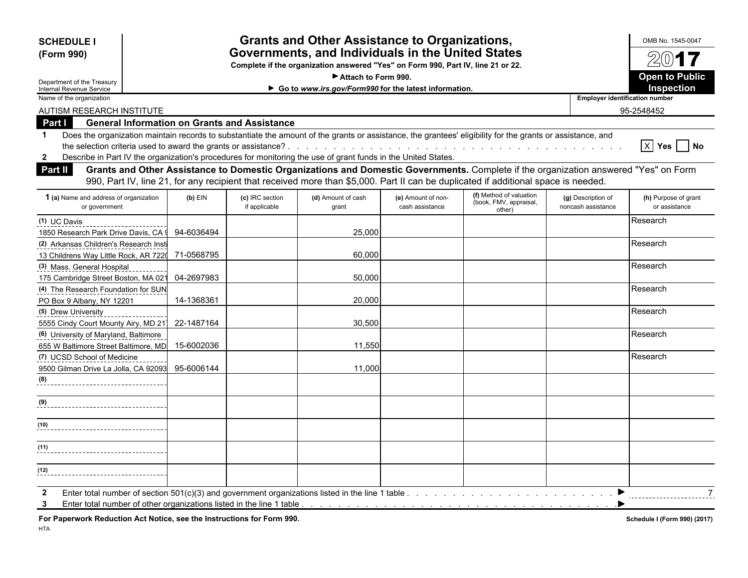| <b>SCHEDULE I</b><br>(Form 990)                        | <b>Grants and Other Assistance to Organizations,</b><br>Governments, and Individuals in the United States<br>Complete if the organization answered "Yes" on Form 990, Part IV, line 21 or 22.<br>Attach to Form 990. | OMB No. 1545-0047<br>2017<br><b>Open to Publi</b> |
|--------------------------------------------------------|----------------------------------------------------------------------------------------------------------------------------------------------------------------------------------------------------------------------|---------------------------------------------------|
| Department of the Treasury<br>Internal Revenue Service | Go to www.irs.gov/Form990 for the latest information.                                                                                                                                                                | <b>Inspection</b>                                 |
| Name of the organization                               |                                                                                                                                                                                                                      | <b>Employer identification number</b>             |
| AUTISM RESEARCH INSTITUTE                              |                                                                                                                                                                                                                      | 95-2548452                                        |
| Part I                                                 | <b>General Information on Grants and Assistance</b>                                                                                                                                                                  |                                                   |

| <br>e, the grantees' eligibility for the grants.<br>as to substantiate the amount of the grants or 1<br>r assistance.<br>Doe. |  |
|-------------------------------------------------------------------------------------------------------------------------------|--|
| $\alpha$ award the grants.<br>ritaria<br>the                                                                                  |  |

**2** Describe in Part IV the organization's procedures for monitoring the use of grant funds in the United States.

**Part II** Grants and Other Assistance to Domestic Organizations and Domestic Governments. Complete if the organization answered "Yes" on Form 990, Part IV, line 21, for any recipient that received more than \$5,000. Part II can be duplicated if additional space is needed.

| 1 (a) Name and address of organization<br>or government                                                                                | $(b)$ EIN  | (c) IRC section<br>if applicable | (d) Amount of cash<br>grant | (e) Amount of non-<br>cash assistance | (f) Method of valuation<br>(book, FMV, appraisal,<br>other) | (g) Description of<br>noncash assistance | (h) Purpose of grant<br>or assistance |
|----------------------------------------------------------------------------------------------------------------------------------------|------------|----------------------------------|-----------------------------|---------------------------------------|-------------------------------------------------------------|------------------------------------------|---------------------------------------|
| (1) UC Davis                                                                                                                           |            |                                  |                             |                                       |                                                             |                                          | Research                              |
| 1850 Research Park Drive Davis, CA 9                                                                                                   | 94-6036494 |                                  | 25,000                      |                                       |                                                             |                                          |                                       |
| (2) Arkansas Children's Research Insti                                                                                                 |            |                                  |                             |                                       |                                                             |                                          | Research                              |
| 13 Childrens Way Little Rock, AR 7220                                                                                                  | 71-0568795 |                                  | 60,000                      |                                       |                                                             |                                          |                                       |
| (3) Mass. General Hospital                                                                                                             |            |                                  |                             |                                       |                                                             |                                          | Research                              |
| 175 Cambridge Street Boston, MA 021                                                                                                    | 04-2697983 |                                  | 50,000                      |                                       |                                                             |                                          |                                       |
| (4) The Research Foundation for SUN                                                                                                    |            |                                  |                             |                                       |                                                             |                                          | Research                              |
| PO Box 9 Albany, NY 12201                                                                                                              | 14-1368361 |                                  | 20,000                      |                                       |                                                             |                                          |                                       |
| (5) Drew University                                                                                                                    |            |                                  |                             |                                       |                                                             |                                          | Research                              |
| 5555 Cindy Court Mounty Airy, MD 211                                                                                                   | 22-1487164 |                                  | 30,500                      |                                       |                                                             |                                          |                                       |
| (6) University of Maryland, Baltimore                                                                                                  |            |                                  |                             |                                       |                                                             |                                          | Research                              |
| 655 W Baltimore Street Baltimore, MD                                                                                                   | 15-6002036 |                                  | 11,550                      |                                       |                                                             |                                          |                                       |
| (7) UCSD School of Medicine                                                                                                            |            |                                  |                             |                                       |                                                             |                                          | Research                              |
| 9500 Gilman Drive La Jolla, CA 92093                                                                                                   | 95-6006144 |                                  | 11,000                      |                                       |                                                             |                                          |                                       |
| (8)                                                                                                                                    |            |                                  |                             |                                       |                                                             |                                          |                                       |
| (9)                                                                                                                                    |            |                                  |                             |                                       |                                                             |                                          |                                       |
| (10)                                                                                                                                   |            |                                  |                             |                                       |                                                             |                                          |                                       |
| (11)                                                                                                                                   |            |                                  |                             |                                       |                                                             |                                          |                                       |
| (12)                                                                                                                                   |            |                                  |                             |                                       |                                                             |                                          |                                       |
| Enter total number of section $501(c)(3)$ and government organizations listed in the line 1 table $\dots$ .<br>$\overline{\mathbf{2}}$ |            |                                  |                             |                                       |                                                             |                                          |                                       |

**3** Enter total number of other organizations listed in the line 1 table . . . . . . . . . . . . . . . . . . . . . . . . . . . . . . . . . . . . . . . . . . . . . . . . . . .

**For Paperwork Reduction Act Notice, see the Instructions for Form 990.** *Schedule I (Form 990)* **(2017) <b>Schedule I (Form 990) (2017**)

**Alternation Public Inspection**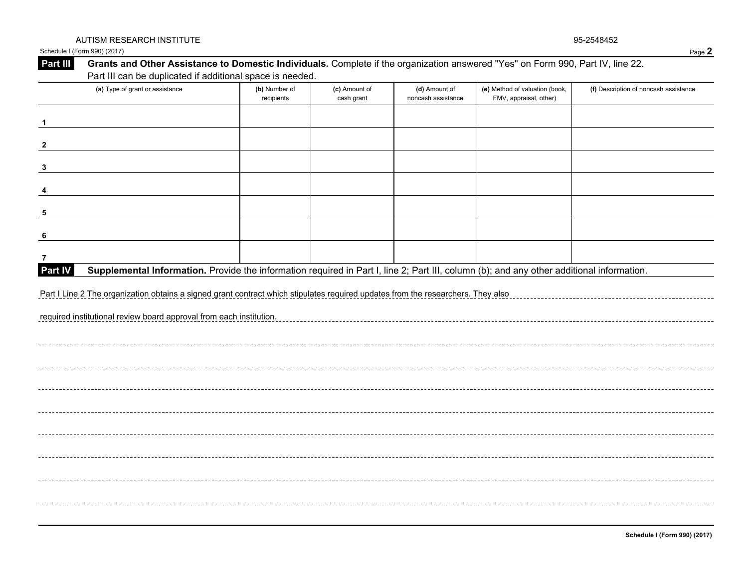| (a) Type of grant or assistance                                                                                                                      | (b) Number of | (c) Amount of | (d) Amount of      | (e) Method of valuation (book, | (f) Description of noncash assistance |
|------------------------------------------------------------------------------------------------------------------------------------------------------|---------------|---------------|--------------------|--------------------------------|---------------------------------------|
|                                                                                                                                                      | recipients    | cash grant    | noncash assistance | FMV, appraisal, other)         |                                       |
|                                                                                                                                                      |               |               |                    |                                |                                       |
|                                                                                                                                                      |               |               |                    |                                |                                       |
|                                                                                                                                                      |               |               |                    |                                |                                       |
|                                                                                                                                                      |               |               |                    |                                |                                       |
|                                                                                                                                                      |               |               |                    |                                |                                       |
|                                                                                                                                                      |               |               |                    |                                |                                       |
|                                                                                                                                                      |               |               |                    |                                |                                       |
| Supplemental Information. Provide the information required in Part I, line 2; Part III, column (b); and any other additional information.<br>Part IV |               |               |                    |                                |                                       |

<u>required institutional review board approval from each institution.</u>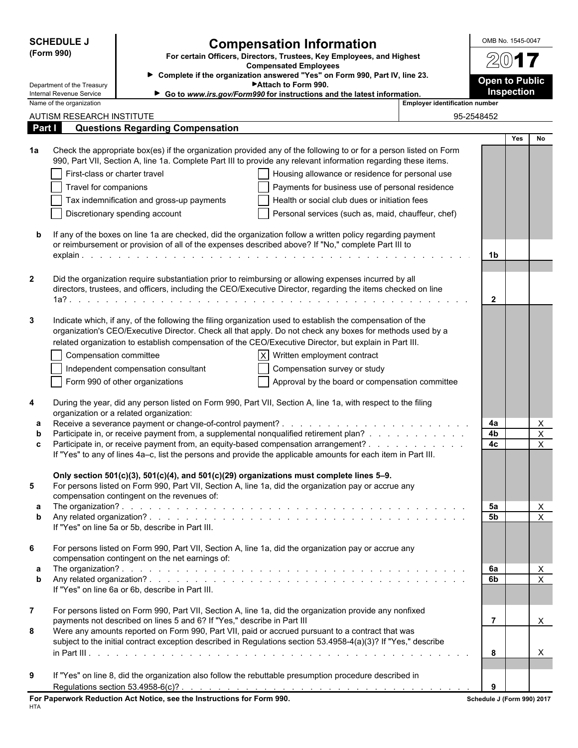|                | <b>SCHEDULE J</b>                                      |                                                                             | <b>Compensation Information</b>                                                                                                                                                                                                                                                                                                                                                                                                                           |                                       | OMB No. 1545-0047          |                            |  |
|----------------|--------------------------------------------------------|-----------------------------------------------------------------------------|-----------------------------------------------------------------------------------------------------------------------------------------------------------------------------------------------------------------------------------------------------------------------------------------------------------------------------------------------------------------------------------------------------------------------------------------------------------|---------------------------------------|----------------------------|----------------------------|--|
|                | (Form 990)                                             |                                                                             | For certain Officers, Directors, Trustees, Key Employees, and Highest<br><b>Compensated Employees</b>                                                                                                                                                                                                                                                                                                                                                     |                                       |                            |                            |  |
|                | Department of the Treasury                             |                                                                             | > Complete if the organization answered "Yes" on Form 990, Part IV, line 23.<br>Attach to Form 990.                                                                                                                                                                                                                                                                                                                                                       |                                       | <b>Open to Public</b>      |                            |  |
|                | Internal Revenue Service                               |                                                                             | Go to www.irs.gov/Form990 for instructions and the latest information.                                                                                                                                                                                                                                                                                                                                                                                    |                                       | <b>Inspection</b>          |                            |  |
|                | Name of the organization                               |                                                                             |                                                                                                                                                                                                                                                                                                                                                                                                                                                           | <b>Employer identification number</b> |                            |                            |  |
|                | AUTISM RESEARCH INSTITUTE                              |                                                                             |                                                                                                                                                                                                                                                                                                                                                                                                                                                           |                                       | 95-2548452                 |                            |  |
| Part I         |                                                        | <b>Questions Regarding Compensation</b>                                     |                                                                                                                                                                                                                                                                                                                                                                                                                                                           |                                       |                            | <b>Yes</b><br>No           |  |
| 1a             | First-class or charter travel<br>Travel for companions | Tax indemnification and gross-up payments<br>Discretionary spending account | Check the appropriate box(es) if the organization provided any of the following to or for a person listed on Form<br>990, Part VII, Section A, line 1a. Complete Part III to provide any relevant information regarding these items.<br>Housing allowance or residence for personal use<br>Payments for business use of personal residence<br>Health or social club dues or initiation fees<br>Personal services (such as, maid, chauffeur, chef)         |                                       |                            |                            |  |
|                |                                                        |                                                                             | If any of the boxes on line 1a are checked, did the organization follow a written policy regarding payment<br>or reimbursement or provision of all of the expenses described above? If "No," complete Part III to                                                                                                                                                                                                                                         |                                       | 1b                         |                            |  |
| $\mathbf{2}$   |                                                        |                                                                             | Did the organization require substantiation prior to reimbursing or allowing expenses incurred by all<br>directors, trustees, and officers, including the CEO/Executive Director, regarding the items checked on line                                                                                                                                                                                                                                     |                                       | $\mathbf{2}$               |                            |  |
| 3              | Compensation committee                                 | Independent compensation consultant<br>Form 990 of other organizations      | Indicate which, if any, of the following the filing organization used to establish the compensation of the<br>organization's CEO/Executive Director. Check all that apply. Do not check any boxes for methods used by a<br>related organization to establish compensation of the CEO/Executive Director, but explain in Part III.<br>$ X $ Written employment contract<br>Compensation survey or study<br>Approval by the board or compensation committee |                                       |                            |                            |  |
| 4              |                                                        | organization or a related organization:                                     | During the year, did any person listed on Form 990, Part VII, Section A, line 1a, with respect to the filing                                                                                                                                                                                                                                                                                                                                              |                                       |                            |                            |  |
| а<br>b<br>c    |                                                        |                                                                             | Participate in, or receive payment from, a supplemental nonqualified retirement plan?<br>Participate in, or receive payment from, an equity-based compensation arrangement?<br>If "Yes" to any of lines 4a-c, list the persons and provide the applicable amounts for each item in Part III.                                                                                                                                                              |                                       | 4a<br>4b<br>4c             | х<br>X                     |  |
| 5<br>a<br>b    |                                                        | compensation contingent on the revenues of:                                 | Only section 501(c)(3), 501(c)(4), and 501(c)(29) organizations must complete lines 5–9.<br>For persons listed on Form 990, Part VII, Section A, line 1a, did the organization pay or accrue any                                                                                                                                                                                                                                                          |                                       | 5а<br>5 <sub>b</sub>       | <u>X</u><br>$\overline{X}$ |  |
|                |                                                        | If "Yes" on line 5a or 5b, describe in Part III.                            |                                                                                                                                                                                                                                                                                                                                                                                                                                                           |                                       |                            |                            |  |
| 6<br>a         |                                                        | compensation contingent on the net earnings of:                             | For persons listed on Form 990, Part VII, Section A, line 1a, did the organization pay or accrue any                                                                                                                                                                                                                                                                                                                                                      |                                       | 6а                         | X                          |  |
| b              |                                                        | If "Yes" on line 6a or 6b, describe in Part III.                            |                                                                                                                                                                                                                                                                                                                                                                                                                                                           |                                       | 6 <sub>b</sub>             | $\overline{\mathsf{x}}$    |  |
| $\overline{7}$ |                                                        | payments not described on lines 5 and 6? If "Yes," describe in Part III     | For persons listed on Form 990, Part VII, Section A, line 1a, did the organization provide any nonfixed                                                                                                                                                                                                                                                                                                                                                   |                                       | $\overline{7}$             | X.                         |  |
| 8              |                                                        |                                                                             | Were any amounts reported on Form 990, Part VII, paid or accrued pursuant to a contract that was<br>subject to the initial contract exception described in Regulations section 53.4958-4(a)(3)? If "Yes," describe                                                                                                                                                                                                                                        |                                       | 8                          | X                          |  |
| 9              |                                                        |                                                                             | If "Yes" on line 8, did the organization also follow the rebuttable presumption procedure described in                                                                                                                                                                                                                                                                                                                                                    |                                       | 9                          |                            |  |
|                |                                                        | For Paperwork Reduction Act Notice, see the Instructions for Form 990.      |                                                                                                                                                                                                                                                                                                                                                                                                                                                           |                                       | Schedule J (Form 990) 2017 |                            |  |

HTA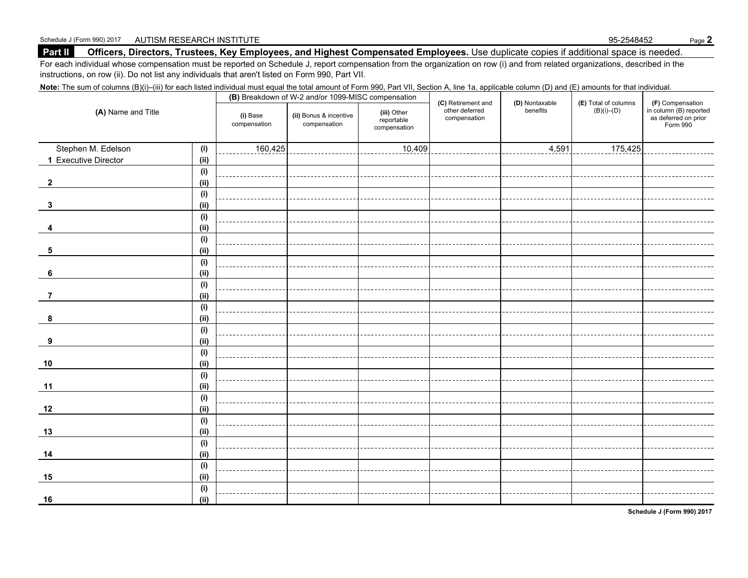#### Part II **Officers, Directors, Trustees, Key Employees, and Highest Compensated Employees. Use duplicate copies if additional space is needed.**

For each individual whose compensation must be reported on Schedule J, report compensation from the organization on row (i) and from related organizations, described in the instructions, on row (ii). Do not list any individuals that aren't listed on Form 990, Part VII.

Note: The sum of columns (B)(i)–(iii) for each listed individual must equal the total amount of Form 990, Part VII, Section A, line 1a, applicable column (D) and (E) amounts for that individual.

|                      |      |                          | (B) Breakdown of W-2 and/or 1099-MISC compensation |                                           | (C) Retirement and             | (D) Nontaxable | (E) Total of columns | (F) Compensation                                           |
|----------------------|------|--------------------------|----------------------------------------------------|-------------------------------------------|--------------------------------|----------------|----------------------|------------------------------------------------------------|
| (A) Name and Title   |      | (i) Base<br>compensation | (ii) Bonus & incentive<br>compensation             | (iii) Other<br>reportable<br>compensation | other deferred<br>compensation | benefits       | $(B)(i)$ – $(D)$     | in column (B) reported<br>as deferred on prior<br>Form 990 |
| Stephen M. Edelson   | (i)  | 160,425                  |                                                    | 10,409                                    |                                | 4,591          | 175,425              |                                                            |
| 1 Executive Director | (ii) |                          |                                                    |                                           |                                |                |                      |                                                            |
|                      | (i)  |                          |                                                    |                                           |                                |                |                      |                                                            |
| $\mathbf{2}$         | (ii) |                          |                                                    |                                           |                                |                |                      |                                                            |
|                      | (i)  |                          |                                                    |                                           |                                |                |                      |                                                            |
| -3                   | (ii) |                          |                                                    |                                           |                                |                |                      |                                                            |
|                      | (i)  |                          |                                                    |                                           |                                |                |                      |                                                            |
| 4                    | (ii) |                          |                                                    |                                           |                                |                |                      |                                                            |
|                      | (i)  |                          |                                                    |                                           |                                |                |                      |                                                            |
| 5                    | (ii) |                          |                                                    |                                           |                                |                |                      |                                                            |
|                      | (i)  |                          |                                                    |                                           |                                |                |                      |                                                            |
| 6                    | (ii) |                          |                                                    |                                           |                                |                |                      |                                                            |
|                      | (i)  |                          |                                                    |                                           |                                |                |                      |                                                            |
| $\overline{7}$       | (ii) |                          |                                                    |                                           |                                |                |                      |                                                            |
|                      | (i)  |                          |                                                    |                                           |                                |                |                      |                                                            |
| 8                    | (ii) |                          |                                                    |                                           |                                |                |                      |                                                            |
|                      | (i)  |                          |                                                    |                                           |                                |                |                      |                                                            |
| 9                    | (ii) |                          |                                                    |                                           |                                |                |                      |                                                            |
|                      | (i)  |                          |                                                    |                                           |                                |                |                      |                                                            |
| 10                   | (ii) |                          |                                                    |                                           |                                |                |                      |                                                            |
|                      | (i)  |                          |                                                    |                                           |                                |                |                      |                                                            |
| 11                   | (ii) |                          |                                                    |                                           |                                |                |                      |                                                            |
|                      | (i)  |                          |                                                    |                                           |                                |                |                      |                                                            |
| 12                   | (ii) |                          |                                                    |                                           |                                |                |                      |                                                            |
|                      | (i)  |                          |                                                    |                                           |                                |                |                      |                                                            |
| 13                   | (ii) |                          |                                                    |                                           |                                |                |                      |                                                            |
|                      | (i)  |                          |                                                    |                                           |                                |                |                      |                                                            |
| 14                   | (ii) |                          |                                                    |                                           |                                |                |                      |                                                            |
|                      | (i)  |                          |                                                    |                                           |                                |                |                      |                                                            |
| 15                   | (ii) |                          |                                                    |                                           |                                |                |                      |                                                            |
|                      | (i)  |                          |                                                    |                                           |                                |                |                      |                                                            |
| <u>16</u>            | (ii) |                          |                                                    |                                           |                                |                |                      |                                                            |

**Schedule J (Form 990) 2017**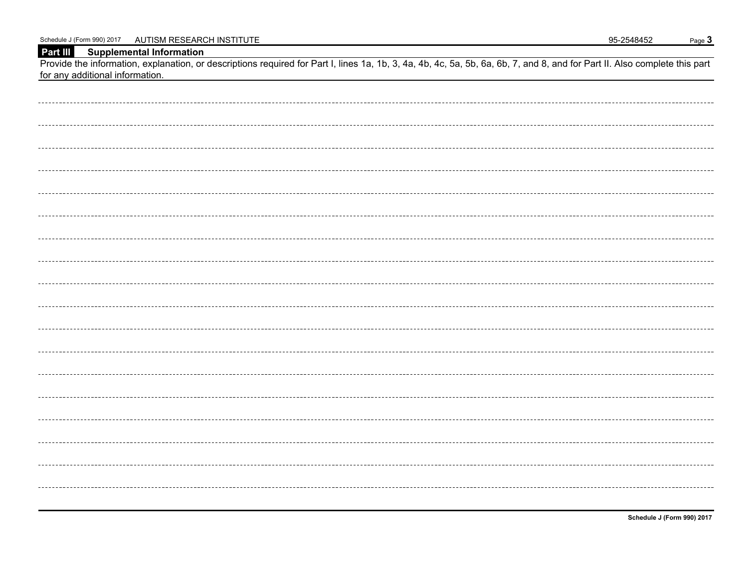| Schedule J (Form 990) 2017 AUTISM RESEARCH INSTITUTE                                                                                                                                                          | 95-2548452 | Page 3 |
|---------------------------------------------------------------------------------------------------------------------------------------------------------------------------------------------------------------|------------|--------|
| Part III Supplemental Information                                                                                                                                                                             |            |        |
| Provide the information, explanation, or descriptions required for Part I, lines 1a, 1b, 3, 4a, 4b, 4c, 5a, 5b, 6a, 6b, 7, and 8, and for Part II. Also complete this part<br>for any additional information. |            |        |
|                                                                                                                                                                                                               |            |        |
|                                                                                                                                                                                                               |            |        |
|                                                                                                                                                                                                               |            |        |
|                                                                                                                                                                                                               |            |        |
|                                                                                                                                                                                                               |            |        |
|                                                                                                                                                                                                               |            |        |
|                                                                                                                                                                                                               |            |        |
|                                                                                                                                                                                                               |            |        |
|                                                                                                                                                                                                               |            |        |
|                                                                                                                                                                                                               |            |        |
|                                                                                                                                                                                                               |            |        |
|                                                                                                                                                                                                               |            |        |
|                                                                                                                                                                                                               |            |        |
|                                                                                                                                                                                                               |            |        |
|                                                                                                                                                                                                               |            |        |
|                                                                                                                                                                                                               |            |        |
|                                                                                                                                                                                                               |            |        |
|                                                                                                                                                                                                               |            |        |
|                                                                                                                                                                                                               |            |        |
|                                                                                                                                                                                                               |            |        |

**Schedule J (Form 990) 2017**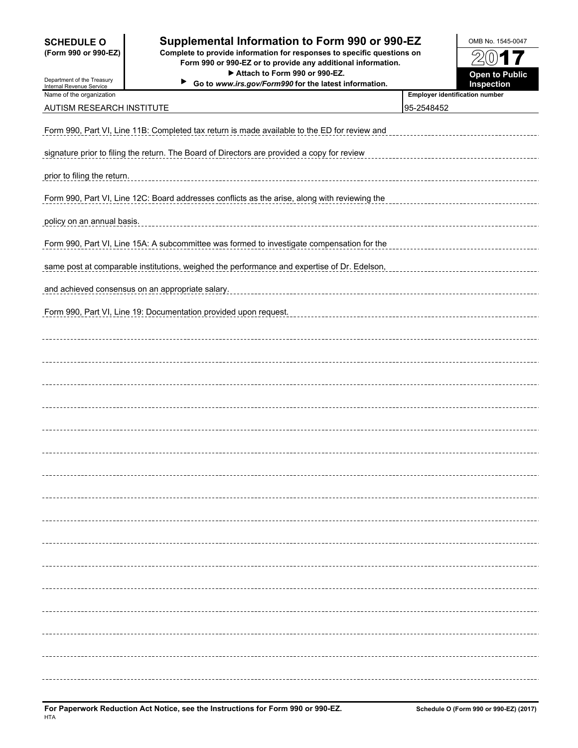| <b>SCHEDULE O</b><br>(Form 990 or 990-EZ)<br>Department of the Treasury | Supplemental Information to Form 990 or 990-EZ<br>Complete to provide information for responses to specific questions on<br>Form 990 or 990-EZ or to provide any additional information.<br>Attach to Form 990 or 990-EZ.<br>▶<br>Go to www.irs.gov/Form990 for the latest information. |            | OMB No. 1545-0047<br><b>Open to Public</b><br>Inspection |
|-------------------------------------------------------------------------|-----------------------------------------------------------------------------------------------------------------------------------------------------------------------------------------------------------------------------------------------------------------------------------------|------------|----------------------------------------------------------|
| Internal Revenue Service<br>Name of the organization                    |                                                                                                                                                                                                                                                                                         |            | <b>Employer identification number</b>                    |
| AUTISM RESEARCH INSTITUTE                                               |                                                                                                                                                                                                                                                                                         | 95-2548452 |                                                          |
|                                                                         | Form 990, Part VI, Line 11B: Completed tax return is made available to the ED for review and                                                                                                                                                                                            |            |                                                          |
|                                                                         | signature prior to filing the return. The Board of Directors are provided a copy for review                                                                                                                                                                                             |            |                                                          |
| prior to filing the return.                                             |                                                                                                                                                                                                                                                                                         |            |                                                          |
|                                                                         | Form 990, Part VI, Line 12C: Board addresses conflicts as the arise, along with reviewing the                                                                                                                                                                                           |            |                                                          |
| policy on an annual basis.                                              |                                                                                                                                                                                                                                                                                         |            |                                                          |
|                                                                         | Form 990, Part VI, Line 15A: A subcommittee was formed to investigate compensation for the                                                                                                                                                                                              |            |                                                          |
|                                                                         | same post at comparable institutions, weighed the performance and expertise of Dr. Edelson,                                                                                                                                                                                             |            |                                                          |
|                                                                         | and achieved consensus on an appropriate salary.                                                                                                                                                                                                                                        |            |                                                          |
|                                                                         | Form 990, Part VI, Line 19: Documentation provided upon request.                                                                                                                                                                                                                        |            |                                                          |
|                                                                         |                                                                                                                                                                                                                                                                                         |            |                                                          |
|                                                                         |                                                                                                                                                                                                                                                                                         |            |                                                          |
|                                                                         |                                                                                                                                                                                                                                                                                         |            |                                                          |
|                                                                         |                                                                                                                                                                                                                                                                                         |            |                                                          |
|                                                                         |                                                                                                                                                                                                                                                                                         |            |                                                          |
|                                                                         |                                                                                                                                                                                                                                                                                         |            |                                                          |
|                                                                         |                                                                                                                                                                                                                                                                                         |            |                                                          |
|                                                                         |                                                                                                                                                                                                                                                                                         |            |                                                          |
|                                                                         |                                                                                                                                                                                                                                                                                         |            |                                                          |
|                                                                         |                                                                                                                                                                                                                                                                                         |            |                                                          |
|                                                                         |                                                                                                                                                                                                                                                                                         |            |                                                          |
|                                                                         |                                                                                                                                                                                                                                                                                         |            |                                                          |
|                                                                         |                                                                                                                                                                                                                                                                                         |            |                                                          |
|                                                                         |                                                                                                                                                                                                                                                                                         |            |                                                          |
|                                                                         |                                                                                                                                                                                                                                                                                         |            |                                                          |
|                                                                         |                                                                                                                                                                                                                                                                                         |            |                                                          |
|                                                                         |                                                                                                                                                                                                                                                                                         |            |                                                          |
|                                                                         |                                                                                                                                                                                                                                                                                         |            |                                                          |
|                                                                         |                                                                                                                                                                                                                                                                                         |            |                                                          |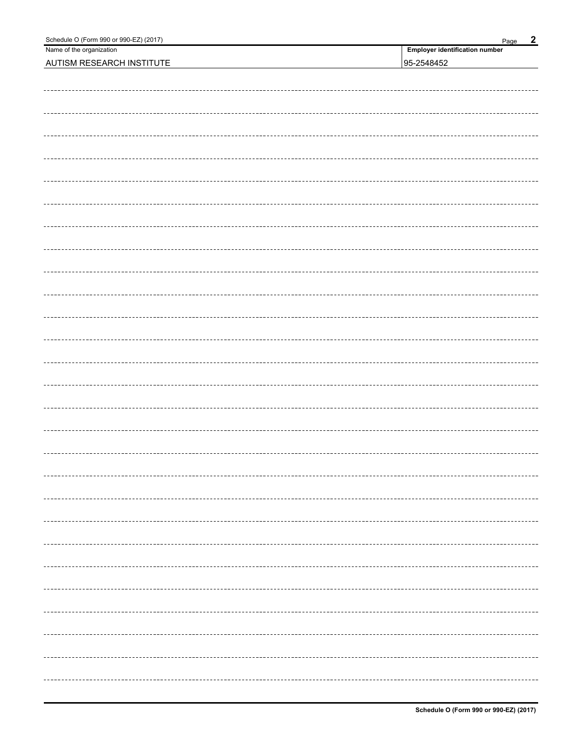| Schedule O (Form 990 or 990-EZ) (2017) | $\overline{2}$<br>Page         |
|----------------------------------------|--------------------------------|
| Name of the organization               | Employer identification number |
| AUTISM RESEARCH INSTITUTE              | 95-2548452                     |
|                                        |                                |
|                                        |                                |
|                                        |                                |
|                                        |                                |
|                                        |                                |
|                                        |                                |
|                                        |                                |
|                                        |                                |
|                                        |                                |
|                                        |                                |
|                                        |                                |
|                                        |                                |
|                                        |                                |
|                                        |                                |
|                                        |                                |
|                                        |                                |
|                                        |                                |
|                                        |                                |
|                                        |                                |
|                                        |                                |
|                                        |                                |
|                                        |                                |
|                                        |                                |
|                                        |                                |
|                                        |                                |
|                                        |                                |
|                                        |                                |
|                                        |                                |
|                                        |                                |
|                                        |                                |
|                                        |                                |
|                                        |                                |
|                                        |                                |
|                                        |                                |
|                                        |                                |
|                                        |                                |
|                                        |                                |
|                                        |                                |
|                                        |                                |
|                                        |                                |
|                                        |                                |
|                                        |                                |
|                                        |                                |
|                                        |                                |
|                                        |                                |
|                                        |                                |
|                                        |                                |
|                                        |                                |
|                                        |                                |
|                                        |                                |
|                                        |                                |
|                                        |                                |
|                                        |                                |
|                                        |                                |
|                                        |                                |
|                                        |                                |
|                                        |                                |
|                                        |                                |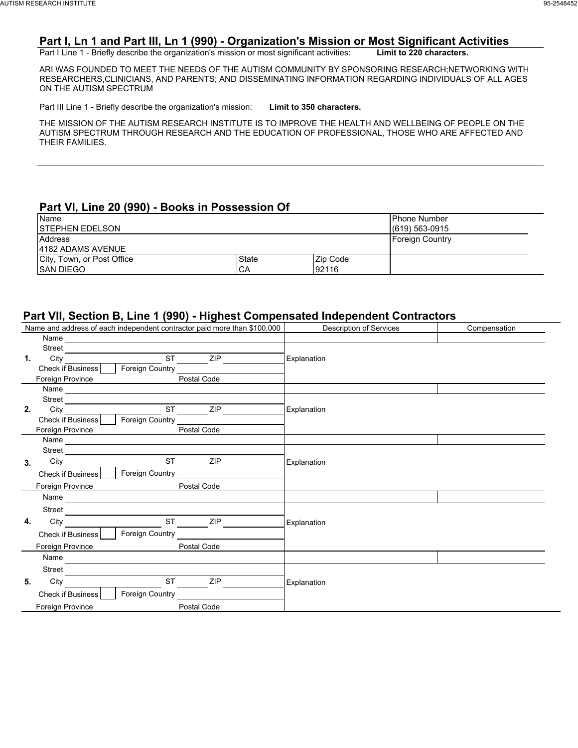#### **Part I, Ln 1 and Part III, Ln 1 (990) - Organization's Mission or Most Significant Activities**

Part I Line 1 - Briefly describe the organization's mission or most significant activities: **Limit to 220 characters.**

ARI WAS FOUNDED TO MEET THE NEEDS OF THE AUTISM COMMUNITY BY SPONSORING RESEARCH;NETWORKING WITH RESEARCHERS,CLINICIANS, AND PARENTS; AND DISSEMINATING INFORMATION REGARDING INDIVIDUALS OF ALL AGES ON THE AUTISM SPECTRUM

Part III Line 1 - Briefly describe the organization's mission: **Limit to 350 characters.**

THE MISSION OF THE AUTISM RESEARCH INSTITUTE IS TO IMPROVE THE HEALTH AND WELLBEING OF PEOPLE ON THE AUTISM SPECTRUM THROUGH RESEARCH AND THE EDUCATION OF PROFESSIONAL, THOSE WHO ARE AFFECTED AND THEIR FAMILIES.

### **Part VI, Line 20 (990) - Books in Possession Of**

| <b>Name</b>                |       |          | <b>IPhone Number</b>   |
|----------------------------|-------|----------|------------------------|
| <b>ISTEPHEN EDELSON</b>    |       |          | (619) 563-0915         |
| Address                    |       |          | <b>Foreign Country</b> |
| 14182 ADAMS AVENUE         |       |          |                        |
| City, Town, or Post Office | State | Zip Code |                        |
| <b>SAN DIEGO</b>           | ICA   | 92116    |                        |

#### **Part VII, Section B, Line 1 (990) - Highest Compensated Independent Contractors**

|                | Name and address of each independent contractor paid more than \$100,000                                                                                                                                                       |                                   | <b>Description of Services</b> | Compensation |
|----------------|--------------------------------------------------------------------------------------------------------------------------------------------------------------------------------------------------------------------------------|-----------------------------------|--------------------------------|--------------|
|                | Name                                                                                                                                                                                                                           |                                   |                                |              |
|                | Street                                                                                                                                                                                                                         |                                   |                                |              |
| $\mathbf{1}$ . | City                                                                                                                                                                                                                           | $ST$ $\angle ZIP$                 | Explanation                    |              |
|                | Check if Business                                                                                                                                                                                                              | Foreign Country <b>Example 20</b> |                                |              |
|                | Foreign Province                                                                                                                                                                                                               | Postal Code                       |                                |              |
|                |                                                                                                                                                                                                                                |                                   |                                |              |
|                |                                                                                                                                                                                                                                |                                   |                                |              |
| 2.             | City                                                                                                                                                                                                                           | $ST$ $ZIP$ $\_\_$                 | Explanation                    |              |
|                | Check if Business                                                                                                                                                                                                              |                                   |                                |              |
|                | Foreign Province <b>Example 20</b>                                                                                                                                                                                             | Postal Code                       |                                |              |
|                | Name and the contract of the contract of the contract of the contract of the contract of the contract of the contract of the contract of the contract of the contract of the contract of the contract of the contract of the c |                                   |                                |              |
|                |                                                                                                                                                                                                                                |                                   |                                |              |
| 3.             | <b>City</b>                                                                                                                                                                                                                    | ST ZIP                            | Explanation                    |              |
|                | Foreign Country<br>Check if Business                                                                                                                                                                                           |                                   |                                |              |
|                | Foreign Province                                                                                                                                                                                                               | Postal Code                       |                                |              |
|                | Name                                                                                                                                                                                                                           |                                   |                                |              |
|                | Street                                                                                                                                                                                                                         |                                   |                                |              |
| 4.             | <b>ST</b><br>City                                                                                                                                                                                                              | <b>ZIP</b>                        | Explanation                    |              |
|                | Foreign Country<br><b>Check if Business</b>                                                                                                                                                                                    |                                   |                                |              |
|                | Foreign Province                                                                                                                                                                                                               | Postal Code                       |                                |              |
|                | Name                                                                                                                                                                                                                           |                                   |                                |              |
|                | Street                                                                                                                                                                                                                         |                                   |                                |              |
| 5.             | City                                                                                                                                                                                                                           | <b>ST</b><br><b>ZIP</b>           | Explanation                    |              |
|                | Foreign Country<br><b>Check if Business</b>                                                                                                                                                                                    |                                   |                                |              |
|                | Foreign Province                                                                                                                                                                                                               | Postal Code                       |                                |              |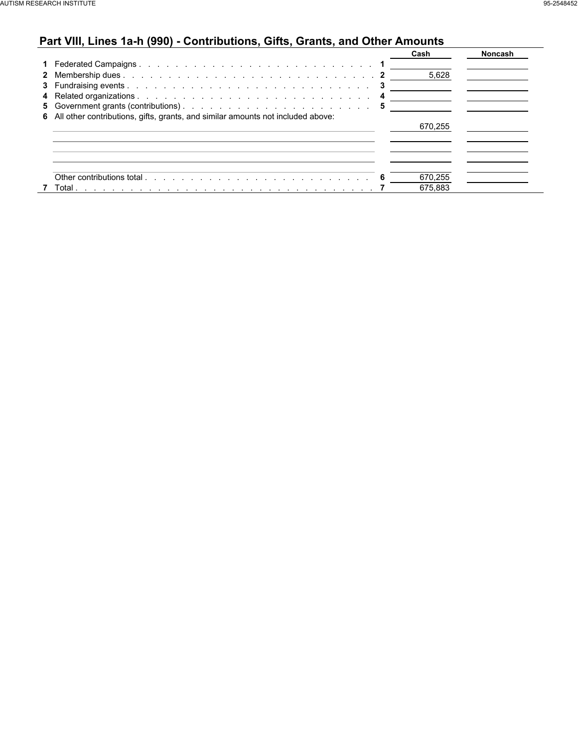# **Part VIII, Lines 1a-h (990) - Contributions, Gifts, Grants, and Other Amounts**

|                                                                                   | Cash    | <b>Noncash</b> |  |
|-----------------------------------------------------------------------------------|---------|----------------|--|
|                                                                                   |         |                |  |
|                                                                                   | 5,628   |                |  |
|                                                                                   |         |                |  |
|                                                                                   |         |                |  |
|                                                                                   |         |                |  |
| 6 All other contributions, gifts, grants, and similar amounts not included above: |         |                |  |
|                                                                                   | 670.255 |                |  |
|                                                                                   |         |                |  |
|                                                                                   |         |                |  |
|                                                                                   |         |                |  |
|                                                                                   |         |                |  |
|                                                                                   | 670,255 |                |  |
| Total.                                                                            | 675.883 |                |  |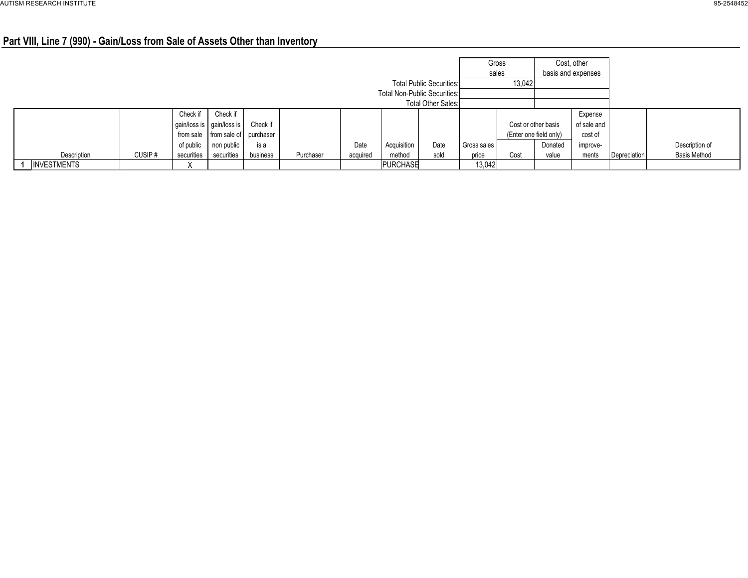# **Part VIII, Line 7 (990) - Gain/Loss from Sale of Assets Other than Inventory**

|                                 |                                     |            |                           |           |           |          |                 |                    |             | Cost, other<br>Gross<br>basis and expenses<br>sales |                     |             |              |                     |
|---------------------------------|-------------------------------------|------------|---------------------------|-----------|-----------|----------|-----------------|--------------------|-------------|-----------------------------------------------------|---------------------|-------------|--------------|---------------------|
| <b>Total Public Securities:</b> |                                     |            |                           |           |           |          |                 |                    | 13,042      |                                                     |                     |             |              |                     |
|                                 | <b>Total Non-Public Securities:</b> |            |                           |           |           |          |                 |                    |             |                                                     |                     |             |              |                     |
|                                 |                                     |            |                           |           |           |          |                 | Total Other Sales: |             |                                                     |                     |             |              |                     |
|                                 |                                     | Check if   | Check if                  |           |           |          |                 |                    |             |                                                     |                     | Expense     |              |                     |
|                                 |                                     |            | gain/loss is gain/loss is | Check if  |           |          |                 |                    |             |                                                     | Cost or other basis | of sale and |              |                     |
|                                 |                                     |            | from sale from sale of    | purchaser |           |          |                 |                    |             | (Enter one field only)                              |                     | cost of     |              |                     |
|                                 |                                     | of public  | non public                | is a      |           | Date     | Acquisition     | Date               | Gross sales |                                                     | Donated             | improve-    |              | Description of      |
| Description                     | CUSIP#                              | securities | securities                | business  | Purchaser | acquired | method          | sold               | price       | Cost                                                | value               | ments       | Depreciation | <b>Basis Method</b> |
| <b>INVESTMENTS</b>              |                                     |            |                           |           |           |          | <b>PURCHASE</b> |                    | 13,042      |                                                     |                     |             |              |                     |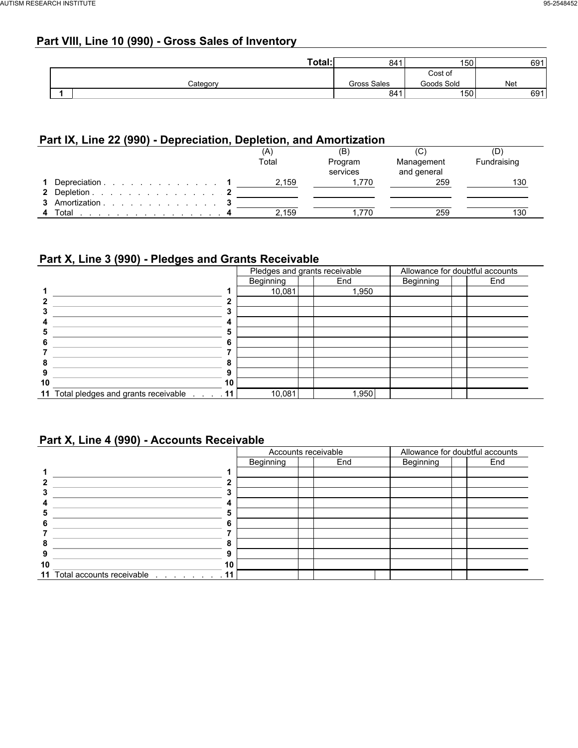## **Part VIII, Line 10 (990) - Gross Sales of Inventory**

| Total.   | 841                | 150        | 691 |
|----------|--------------------|------------|-----|
|          |                    | Cost of    |     |
| Category | <b>Gross Sales</b> | Goods Sold | Net |
|          | 841                | 150        | 691 |

## **Part IX, Line 22 (990) - Depreciation, Depletion, and Amortization**

|                | (A)   | (B)      | ιU.         | (D          |
|----------------|-------|----------|-------------|-------------|
|                | Total | Program  | Management  | Fundraising |
|                |       | services | and general |             |
| 1 Depreciation | 2.159 | .770     | 259         | 130         |
| 2 Depletion    |       |          |             |             |
| 3 Amortization |       |          |             |             |
| 4 Total        | 2.159 | .770     | 259         | 130         |
|                |       |          |             |             |

## **Part X, Line 3 (990) - Pledges and Grants Receivable**

|    |                                                     |           | Pledges and grants receivable |           | Allowance for doubtful accounts |
|----|-----------------------------------------------------|-----------|-------------------------------|-----------|---------------------------------|
|    |                                                     | Beginning | End                           | Beginning | End                             |
|    |                                                     | 10,081    | 1,950                         |           |                                 |
|    |                                                     |           |                               |           |                                 |
|    |                                                     |           |                               |           |                                 |
|    |                                                     |           |                               |           |                                 |
|    |                                                     |           |                               |           |                                 |
|    |                                                     |           |                               |           |                                 |
|    |                                                     |           |                               |           |                                 |
|    |                                                     |           |                               |           |                                 |
|    |                                                     |           |                               |           |                                 |
| 10 |                                                     | 10.       |                               |           |                                 |
|    | 11 Total pledges and grants receivable<br>$\sim$ 11 | 10,081    | 1,950                         |           |                                 |

## **Part X, Line 4 (990) - Accounts Receivable**

|    |                                                  |           | Accounts receivable |           | Allowance for doubtful accounts |
|----|--------------------------------------------------|-----------|---------------------|-----------|---------------------------------|
|    |                                                  | Beginning | End                 | Beginning | End                             |
|    |                                                  |           |                     |           |                                 |
|    |                                                  |           |                     |           |                                 |
|    |                                                  |           |                     |           |                                 |
|    |                                                  |           |                     |           |                                 |
|    |                                                  |           |                     |           |                                 |
|    |                                                  |           |                     |           |                                 |
|    |                                                  |           |                     |           |                                 |
|    | n                                                |           |                     |           |                                 |
|    |                                                  |           |                     |           |                                 |
| 10 | 10                                               |           |                     |           |                                 |
|    | 11 Total accounts receivable<br>$\frac{1}{2}$ 11 |           |                     |           |                                 |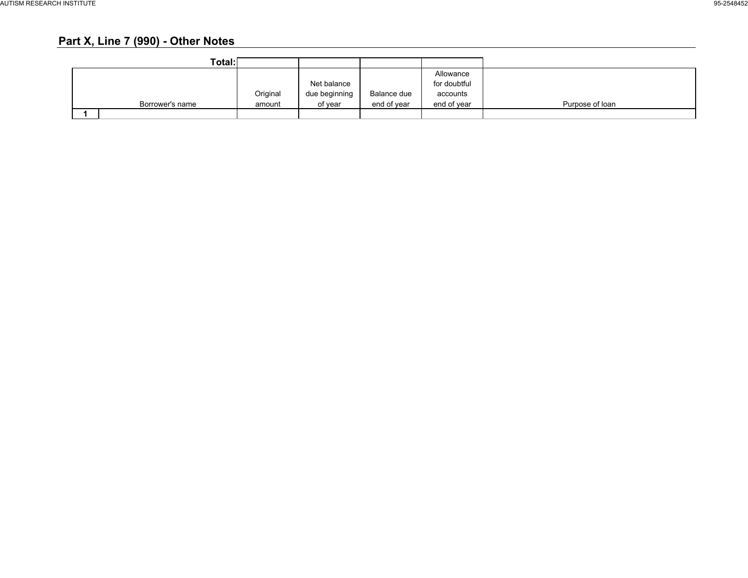## **Part X, Line 7 (990) - Other Notes**

| Total:          |          |               |             |              |                 |
|-----------------|----------|---------------|-------------|--------------|-----------------|
|                 |          |               |             | Allowance    |                 |
|                 |          | Net balance   |             | for doubtful |                 |
|                 | Original | due beginning | Balance due | accounts     |                 |
| Borrower's name | amount   | of vear       | end of vear | end of vear  | Purpose of loan |
|                 |          |               |             |              |                 |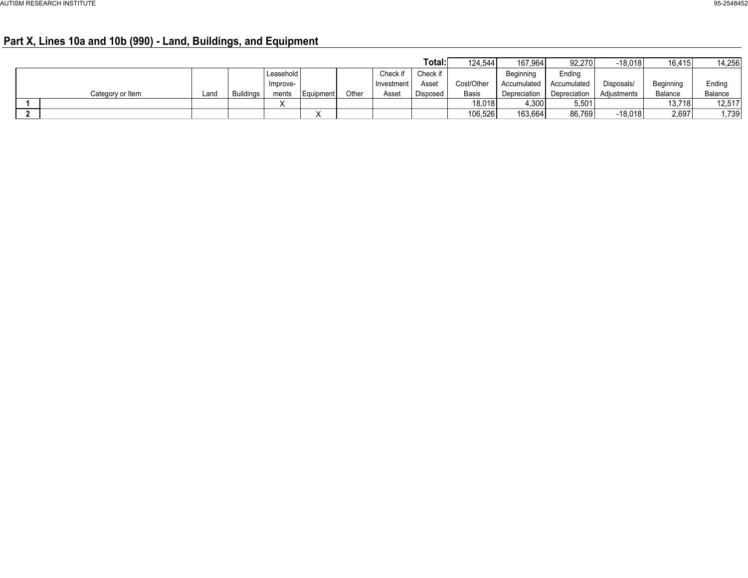# **Part X, Lines 10a and 10b (990) - Land, Buildings, and Equipment**

|                  |      |           |           |                      |       |            | Total:   | 124.544      | 167,964      | 92,270       | $-18,018$   | 16.415    | 14,256  |
|------------------|------|-----------|-----------|----------------------|-------|------------|----------|--------------|--------------|--------------|-------------|-----------|---------|
|                  |      |           | Leasehold |                      |       | Check i    | Check if |              | Beginning    | Ending       |             |           |         |
|                  |      |           | Improve-  |                      |       | Investment | Asset    | Cost/Other   | Accumulated  | Accumulated  | Disposals/  | Beginning | Ending  |
| Category or Item | Land | Buildinas | ments     | Equipment            | Other | Asset      | Disposed | <b>Basis</b> | Depreciation | Depreciation | Adiustments | Balance   | Balance |
|                  |      |           | . .       |                      |       |            |          | 18.018       | 4,300        | 5,501        |             | 13.718    | 12,517  |
|                  |      |           |           | $\ddot{\phantom{0}}$ |       |            |          | 106,526      | 163,664      | 86,769       | $-18,018$   | 2,697     | ,739    |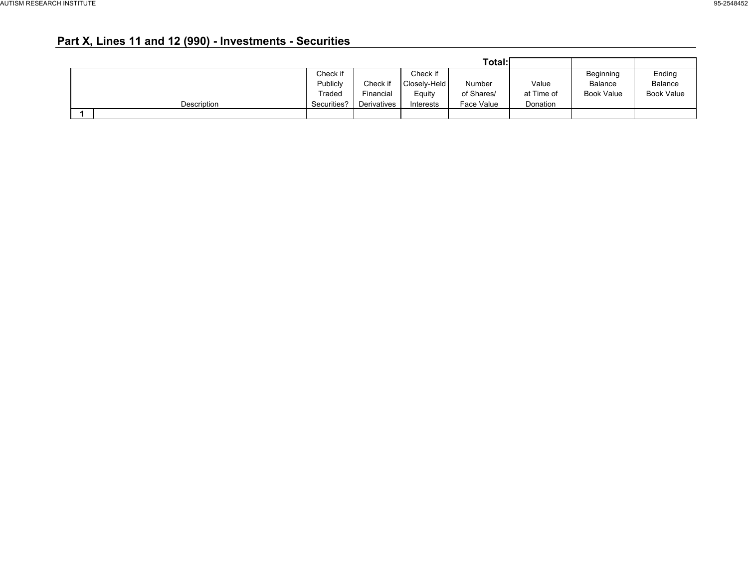## **Part X, Lines 11 and 12 (990) - Investments - Securities**

|                    |             |             |              | Total:     |            |                   |                   |
|--------------------|-------------|-------------|--------------|------------|------------|-------------------|-------------------|
|                    | Check if    |             | Check if     |            |            | Beginning         | Ending            |
|                    | Publicly    | Check if    | Closelv-Held | Number     | Value      | Balance           | Balance           |
|                    | Traded      | Financial   | Equity       | of Shares/ | at Time of | <b>Book Value</b> | <b>Book Value</b> |
| <b>Description</b> | Securities? | Derivatives | Interests    | Face Value | Donation   |                   |                   |
|                    |             |             |              |            |            |                   |                   |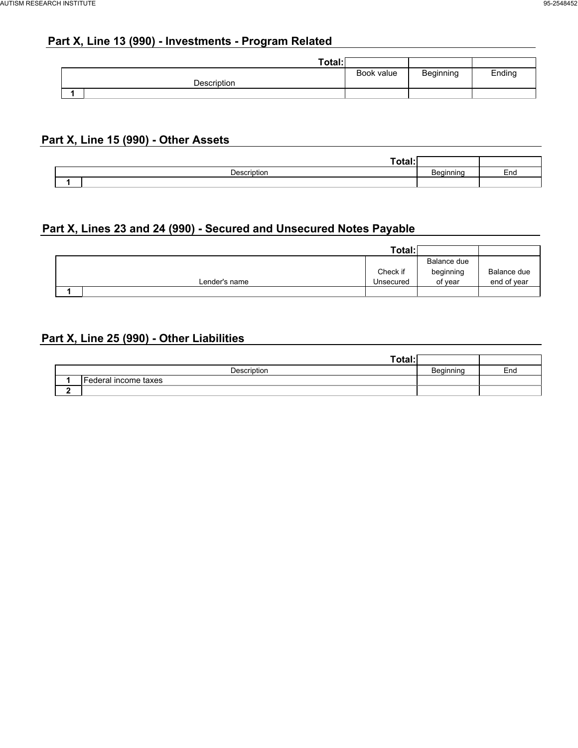#### **Part X, Line 13 (990) - Investments - Program Related**

| Total:      |            |           |        |
|-------------|------------|-----------|--------|
|             | Book value | Beginning | Ending |
| Description |            |           |        |
|             |            |           |        |

#### **Part X, Line 15 (990) - Other Assets**

| ----        |     |                  |
|-------------|-----|------------------|
| Description | □⌒~ | $T_{\rm m}$<br>. |
|             |     |                  |

### **Part X, Lines 23 and 24 (990) - Secured and Unsecured Notes Payable**

|  |               | Total:    |             |             |
|--|---------------|-----------|-------------|-------------|
|  |               |           | Balance due |             |
|  |               | Check if  | beginning   | Balance due |
|  | Lender's name | Unsecured | of vear     | end of year |
|  |               |           |             |             |

#### **Part X, Line 25 (990) - Other Liabilities**

| Гѧ∔ѧ                 |           |     |
|----------------------|-----------|-----|
| Description          | Beainning | End |
| Federal income taxes |           |     |
|                      |           |     |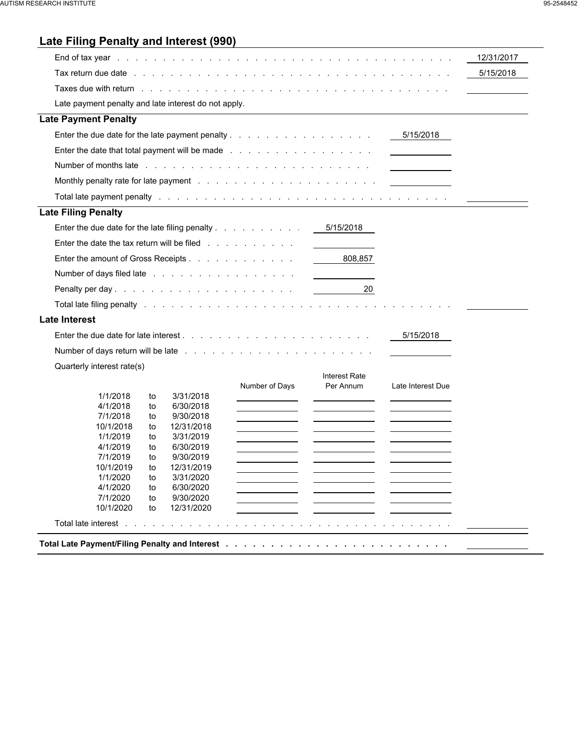# **Late Filing Penalty and Interest (990)**

|                                                                                                                                                                                                                                                                                                                                                  |          |                         |                |                                   |                   | 12/31/2017 |  |  |  |  |  |
|--------------------------------------------------------------------------------------------------------------------------------------------------------------------------------------------------------------------------------------------------------------------------------------------------------------------------------------------------|----------|-------------------------|----------------|-----------------------------------|-------------------|------------|--|--|--|--|--|
| Tax return due date response a response a response a response a response a response a response a response a re<br>Taxes due with return entries and the contract of the contract of the contract of the contract of the contract of the contract of the contract of the contract of the contract of the contract of the contract of the contract |          |                         |                |                                   |                   |            |  |  |  |  |  |
|                                                                                                                                                                                                                                                                                                                                                  |          |                         |                |                                   |                   |            |  |  |  |  |  |
| Late payment penalty and late interest do not apply.                                                                                                                                                                                                                                                                                             |          |                         |                |                                   |                   |            |  |  |  |  |  |
| <b>Late Payment Penalty</b>                                                                                                                                                                                                                                                                                                                      |          |                         |                |                                   |                   |            |  |  |  |  |  |
|                                                                                                                                                                                                                                                                                                                                                  |          |                         |                |                                   |                   |            |  |  |  |  |  |
| Enter the date that total payment will be made referred by a series of the series of the series of the series of the series of the series of the series of the series of the series of the series of the series of the series                                                                                                                    |          |                         |                |                                   |                   |            |  |  |  |  |  |
| Number of months late enterprise and and a series of the series of the series of the series of the series of the series of the series of the series of the series of the series of the series of the series of the series of t                                                                                                                   |          |                         |                |                                   |                   |            |  |  |  |  |  |
| Monthly penalty rate for late payment response to the control of the control of the control of the control of the control of the control of the control of the control of the control of the control of the control of the con                                                                                                                   |          |                         |                |                                   |                   |            |  |  |  |  |  |
| Total late payment penalty research in the control of the control of the control of the control of the control of the control of the control of the control of the control of the control of the control of the control of the                                                                                                                   |          |                         |                |                                   |                   |            |  |  |  |  |  |
| <b>Late Filing Penalty</b>                                                                                                                                                                                                                                                                                                                       |          |                         |                |                                   |                   |            |  |  |  |  |  |
| Enter the due date for the late filing penalty 5/15/2018                                                                                                                                                                                                                                                                                         |          |                         |                |                                   |                   |            |  |  |  |  |  |
| Enter the date the tax return will be filed $\ldots$                                                                                                                                                                                                                                                                                             |          |                         |                |                                   |                   |            |  |  |  |  |  |
|                                                                                                                                                                                                                                                                                                                                                  |          |                         |                | 808,857                           |                   |            |  |  |  |  |  |
|                                                                                                                                                                                                                                                                                                                                                  |          |                         |                |                                   |                   |            |  |  |  |  |  |
|                                                                                                                                                                                                                                                                                                                                                  |          |                         |                | 20                                |                   |            |  |  |  |  |  |
| Total late filing penalty research and contact the control of the control of the contact of the contact of the contact of the contact of the contact of the contact of the contact of the contact of the contact of the contac                                                                                                                   |          |                         |                |                                   |                   |            |  |  |  |  |  |
| <b>Late Interest</b>                                                                                                                                                                                                                                                                                                                             |          |                         |                |                                   |                   |            |  |  |  |  |  |
| Enter the due date for late interest.                                                                                                                                                                                                                                                                                                            |          |                         |                |                                   | 5/15/2018         |            |  |  |  |  |  |
| Number of days return will be late recognized a series and contact the late of the late of the late of the late                                                                                                                                                                                                                                  |          |                         |                |                                   |                   |            |  |  |  |  |  |
| Quarterly interest rate(s)                                                                                                                                                                                                                                                                                                                       |          |                         |                |                                   |                   |            |  |  |  |  |  |
|                                                                                                                                                                                                                                                                                                                                                  |          |                         | Number of Days | <b>Interest Rate</b><br>Per Annum | Late Interest Due |            |  |  |  |  |  |
| 1/1/2018                                                                                                                                                                                                                                                                                                                                         | to       | 3/31/2018               |                |                                   |                   |            |  |  |  |  |  |
| 4/1/2018<br>7/1/2018                                                                                                                                                                                                                                                                                                                             | to<br>to | 6/30/2018<br>9/30/2018  |                |                                   |                   |            |  |  |  |  |  |
| 10/1/2018                                                                                                                                                                                                                                                                                                                                        | to       | 12/31/2018              |                |                                   |                   |            |  |  |  |  |  |
| 1/1/2019                                                                                                                                                                                                                                                                                                                                         | to       | 3/31/2019               |                |                                   |                   |            |  |  |  |  |  |
| 4/1/2019                                                                                                                                                                                                                                                                                                                                         | to       | 6/30/2019               |                |                                   |                   |            |  |  |  |  |  |
| 7/1/2019                                                                                                                                                                                                                                                                                                                                         | to       | 9/30/2019               |                |                                   |                   |            |  |  |  |  |  |
| 10/1/2019                                                                                                                                                                                                                                                                                                                                        | to       | 12/31/2019              |                |                                   |                   |            |  |  |  |  |  |
| 1/1/2020                                                                                                                                                                                                                                                                                                                                         | to       | 3/31/2020               |                |                                   |                   |            |  |  |  |  |  |
| 4/1/2020<br>7/1/2020                                                                                                                                                                                                                                                                                                                             | to       | 6/30/2020               |                |                                   |                   |            |  |  |  |  |  |
| 10/1/2020                                                                                                                                                                                                                                                                                                                                        | to<br>to | 9/30/2020<br>12/31/2020 |                |                                   |                   |            |  |  |  |  |  |
| Total late interest                                                                                                                                                                                                                                                                                                                              |          |                         |                |                                   |                   |            |  |  |  |  |  |
|                                                                                                                                                                                                                                                                                                                                                  |          |                         |                |                                   |                   |            |  |  |  |  |  |
| Total Late Payment/Filing Penalty and Interest                                                                                                                                                                                                                                                                                                   |          |                         |                |                                   |                   |            |  |  |  |  |  |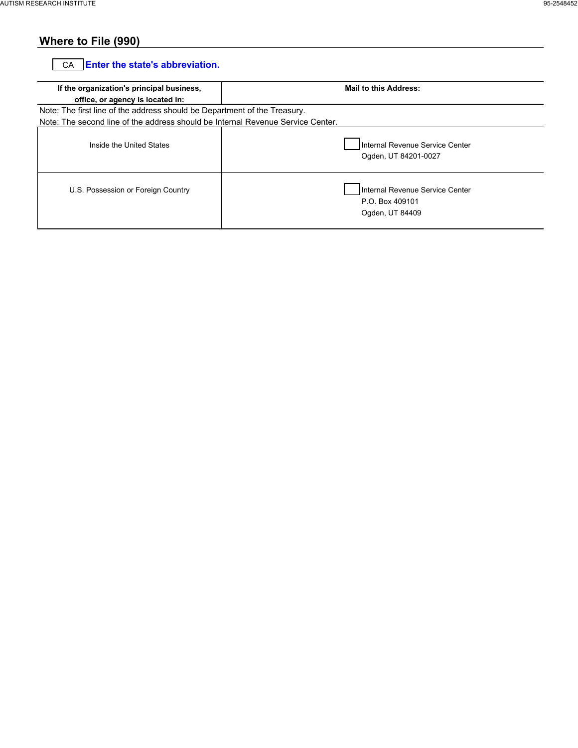## **Where to File (990)**

## CA **Enter the state's abbreviation.**

| If the organization's principal business,                                       | <b>Mail to this Address:</b>                                          |  |  |  |  |
|---------------------------------------------------------------------------------|-----------------------------------------------------------------------|--|--|--|--|
| office, or agency is located in:                                                |                                                                       |  |  |  |  |
| Note: The first line of the address should be Department of the Treasury.       |                                                                       |  |  |  |  |
| Note: The second line of the address should be Internal Revenue Service Center. |                                                                       |  |  |  |  |
| Inside the United States                                                        | Internal Revenue Service Center<br>Ogden, UT 84201-0027               |  |  |  |  |
| U.S. Possession or Foreign Country                                              | Internal Revenue Service Center<br>P.O. Box 409101<br>Ogden, UT 84409 |  |  |  |  |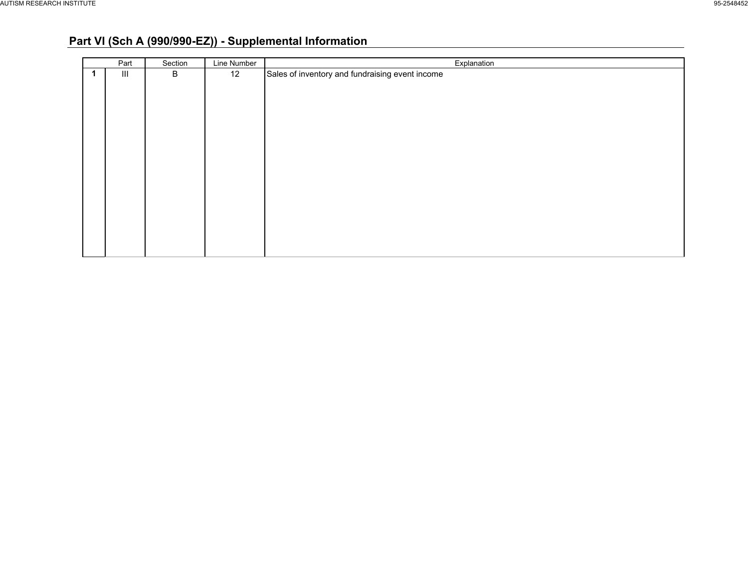# **Part VI (Sch A (990/990-EZ)) - Supplemental Information**

|   | Part                               | Section      | Line Number | Explanation                                     |
|---|------------------------------------|--------------|-------------|-------------------------------------------------|
| 1 | $\ensuremath{\mathsf{III}}\xspace$ | $\, {\bf B}$ | 12          | Sales of inventory and fundraising event income |
|   |                                    |              |             |                                                 |
|   |                                    |              |             |                                                 |
|   |                                    |              |             |                                                 |
|   |                                    |              |             |                                                 |
|   |                                    |              |             |                                                 |
|   |                                    |              |             |                                                 |
|   |                                    |              |             |                                                 |
|   |                                    |              |             |                                                 |
|   |                                    |              |             |                                                 |
|   |                                    |              |             |                                                 |
|   |                                    |              |             |                                                 |
|   |                                    |              |             |                                                 |
|   |                                    |              |             |                                                 |
|   |                                    |              |             |                                                 |
|   |                                    |              |             |                                                 |
|   |                                    |              |             |                                                 |
|   |                                    |              |             |                                                 |
|   |                                    |              |             |                                                 |
|   |                                    |              |             |                                                 |
|   |                                    |              |             |                                                 |
|   |                                    |              |             |                                                 |
|   |                                    |              |             |                                                 |
|   |                                    |              |             |                                                 |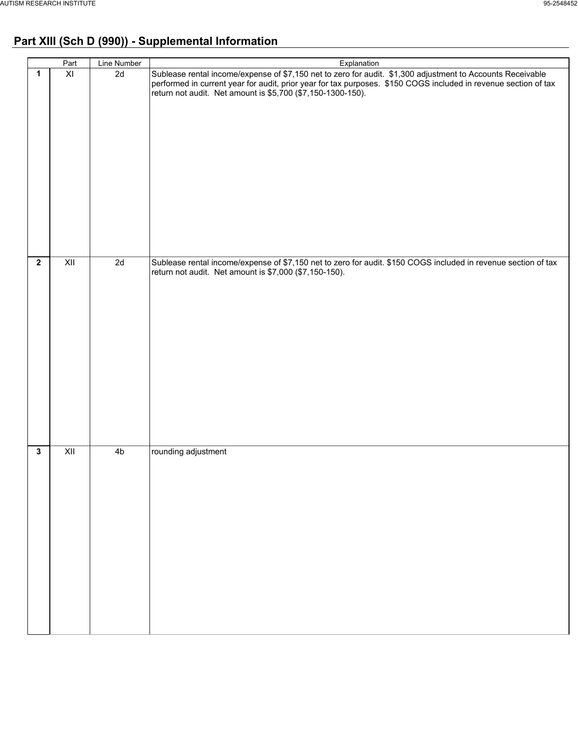# **Part XIII (Sch D (990)) - Supplemental Information**

|              | Part                  | Line Number    | Explanation                                                                                                                                                                                                                                                                                  |
|--------------|-----------------------|----------------|----------------------------------------------------------------------------------------------------------------------------------------------------------------------------------------------------------------------------------------------------------------------------------------------|
| $\mathbf 1$  | XI                    | 2d             | Sublease rental income/expense of \$7,150 net to zero for audit. \$1,300 adjustment to Accounts Receivable<br>performed in current year for audit, prior year for tax purposes. \$150 COGS included in revenue section of tax<br>return not audit. Net amount is \$5,700 (\$7,150-1300-150). |
| $\mathbf{2}$ | XII                   | 2d             | Sublease rental income/expense of \$7,150 net to zero for audit. \$150 COGS included in revenue section of tax<br>return not audit. Net amount is \$7,000 (\$7,150-150).                                                                                                                     |
| $\mathbf{3}$ | $\pmb{\mathsf{X}}$ ll | 4 <sub>b</sub> | rounding adjustment                                                                                                                                                                                                                                                                          |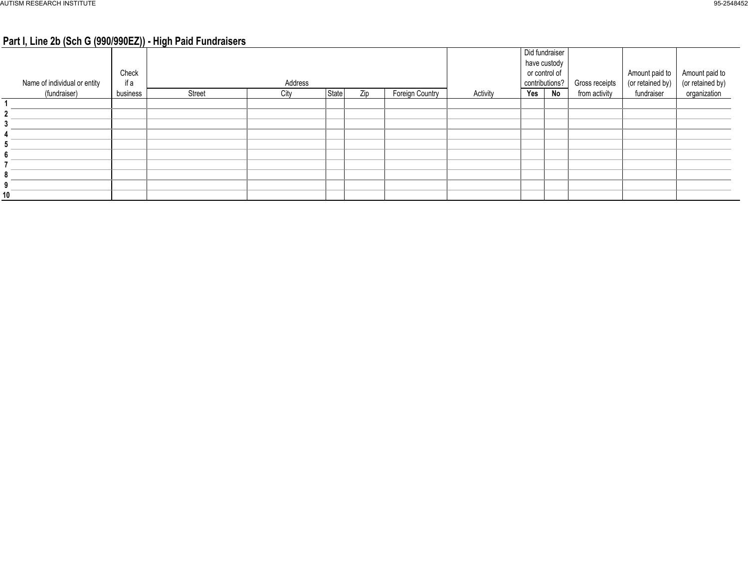# **Part I, Line 2b (Sch G (990/990EZ)) - High Paid Fundraisers**

|    | $\cdots$ , $\cdots$ = $\cdots$ (see $\cdots$ ) $\cdots$ ) $\cdots$ $\cdots$ $\cdots$ $\cdots$ $\cdots$ $\cdots$ $\cdots$ |               |        |         |       |     |                        |          |                |                                                 |                |                                    |                                    |
|----|--------------------------------------------------------------------------------------------------------------------------|---------------|--------|---------|-------|-----|------------------------|----------|----------------|-------------------------------------------------|----------------|------------------------------------|------------------------------------|
|    | Name of individual or entity                                                                                             | Check<br>if a |        | Address |       |     |                        |          | contributions? | Did fundraiser<br>have custody<br>or control of | Gross receipts | Amount paid to<br>(or retained by) | Amount paid to<br>(or retained by) |
|    | (fundraiser)                                                                                                             | business      | Street | City    | State | Zip | <b>Foreign Country</b> | Activity | Yes            | No                                              | from activity  | fundraiser                         | organization                       |
|    |                                                                                                                          |               |        |         |       |     |                        |          |                |                                                 |                |                                    |                                    |
|    |                                                                                                                          |               |        |         |       |     |                        |          |                |                                                 |                |                                    |                                    |
|    |                                                                                                                          |               |        |         |       |     |                        |          |                |                                                 |                |                                    |                                    |
|    |                                                                                                                          |               |        |         |       |     |                        |          |                |                                                 |                |                                    |                                    |
|    |                                                                                                                          |               |        |         |       |     |                        |          |                |                                                 |                |                                    |                                    |
|    |                                                                                                                          |               |        |         |       |     |                        |          |                |                                                 |                |                                    |                                    |
|    |                                                                                                                          |               |        |         |       |     |                        |          |                |                                                 |                |                                    |                                    |
|    |                                                                                                                          |               |        |         |       |     |                        |          |                |                                                 |                |                                    |                                    |
|    |                                                                                                                          |               |        |         |       |     |                        |          |                |                                                 |                |                                    |                                    |
| 10 |                                                                                                                          |               |        |         |       |     |                        |          |                |                                                 |                |                                    |                                    |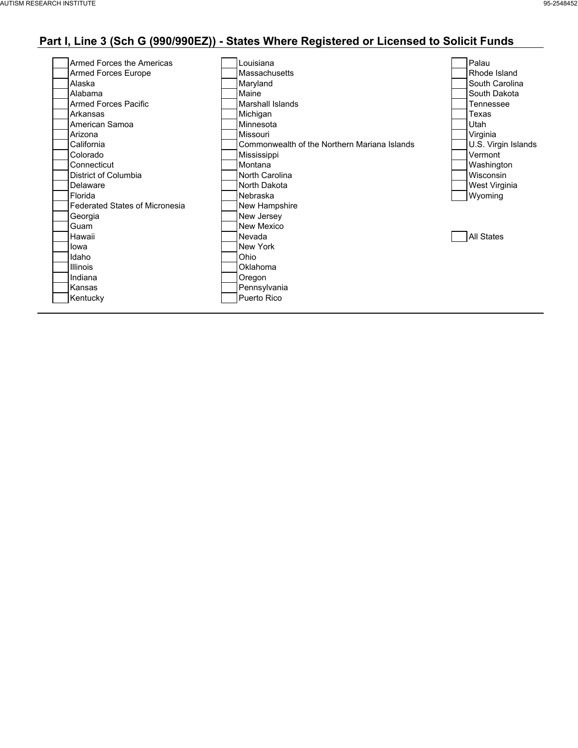## **Part I, Line 3 (Sch G (990/990EZ)) - States Where Registered or Licensed to Solicit Funds**

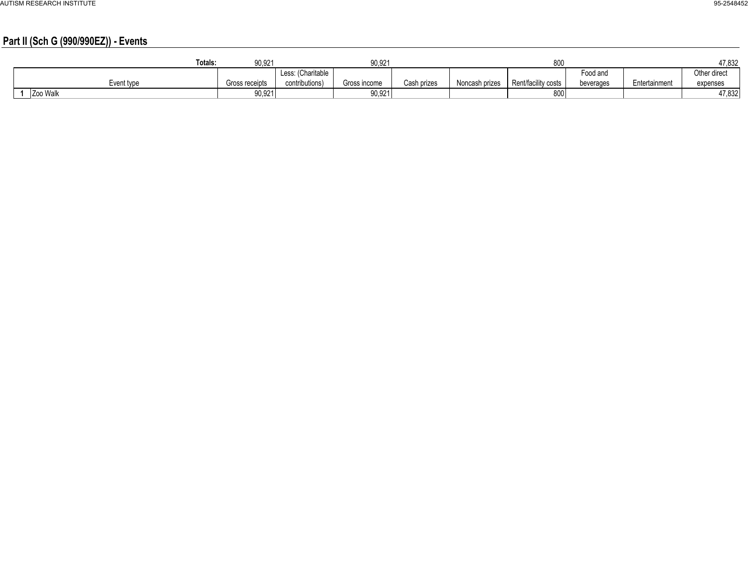## **Part II (Sch G (990/990EZ)) - Events**

| Totals:              | 90,921         |                   | 90,921       |             |                | 800                 |           |               | 47,832       |
|----------------------|----------------|-------------------|--------------|-------------|----------------|---------------------|-----------|---------------|--------------|
|                      |                | Less: (Charitable |              |             |                |                     | Food and  |               | Other direct |
| $\epsilon$ vent type | Gross receipts | contributions)    | Gross income | Cash prizes | Noncash prizes | Rent/facility costs | beverages | Entertainment | expenses     |
| Zoo Walk             | 90,921         |                   | 90,921       |             |                | 800                 |           |               | 47,832       |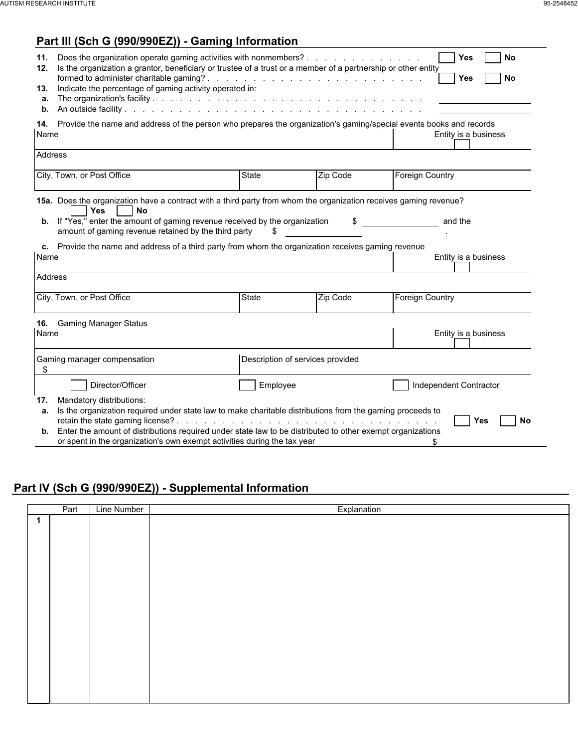| Part III (Sch G (990/990EZ)) - Gaming Information                                                                                                                                                                                                                                                                                                                                                                               |              |                                  |                                      |
|---------------------------------------------------------------------------------------------------------------------------------------------------------------------------------------------------------------------------------------------------------------------------------------------------------------------------------------------------------------------------------------------------------------------------------|--------------|----------------------------------|--------------------------------------|
| Does the organization operate gaming activities with nonmembers?<br>11.<br>Is the organization a grantor, beneficiary or trustee of a trust or a member of a partnership or other entity<br>12.<br>Indicate the percentage of gaming activity operated in:<br>13.<br>a.<br>b.                                                                                                                                                   |              |                                  | Yes<br><b>No</b><br>Yes<br><b>No</b> |
| Provide the name and address of the person who prepares the organization's gaming/special events books and records<br>14.<br>Name                                                                                                                                                                                                                                                                                               |              |                                  | Entity is a business                 |
| Address                                                                                                                                                                                                                                                                                                                                                                                                                         |              |                                  |                                      |
| City, Town, or Post Office                                                                                                                                                                                                                                                                                                                                                                                                      | <b>State</b> | Zip Code                         | Foreign Country                      |
| 15a. Does the organization have a contract with a third party from whom the organization receives gaming revenue?<br><b>Yes</b><br><b>No</b><br><b>b.</b> If "Yes," enter the amount of gaming revenue received by the organization<br>amount of gaming revenue retained by the third party<br>Provide the name and address of a third party from whom the organization receives gaming revenue<br>c.<br>Name<br><b>Address</b> | \$           |                                  | and the<br>Entity is a business      |
| City, Town, or Post Office                                                                                                                                                                                                                                                                                                                                                                                                      | <b>State</b> | Zip Code                         | <b>Foreign Country</b>               |
| <b>Gaming Manager Status</b><br>16.<br>Name                                                                                                                                                                                                                                                                                                                                                                                     |              |                                  | Entity is a business                 |
| Gaming manager compensation                                                                                                                                                                                                                                                                                                                                                                                                     |              | Description of services provided |                                      |
| Director/Officer                                                                                                                                                                                                                                                                                                                                                                                                                | Employee     |                                  | Independent Contractor               |
| Mandatory distributions:<br>17.<br>Is the organization required under state law to make charitable distributions from the gaming proceeds to<br>а.                                                                                                                                                                                                                                                                              |              |                                  | Yes<br><b>No</b>                     |
| Enter the amount of distributions required under state law to be distributed to other exempt organizations<br>b.<br>or spent in the organization's own exempt activities during the tax year                                                                                                                                                                                                                                    |              |                                  | \$                                   |

# **Part IV (Sch G (990/990EZ)) - Supplemental Information**

|                | Part | Line Number | Explanation |
|----------------|------|-------------|-------------|
| $\overline{1}$ |      |             |             |
|                |      |             |             |
|                |      |             |             |
|                |      |             |             |
|                |      |             |             |
|                |      |             |             |
|                |      |             |             |
|                |      |             |             |
|                |      |             |             |
|                |      |             |             |
|                |      |             |             |
|                |      |             |             |
|                |      |             |             |
|                |      |             |             |
|                |      |             |             |
|                |      |             |             |
|                |      |             |             |
|                |      |             |             |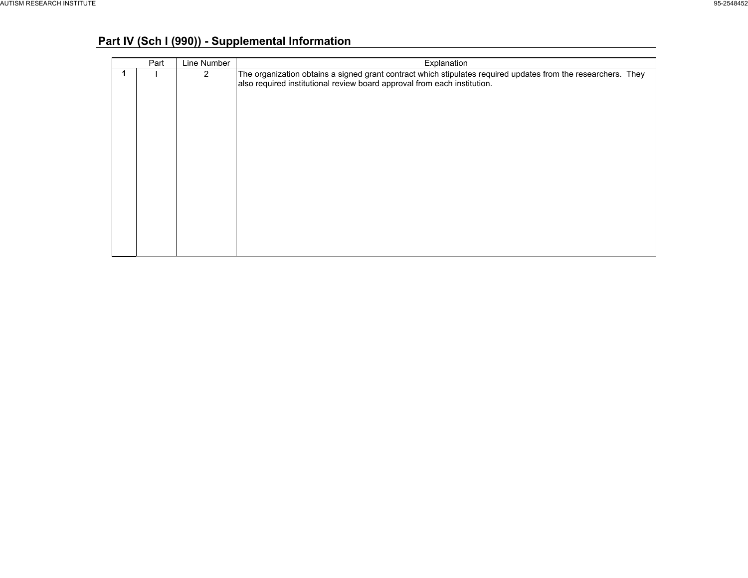# **Part IV (Sch I (990)) - Supplemental Information**

| Part | Line Number    | Explanation                                                                                                                                                                               |
|------|----------------|-------------------------------------------------------------------------------------------------------------------------------------------------------------------------------------------|
|      | $\overline{2}$ | The organization obtains a signed grant contract which stipulates required updates from the researchers. They<br>also required institutional review board approval from each institution. |
|      |                |                                                                                                                                                                                           |
|      |                |                                                                                                                                                                                           |
|      |                |                                                                                                                                                                                           |
|      |                |                                                                                                                                                                                           |
|      |                |                                                                                                                                                                                           |
|      |                |                                                                                                                                                                                           |
|      |                |                                                                                                                                                                                           |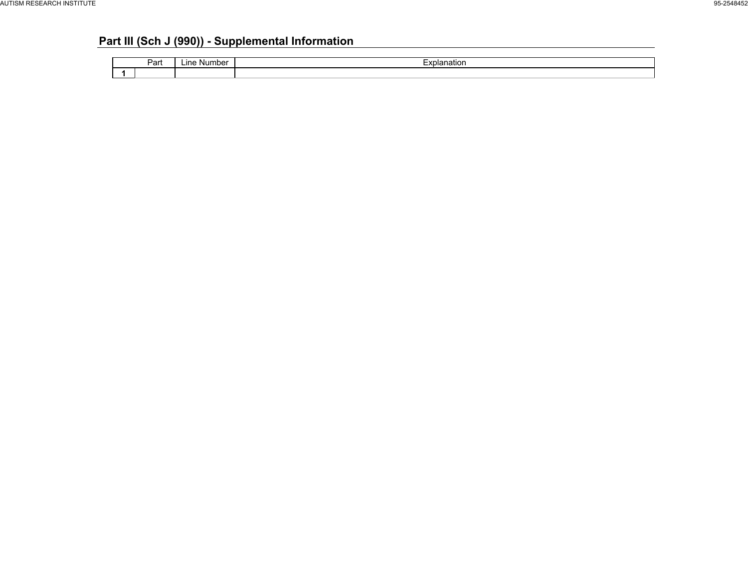# **Part III (Sch J (990)) - Supplemental Information**

| . .<br>r di v | _ |
|---------------|---|
|               |   |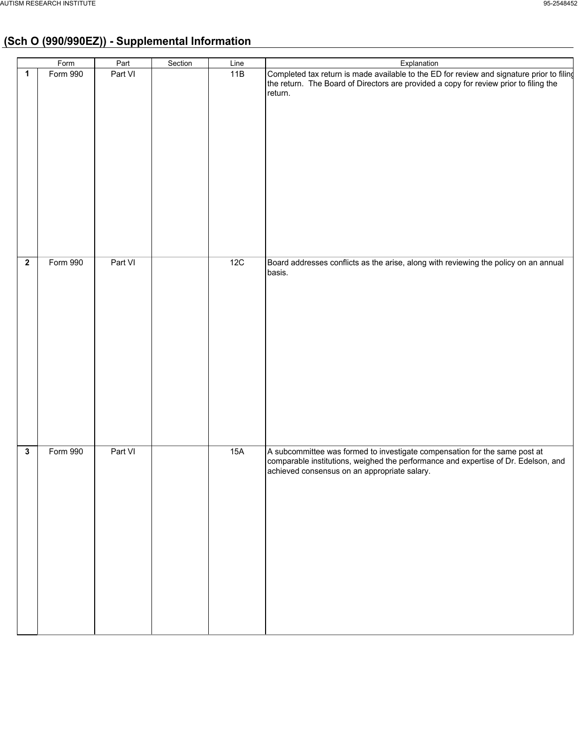# **(Sch O (990/990EZ)) - Supplemental Information**

|              | Form     | Part    | Section | Line       | Explanation                                                                                                                                                                                                      |
|--------------|----------|---------|---------|------------|------------------------------------------------------------------------------------------------------------------------------------------------------------------------------------------------------------------|
| $\mathbf 1$  | Form 990 | Part VI |         | 11B        | Completed tax return is made available to the ED for review and signature prior to filing<br>the return. The Board of Directors are provided a copy for review prior to filing the<br>return.                    |
| $\mathbf{2}$ | Form 990 | Part VI |         | 12C        | Board addresses conflicts as the arise, along with reviewing the policy on an annual<br>basis.                                                                                                                   |
| $\mathbf{3}$ | Form 990 | Part VI |         | <b>15A</b> | A subcommittee was formed to investigate compensation for the same post at<br>comparable institutions, weighed the performance and expertise of Dr. Edelson, and<br>achieved consensus on an appropriate salary. |